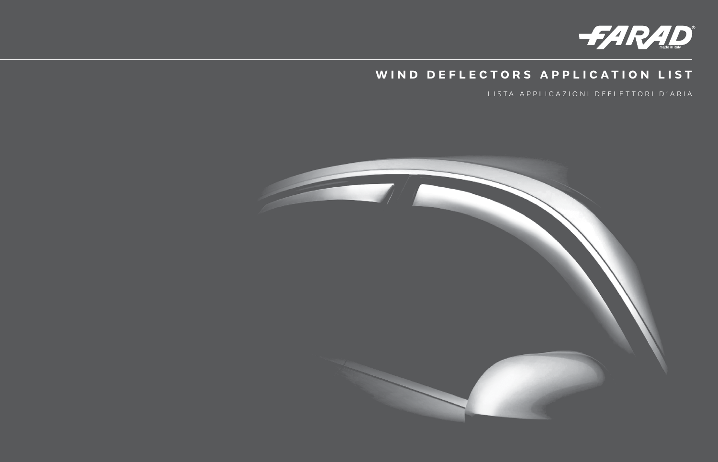

## WIND DEFLECTORS APPLICATION LIST

LISTA APPLICAZIONI DEFLETTORI D'ARIA

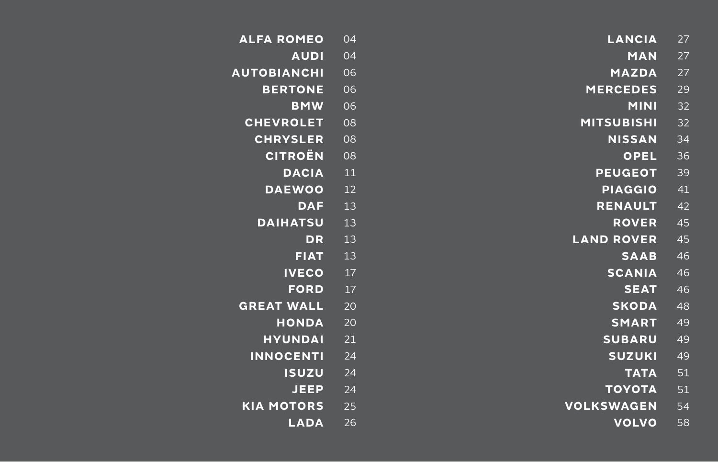| <b>ALFA ROMEO</b>  | 04 | <b>LANCIA</b>     | 27 |
|--------------------|----|-------------------|----|
| <b>AUDI</b>        | 04 | <b>MAN</b>        | 27 |
| <b>AUTOBIANCHI</b> | 06 | <b>MAZDA</b>      | 27 |
| <b>BERTONE</b>     | 06 | <b>MERCEDES</b>   | 29 |
| <b>BMW</b>         | 06 | <b>MINI</b>       | 32 |
| <b>CHEVROLET</b>   | 08 | <b>MITSUBISHI</b> | 32 |
| <b>CHRYSLER</b>    | 08 | <b>NISSAN</b>     | 34 |
| <b>CITROËN</b>     | 08 | <b>OPEL</b>       | 36 |
| <b>DACIA</b>       | 11 | <b>PEUGEOT</b>    | 39 |
| <b>DAEWOO</b>      | 12 | <b>PIAGGIO</b>    | 41 |
| <b>DAF</b>         | 13 | <b>RENAULT</b>    | 42 |
| <b>DAIHATSU</b>    | 13 | <b>ROVER</b>      | 45 |
| <b>DR</b>          | 13 | <b>LAND ROVER</b> | 45 |
| <b>FIAT</b>        | 13 | <b>SAAB</b>       | 46 |
| <b>IVECO</b>       | 17 | <b>SCANIA</b>     | 46 |
| <b>FORD</b>        | 17 | <b>SEAT</b>       | 46 |
| <b>GREAT WALL</b>  | 20 | <b>SKODA</b>      | 48 |
| <b>HONDA</b>       | 20 | <b>SMART</b>      | 49 |
| <b>HYUNDAI</b>     | 21 | <b>SUBARU</b>     | 49 |
| <b>INNOCENTI</b>   | 24 | <b>SUZUKI</b>     | 49 |
| <b>ISUZU</b>       | 24 | <b>TATA</b>       | 51 |
| <b>JEEP</b>        | 24 | <b>TOYOTA</b>     | 51 |
| <b>KIA MOTORS</b>  | 25 | <b>VOLKSWAGEN</b> | 54 |
| <b>LADA</b>        | 26 | <b>VOLVO</b>      | 58 |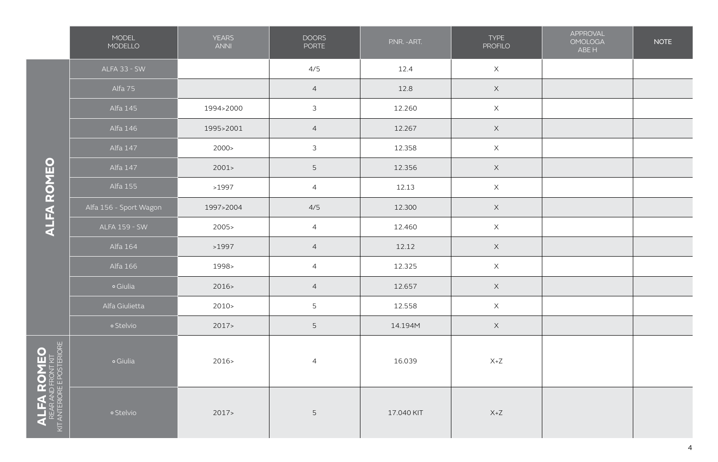|                                                              | MODEL<br>MODELLO       | <b>YEARS</b><br>ANNI | <b>DOORS</b><br>PORTE | P.NR. - ART. | <b>TYPE</b><br><b>PROFILO</b> | APPROVAL<br><b>OMOLOGA</b><br>ABE H | <b>NOTE</b> |
|--------------------------------------------------------------|------------------------|----------------------|-----------------------|--------------|-------------------------------|-------------------------------------|-------------|
|                                                              | ALFA 33 - SW           |                      | 4/5                   | 12.4         | $\mathsf X$                   |                                     |             |
|                                                              | Alfa 75                |                      | $\overline{4}$        | 12.8         | $\mathsf X$                   |                                     |             |
|                                                              | Alfa 145               | 1994>2000            | $\mathfrak{Z}$        | 12.260       | $\times$                      |                                     |             |
|                                                              | Alfa 146               | 1995>2001            | $\overline{4}$        | 12.267       | $\times$                      |                                     |             |
|                                                              | Alfa 147               | 2000 >               | $\mathfrak{Z}$        | 12.358       | $\mathsf X$                   |                                     |             |
|                                                              | Alfa 147               | 2001                 | $5\phantom{.0}$       | 12.356       | $\mathsf X$                   |                                     |             |
| <b>ALFA ROMEO</b>                                            | Alfa 155               | >1997                | $\overline{4}$        | 12.13        | $\times$                      |                                     |             |
|                                                              | Alfa 156 - Sport Wagon | 1997>2004            | 4/5                   | 12.300       | $\times$                      |                                     |             |
|                                                              | <b>ALFA 159 - SW</b>   | 2005                 | $\overline{4}$        | 12.460       | $\mathsf X$                   |                                     |             |
|                                                              | Alfa 164               | >1997                | $\overline{4}$        | 12.12        | $\mathsf X$                   |                                     |             |
|                                                              | Alfa 166               | 1998>                | $\overline{4}$        | 12.325       | $\mathsf X$                   |                                     |             |
|                                                              | o Giulia               | 2016                 | $\overline{4}$        | 12.657       | $\mathsf X$                   |                                     |             |
|                                                              | Alfa Giulietta         | $2010-$              | 5                     | 12.558       | $\mathsf X$                   |                                     |             |
|                                                              | · Stelvio              | 2017                 | 5                     | 14.194M      | $\mathsf X$                   |                                     |             |
|                                                              | o Giulia               | 2016>                | $\overline{4}$        | 16.039       | $X+Z$                         |                                     |             |
| ALFA ROMEO<br>REAR AND FRONT KIT<br>KIT ANTERIORE POSTERIORE | o Stelvio              | 2017                 | $\mathsf S$           | 17.040 KIT   | $X+Z$                         |                                     |             |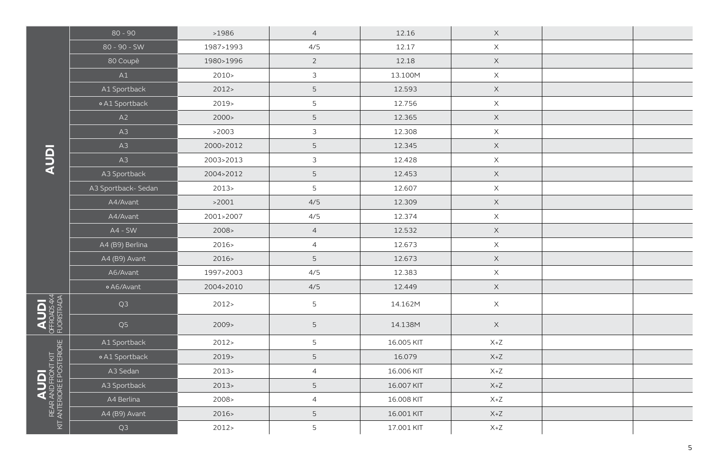|                                                                                                    | $80 - 90$           | >1986     | $\overline{4}$ | 12.16      | $\times$                  |  |
|----------------------------------------------------------------------------------------------------|---------------------|-----------|----------------|------------|---------------------------|--|
|                                                                                                    | 80 - 90 - SW        | 1987>1993 | 4/5            | 12.17      | $\mathsf X$               |  |
|                                                                                                    | 80 Coupè            | 1980>1996 | $\overline{2}$ | 12.18      | $\mathsf X$               |  |
|                                                                                                    | A1                  | 2010 >    | $\mathfrak{Z}$ | 13.100M    | $\mathsf X$               |  |
|                                                                                                    | A1 Sportback        | 2012      | $\mathsf S$    | 12.593     | $\mathsf X$               |  |
|                                                                                                    | o A1 Sportback      | $2019-$   | $\overline{5}$ | 12.756     | $\boldsymbol{\mathsf{X}}$ |  |
|                                                                                                    | A2                  | 2000 >    | $\overline{5}$ | 12.365     | $\mathsf X$               |  |
|                                                                                                    | A3                  | >2003     | $\mathfrak{Z}$ | 12.308     | $\boldsymbol{\mathsf{X}}$ |  |
|                                                                                                    | A3                  | 2000>2012 | $\mathsf S$    | 12.345     | $\boldsymbol{\mathsf{X}}$ |  |
| <b>Idny</b>                                                                                        | A3                  | 2003>2013 | $\mathfrak{Z}$ | 12.428     | $\mathsf X$               |  |
|                                                                                                    | A3 Sportback        | 2004>2012 | $\mathsf S$    | 12.453     | $\times$                  |  |
|                                                                                                    | A3 Sportback- Sedan | 2013      | 5              | 12.607     | $\times$                  |  |
|                                                                                                    | A4/Avant            | >2001     | 4/5            | 12.309     | $\mathsf X$               |  |
|                                                                                                    | A4/Avant            | 2001>2007 | 4/5            | 12.374     | $\mathsf X$               |  |
|                                                                                                    | $AA - SW$           | 2008 >    | $\overline{4}$ | 12.532     | $\times$                  |  |
|                                                                                                    | A4 (B9) Berlina     | 2016>     | $\overline{4}$ | 12.673     | $\boldsymbol{\mathsf{X}}$ |  |
|                                                                                                    | A4 (B9) Avant       | 2016      | 5              | 12.673     | $\times$                  |  |
|                                                                                                    | A6/Avant            | 1997>2003 | 4/5            | 12.383     | $\times$                  |  |
|                                                                                                    | o A6/Avant          | 2004>2010 | 4/5            | 12.449     | $\boldsymbol{\mathsf{X}}$ |  |
|                                                                                                    | Q <sub>3</sub>      | 2012 >    | $\overline{5}$ | 14.162M    | $\times$                  |  |
| <b>AUDI</b><br>OFFROADS 4X4                                                                        | Q <sub>5</sub>      | 2009      | 5              | 14.138M    | $\mathsf X$               |  |
|                                                                                                    | A1 Sportback        | 2012 >    | $\overline{5}$ | 16.005 KIT | $X+Z$                     |  |
|                                                                                                    | o A1 Sportback      | $2019-$   | $\mathsf S$    | 16.079     | $X+Z$                     |  |
|                                                                                                    | A3 Sedan            | 2013      | $\overline{4}$ | 16.006 KIT | $X+Z$                     |  |
|                                                                                                    | A3 Sportback        | 2013      | $\mathsf S$    | 16.007 KIT | $X+Z$                     |  |
|                                                                                                    | A4 Berlina          | 2008 >    | $\overline{4}$ | 16.008 KIT | $X+Z$                     |  |
| $\bigcup_{\mathsf{REAR}\mathsf{AND}\mathsf{FPONT}} \bigcup_{\mathsf{RT}\mathsf{ANT} \mathsf{ENT}}$ | A4 (B9) Avant       | 2016      | $\mathsf S$    | 16.001 KIT | $X+Z$                     |  |
|                                                                                                    | Q <sub>3</sub>      | 2012      | 5              | 17.001 KIT | $X+Z$                     |  |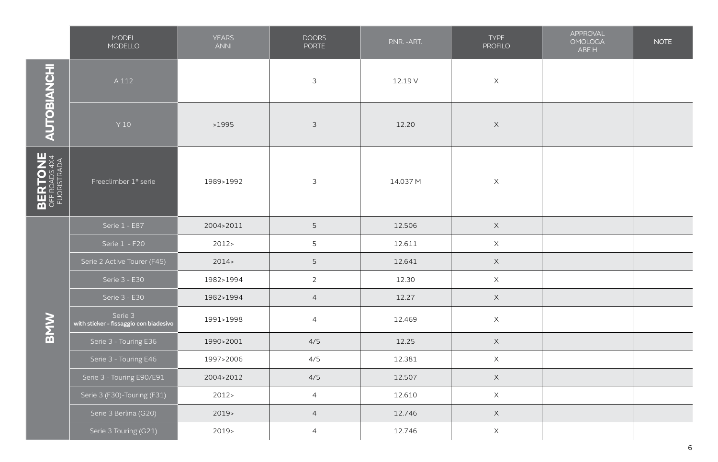|                                         | MODEL<br>MODELLO                                  | <b>YEARS</b><br><b>ANNI</b> | <b>DOORS</b><br><b>PORTE</b> | P.NR. - ART. | <b>TYPE</b><br><b>PROFILO</b> | APPROVAL<br><b>OMOLOGA</b><br>ABE H | <b>NOTE</b> |
|-----------------------------------------|---------------------------------------------------|-----------------------------|------------------------------|--------------|-------------------------------|-------------------------------------|-------------|
| AUTOBIANCHI                             | A 112                                             |                             | $\mathfrak{Z}$               | 12.19 V      | $\mathsf X$                   |                                     |             |
|                                         | Y 10                                              | >1995                       | $\mathfrak{Z}$               | 12.20        | $\boldsymbol{\times}$         |                                     |             |
| BERTONE<br>OFF ROADS 4X4<br>FUORISTRADA | Freeclimber 1° serie                              | 1989>1992                   | $\mathfrak{Z}$               | 14.037 M     | $\times$                      |                                     |             |
|                                         | Serie 1 - E87                                     | 2004>2011                   | 5                            | 12.506       | $\mathsf X$                   |                                     |             |
|                                         | Serie 1 - F20                                     | 2012                        | 5                            | 12.611       | $\mathsf X$                   |                                     |             |
|                                         | Serie 2 Active Tourer (F45)                       | 2014                        | $\overline{5}$               | 12.641       | $\mathsf X$                   |                                     |             |
|                                         | Serie 3 - E30                                     | 1982>1994                   | $\overline{2}$               | 12.30        | $\mathsf X$                   |                                     |             |
|                                         | Serie 3 - E30                                     | 1982>1994                   | $\overline{4}$               | 12.27        | $\mathsf X$                   |                                     |             |
| <b>BMW</b>                              | Serie 3<br>with sticker - fissaggio con biadesivo | 1991>1998                   | $\overline{4}$               | 12.469       | $\mathsf X$                   |                                     |             |
|                                         | Serie 3 - Touring E36                             | 1990>2001                   | 4/5                          | 12.25        | $\mathsf X$                   |                                     |             |
|                                         | Serie 3 - Touring E46                             | 1997>2006                   | 4/5                          | 12.381       | $\mathsf X$                   |                                     |             |
|                                         | Serie 3 - Touring E90/E91                         | 2004>2012                   | 4/5                          | 12.507       | $\mathsf X$                   |                                     |             |
|                                         | Serie 3 (F30)-Touring (F31)                       | 2012                        | $\overline{4}$               | 12.610       | $\mathsf X$                   |                                     |             |
|                                         | Serie 3 Berlina (G20)                             | 2019>                       | $\overline{4}$               | 12.746       | $\mathsf X$                   |                                     |             |
|                                         | Serie 3 Touring (G21)                             | 2019>                       | $\overline{4}$               | 12.746       | $\mathsf X$                   |                                     |             |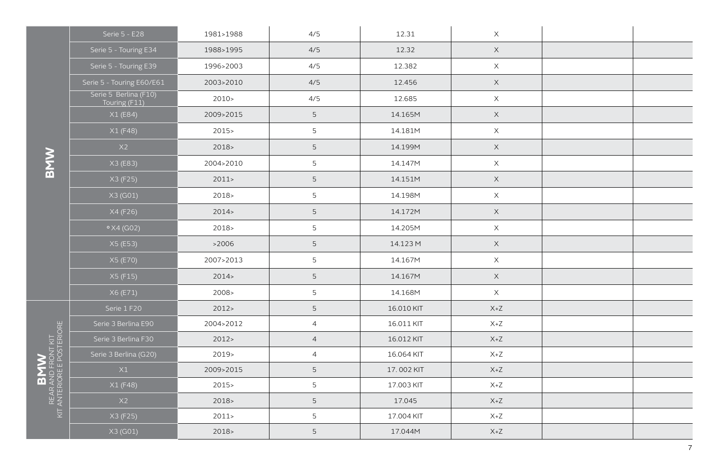|                            | Serie 5 - E28                          | 1981>1988 | 4/5            | 12.31      | X           |  |
|----------------------------|----------------------------------------|-----------|----------------|------------|-------------|--|
|                            | Serie 5 - Touring E34                  | 1988>1995 | 4/5            | 12.32      | $\mathsf X$ |  |
|                            | Serie 5 - Touring E39                  | 1996>2003 | 4/5            | 12.382     | $\mathsf X$ |  |
|                            | Serie 5 - Touring E60/E61              | 2003>2010 | 4/5            | 12.456     | $\mathsf X$ |  |
|                            | Serie 5 Berlina (F10)<br>Touring (F11) | $2010-$   | 4/5            | 12.685     | $\mathsf X$ |  |
|                            | X1 (E84)                               | 2009>2015 | $5\phantom{.}$ | 14.165M    | $\mathsf X$ |  |
|                            | X1(F48)                                | $2015 -$  | $\overline{5}$ | 14.181M    | $\mathsf X$ |  |
|                            | X2                                     | $2018-$   | 5              | 14.199M    | $\mathsf X$ |  |
|                            | X3 (E83)                               | 2004>2010 | $\overline{5}$ | 14.147M    | $\mathsf X$ |  |
|                            | X3 (F25)                               | 2011      | $5\phantom{.}$ | 14.151M    | $\mathsf X$ |  |
|                            | X3 (G01)                               | 2018>     | $\overline{5}$ | 14.198M    | $\mathsf X$ |  |
|                            | X4 (F26)                               | 2014      | $\overline{5}$ | 14.172M    | $\mathsf X$ |  |
|                            | $\frac{\circ}{4}$ X4 (G02)             | 2018>     | $\overline{5}$ | 14.205M    | $\mathsf X$ |  |
|                            | X5(E53)                                | >2006     | $\mathsf S$    | 14.123 M   | $\mathsf X$ |  |
|                            | X5 (E70)                               | 2007>2013 | $\overline{5}$ | 14.167M    | $\mathsf X$ |  |
|                            | X5 (F15)                               | 2014      | $\overline{5}$ | 14.167M    | $\mathsf X$ |  |
|                            | X6 (E71)                               | 2008>     | 5              | 14.168M    | $\mathsf X$ |  |
|                            | Serie 1 F20                            | 2012      | 5              | 16.010 KIT | $X+Z$       |  |
|                            | Serie 3 Berlina E90                    | 2004>2012 | $\overline{4}$ | 16.011 KIT | $X+Z$       |  |
|                            | Serie 3 Berlina F30                    | 2012      | $\overline{4}$ | 16.012 KIT | $X+Z$       |  |
|                            | Serie 3 Berlina (G20)                  | $2019-$   | $\overline{4}$ | 16.064 KIT | $X+Z$       |  |
|                            | X1                                     | 2009>2015 | $\overline{5}$ | 17.002 KIT | $X+Z$       |  |
|                            | X1 (F48)                               | $2015 -$  | 5              | 17.003 KIT | $X+Z$       |  |
| KIT ANTERIORE E POSTERIORE | X2                                     | 2018      | $\overline{5}$ | 17.045     | $X+Z$       |  |
|                            | X3 (F25)                               | 2011      | $\overline{5}$ | 17.004 KIT | $X+Z$       |  |
|                            | X3 (G01)                               | $2018-$   | 5              | 17.044M    | $X+Z$       |  |

**BMW**

B**MW**<br>REAR AND FRONT KIT Rear and front kit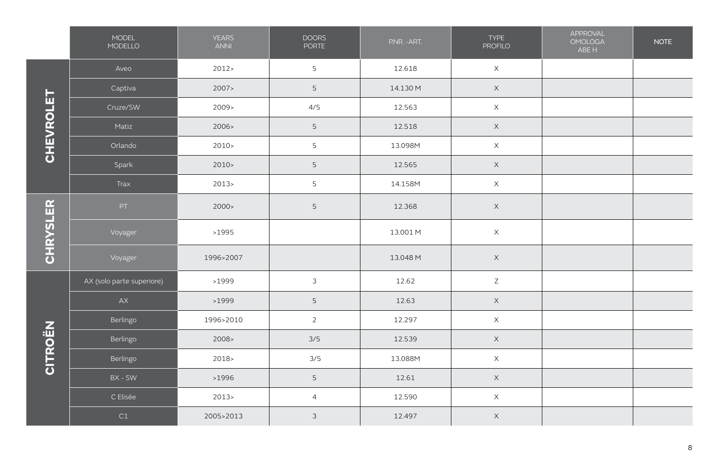|                 | <b>MODEL</b><br>MODELLO   | <b>YEARS</b><br><b>ANNI</b> | <b>DOORS</b><br><b>PORTE</b> | P.NR. - ART. | TYPE<br><b>PROFILO</b> | APPROVAL<br><b>OMOLOGA</b><br>ABE H | <b>NOTE</b> |
|-----------------|---------------------------|-----------------------------|------------------------------|--------------|------------------------|-------------------------------------|-------------|
|                 | Aveo                      | 2012                        | $\overline{5}$               | 12.618       | $\mathsf X$            |                                     |             |
|                 | Captiva                   | 2007                        | 5                            | 14.130 M     | $\mathsf X$            |                                     |             |
|                 | Cruze/SW                  | 2009>                       | 4/5                          | 12.563       | $\times$               |                                     |             |
|                 | Matiz                     | 2006 >                      | 5                            | 12.518       | $\mathsf X$            |                                     |             |
| CHEVROLET       | Orlando                   | $2010-$                     | 5                            | 13.098M      | $\mathsf X$            |                                     |             |
|                 | Spark                     | 2010 >                      | 5                            | 12.565       | $\mathsf X$            |                                     |             |
|                 | Trax                      | 2013                        | 5                            | 14.158M      | $\mathsf X$            |                                     |             |
|                 | PT                        | 2000 >                      | 5                            | 12.368       | $\times$               |                                     |             |
| <b>CHRYSLER</b> | Voyager                   | >1995                       |                              | 13.001 M     | $\times$               |                                     |             |
|                 | Voyager                   | 1996>2007                   |                              | 13.048 M     | $\times$               |                                     |             |
|                 | AX (solo parte superiore) | >1999                       | $\mathfrak{Z}$               | 12.62        | $\mathsf Z$            |                                     |             |
|                 | ${\sf AX}$                | >1999                       | 5                            | 12.63        | $\mathsf X$            |                                     |             |
|                 | Berlingo                  | 1996>2010                   | $\overline{2}$               | 12.297       | $\times$               |                                     |             |
| CITROËN         | Berlingo                  | 2008>                       | 3/5                          | 12.539       | $\mathsf X$            |                                     |             |
|                 | Berlingo                  | 2018>                       | 3/5                          | 13.088M      | $\mathsf X$            |                                     |             |
|                 | BX - SW                   | >1996                       | 5                            | 12.61        | $\mathsf X$            |                                     |             |
|                 | C Elisée                  | 2013                        | $\overline{4}$               | 12.590       | $\mathsf X$            |                                     |             |
|                 | C1                        | 2005>2013                   | $\mathfrak{Z}$               | 12.497       | $\mathsf X$            |                                     |             |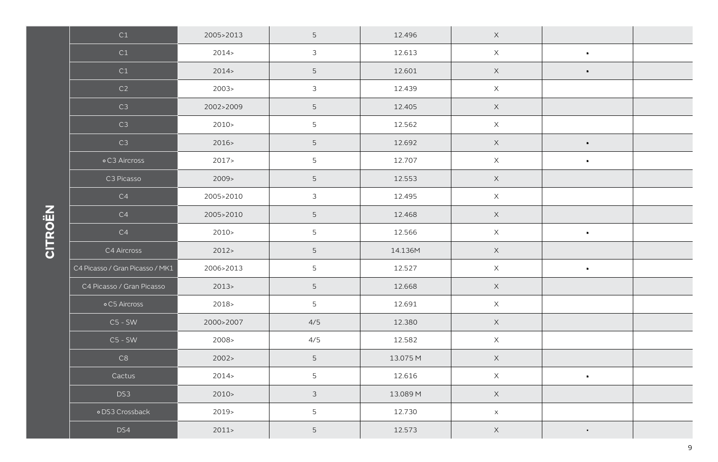| C1                              | 2005>2013 | 5               | 12.496   | $\mathsf X$ |                |  |
|---------------------------------|-----------|-----------------|----------|-------------|----------------|--|
| C1                              | 2014      | $\mathfrak{Z}$  | 12.613   | $\mathsf X$ | $\blacksquare$ |  |
| C1                              | 2014      | 5               | 12.601   | $\mathsf X$ | $\blacksquare$ |  |
| C2                              | 2003      | $\mathfrak{Z}$  | 12.439   | $\mathsf X$ |                |  |
| C3                              | 2002>2009 | 5               | 12.405   | $\mathsf X$ |                |  |
| C3                              | $2010-$   | 5               | 12.562   | $\mathsf X$ |                |  |
| C3                              | 2016      | $5\phantom{.0}$ | 12.692   | $\mathsf X$ | $\blacksquare$ |  |
| ∘C3 Aircross                    | 2017      | 5               | 12.707   | $\mathsf X$ | $\blacksquare$ |  |
| C3 Picasso                      | 2009      | 5               | 12.553   | $\mathsf X$ |                |  |
| C4                              | 2005>2010 | $\mathfrak{Z}$  | 12.495   | $\mathsf X$ |                |  |
| C4                              | 2005>2010 | $5\phantom{.0}$ | 12.468   | $\times$    |                |  |
| C4                              | $2010-$   | 5               | 12.566   | $\mathsf X$ | $\blacksquare$ |  |
| C4 Aircross                     | 2012      | 5               | 14.136M  | $\mathsf X$ |                |  |
| C4 Picasso / Gran Picasso / MK1 | 2006>2013 | 5               | 12.527   | $\mathsf X$ | $\blacksquare$ |  |
| C4 Picasso / Gran Picasso       | 2013      | 5               | 12.668   | $\mathsf X$ |                |  |
| o C5 Aircross                   | $2018 -$  | 5               | 12.691   | $\mathsf X$ |                |  |
| $CS$ - SW                       | 2000>2007 | 4/5             | 12.380   | $\mathsf X$ |                |  |
| $C5 - SW$                       | 2008>     | 4/5             | 12.582   | $\mathsf X$ |                |  |
| C8                              | 2002 >    | 5               | 13.075 M | $\mathsf X$ |                |  |
| Cactus                          | 2014      | 5               | 12.616   | $\mathsf X$ | $\blacksquare$ |  |
| DS3                             | 2010 >    | $\mathfrak{Z}$  | 13.089 M | $\mathsf X$ |                |  |
| · DS3 Crossback                 | 2019>     | 5               | 12.730   | $\times$    |                |  |
| DS4                             | 2011      | 5               | 12.573   | $\mathsf X$ | $\blacksquare$ |  |

## **CITROËN**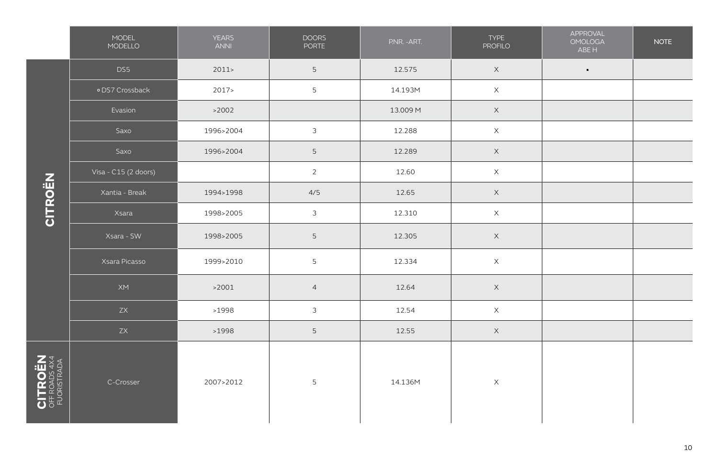|                | MODEL<br>MODELLO     | <b>YEARS</b><br><b>ANNI</b> | <b>DOORS</b><br>PORTE | P.NR. - ART. | <b>TYPE</b><br><b>PROFILO</b> | APPROVAL<br><b>OMOLOGA</b><br>ABE H | <b>NOTE</b> |
|----------------|----------------------|-----------------------------|-----------------------|--------------|-------------------------------|-------------------------------------|-------------|
|                | DS5                  | 2011                        | 5                     | 12.575       | $\mathsf X$                   | $\blacksquare$                      |             |
|                | o DS7 Crossback      | 2017                        | $\mathsf S$           | 14.193M      | $\mathsf X$                   |                                     |             |
|                | Evasion              | >2002                       |                       | 13.009 M     | $\mathsf X$                   |                                     |             |
|                | Saxo                 | 1996>2004                   | $\mathfrak{Z}$        | 12.288       | $\mathsf X$                   |                                     |             |
|                | Saxo                 | 1996>2004                   | $5\phantom{.0}$       | 12.289       | $\times$                      |                                     |             |
|                | Visa - C15 (2 doors) |                             | $\overline{2}$        | 12.60        | $\mathsf X$                   |                                     |             |
| CITROËN        | Xantia - Break       | 1994>1998                   | 4/5                   | 12.65        | $\mathsf X$                   |                                     |             |
|                | Xsara                | 1998>2005                   | $\mathfrak{Z}$        | 12.310       | $\mathsf X$                   |                                     |             |
|                | Xsara - SW           | 1998>2005                   | $5\phantom{.0}$       | 12.305       | $\mathsf X$                   |                                     |             |
|                | Xsara Picasso        | 1999>2010                   | 5                     | 12.334       | $\mathsf X$                   |                                     |             |
|                | XM                   | >2001                       | $\overline{4}$        | 12.64        | $\mathsf X$                   |                                     |             |
|                | ZX                   | >1998                       | $\mathfrak{Z}$        | 12.54        | $\mathsf X$                   |                                     |             |
|                | $\mathsf{ZX}{}$      | >1998                       | $5\phantom{.0}$       | 12.55        | $\mathsf X$                   |                                     |             |
| <b>CITROËN</b> | C-Crosser            | 2007>2012                   | 5                     | 14.136M      | $\mathsf X$                   |                                     |             |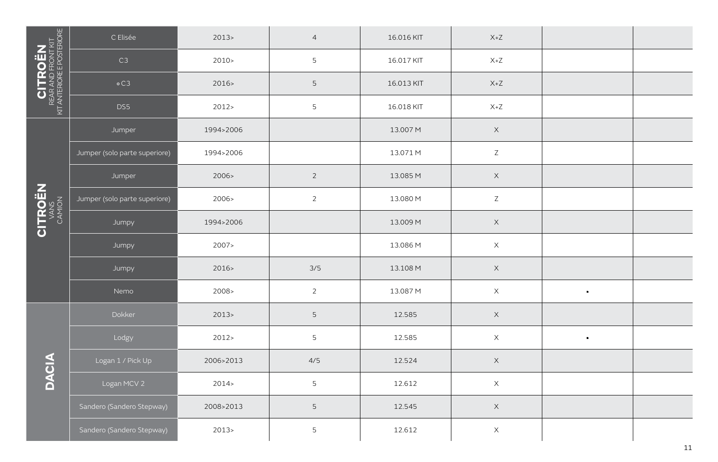|                                                                                                            | C Elisée                      | 2013      | $\overline{4}$  | 16.016 KIT | $X+Z$                              |                |  |
|------------------------------------------------------------------------------------------------------------|-------------------------------|-----------|-----------------|------------|------------------------------------|----------------|--|
| $\begin{array}{c} \text{CITROEN} \ \text{RFAAD FRONT KIT} \ \text{MT AT ANTERONE E POSTEROSE} \end{array}$ | C3                            | $2010-$   | 5               | 16.017 KIT | $X+Z$                              |                |  |
|                                                                                                            | $\circ$ C3                    | 2016>     | 5               | 16.013 KIT | $X+Z$                              |                |  |
|                                                                                                            | DS5                           | 2012 >    | 5               | 16.018 KIT | $\mathsf{X} \texttt{+} \mathsf{Z}$ |                |  |
|                                                                                                            | Jumper                        | 1994>2006 |                 | 13.007 M   | $\mathsf X$                        |                |  |
|                                                                                                            | Jumper (solo parte superiore) | 1994>2006 |                 | 13.071 M   | $\mathsf Z$                        |                |  |
|                                                                                                            | Jumper                        | 2006>     | $\overline{2}$  | 13.085 M   | $\mathsf X$                        |                |  |
| <b>CITROËN</b>                                                                                             | Jumper (solo parte superiore) | 2006>     | $\overline{2}$  | 13.080 M   | $\mathsf Z$                        |                |  |
|                                                                                                            | Jumpy                         | 1994>2006 |                 | 13.009 M   | $\mathsf X$                        |                |  |
|                                                                                                            | Jumpy                         | 2007>     |                 | 13.086 M   | $\mathsf X$                        |                |  |
|                                                                                                            | Jumpy                         | 2016      | 3/5             | 13.108 M   | $\mathsf X$                        |                |  |
|                                                                                                            | Nemo                          | 2008>     | $\overline{2}$  | 13.087 M   | $\mathsf X$                        | $\blacksquare$ |  |
|                                                                                                            | Dokker                        | 2013      | 5               | 12.585     | $\mathsf X$                        |                |  |
|                                                                                                            | Lodgy                         | 2012 >    | 5               | 12.585     | $\mathsf X$                        | $\blacksquare$ |  |
| <b>DACIA</b>                                                                                               | Logan 1 / Pick Up             | 2006>2013 | 4/5             | 12.524     | $\mathsf X$                        |                |  |
|                                                                                                            | Logan MCV 2                   | 2014      | 5               | 12.612     | $\mathsf X$                        |                |  |
|                                                                                                            | Sandero (Sandero Stepway)     | 2008>2013 | $5\overline{)}$ | 12.545     | $\mathsf X$                        |                |  |
|                                                                                                            | Sandero (Sandero Stepway)     | 2013      | 5               | 12.612     | $\mathsf X$                        |                |  |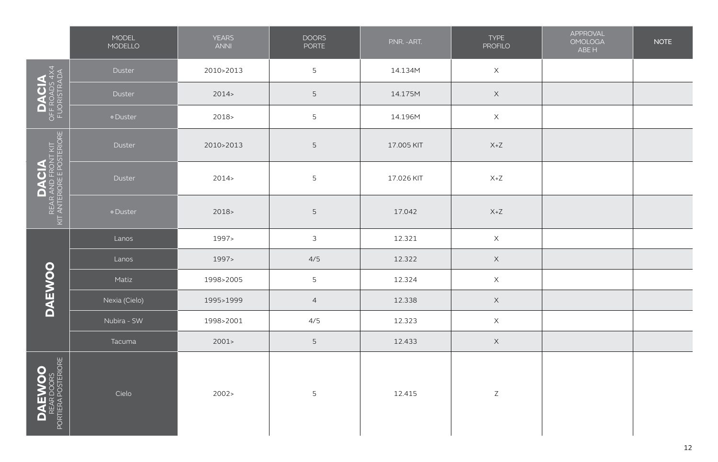|                                                                  | MODEL<br>MODELLO | <b>YEARS</b><br><b>ANNI</b> | <b>DOORS</b><br>PORTE | P.NR. - ART. | <b>TYPE</b><br><b>PROFILO</b> | APPROVAL<br><b>OMOLOGA</b><br>ABE H | <b>NOTE</b> |
|------------------------------------------------------------------|------------------|-----------------------------|-----------------------|--------------|-------------------------------|-------------------------------------|-------------|
|                                                                  | Duster           | 2010>2013                   | 5                     | 14.134M      | $\mathsf X$                   |                                     |             |
| DACIA<br>OFF ROADS 4X4<br>FUORISTRADA                            | Duster           | 2014                        | 5                     | 14.175M      | $\mathsf X$                   |                                     |             |
|                                                                  | · Duster         | $2018-$                     | 5                     | 14.196M      | $\mathsf X$                   |                                     |             |
| <b>DACIA</b><br>REAR AND FRONT KIT<br>KIT ANTERIORE E POSTERIORE | Duster           | 2010>2013                   | 5                     | 17.005 KIT   | $X+Z$                         |                                     |             |
|                                                                  | Duster           | 2014                        | 5                     | 17.026 KIT   | $X+Z$                         |                                     |             |
|                                                                  | · Duster         | 2018                        | 5                     | 17.042       | $X+Z$                         |                                     |             |
|                                                                  | Lanos            | 1997>                       | $\mathfrak{Z}$        | 12.321       | $\mathsf X$                   |                                     |             |
|                                                                  | Lanos            | 1997>                       | 4/5                   | 12.322       | $\mathsf X$                   |                                     |             |
|                                                                  | Matiz            | 1998>2005                   | 5                     | 12.324       | $\mathsf X$                   |                                     |             |
| <b>DAEWOO</b>                                                    | Nexia (Cielo)    | 1995>1999                   | $\overline{4}$        | 12.338       | $\boldsymbol{\mathsf{X}}$     |                                     |             |
|                                                                  | Nubira - SW      | 1998>2001                   | 4/5                   | 12.323       | $\mathsf X$                   |                                     |             |
|                                                                  | Tacuma           | 2001                        | 5                     | 12.433       | $\mathsf X$                   |                                     |             |
| DAEWOO<br>REAR DOORS<br>PORTIERA POSTERIORE                      | Cielo            | 2002 >                      | 5                     | 12.415       | $\mathsf Z$                   |                                     |             |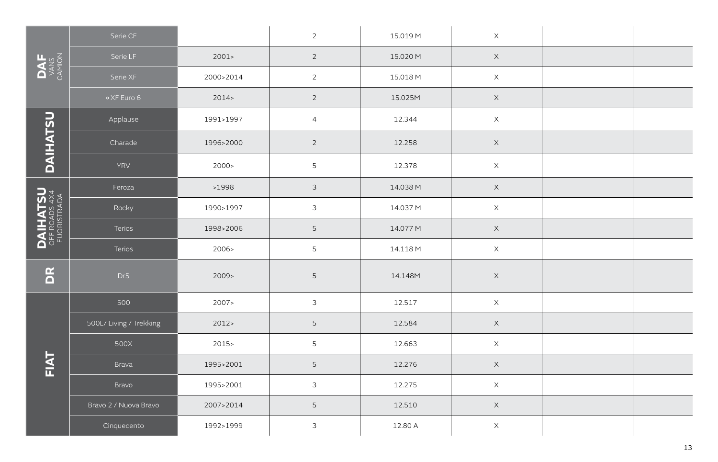|                                  | Serie CF                |           | $\overline{2}$  | 15.019 M | $\mathsf X$ |  |
|----------------------------------|-------------------------|-----------|-----------------|----------|-------------|--|
| DANS<br>VANS<br>CAMON            | Serie LF                | 2001      | $\overline{2}$  | 15.020 M | $\mathsf X$ |  |
|                                  | Serie XF                | 2000>2014 | $\overline{2}$  | 15.018 M | $\mathsf X$ |  |
|                                  | o XF Euro 6             | 2014      | $\overline{2}$  | 15.025M  | $\mathsf X$ |  |
|                                  | Applause                | 1991>1997 | $\overline{4}$  | 12.344   | $\mathsf X$ |  |
| DAIHATSU                         | Charade                 | 1996>2000 | $\overline{2}$  | 12.258   | $\mathsf X$ |  |
|                                  | YRV                     | 2000 >    | 5               | 12.378   | $\mathsf X$ |  |
|                                  | Feroza                  | >1998     | $\mathfrak{Z}$  | 14.038 M | $\mathsf X$ |  |
|                                  | Rocky                   | 1990>1997 | $\mathfrak{Z}$  | 14.037 M | $\mathsf X$ |  |
| <b>DAIHATSU</b><br>OFF ROADS 4X4 | Terios                  | 1998>2006 | 5               | 14.077 M | $\mathsf X$ |  |
|                                  | Terios                  | 2006>     | $5\phantom{.0}$ | 14.118 M | $\mathsf X$ |  |
| E                                | Dr5                     | 2009      | 5               | 14.148M  | $\times$    |  |
|                                  | 500                     | 2007>     | $\mathfrak{Z}$  | 12.517   | $\mathsf X$ |  |
|                                  | 500L/ Living / Trekking | 2012      | $\mathsf S$     | 12.584   | $\mathsf X$ |  |
|                                  | 500X                    | $2015 -$  | $\overline{5}$  | 12.663   | $\mathsf X$ |  |
| FIAT                             | Brava                   | 1995>2001 | 5               | 12.276   | $\mathsf X$ |  |
|                                  | Bravo                   | 1995>2001 | $\mathfrak{Z}$  | 12.275   | $\mathsf X$ |  |
|                                  | Bravo 2 / Nuova Bravo   | 2007>2014 | 5               | 12.510   | $\mathsf X$ |  |
|                                  | Cinquecento             | 1992>1999 | 3               | 12.80 A  | $\times$    |  |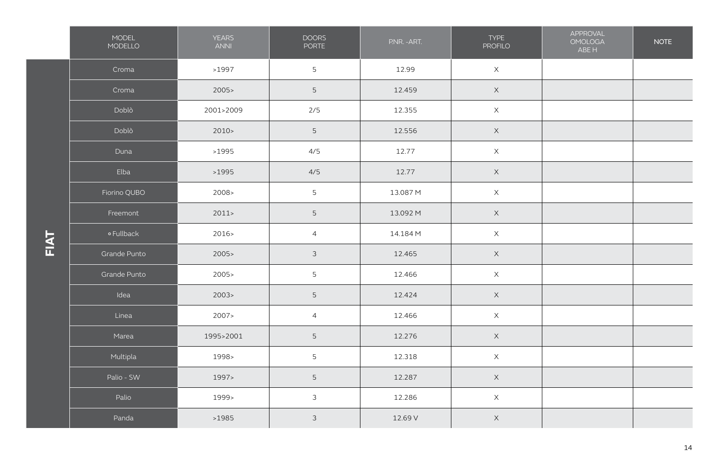|            | MODEL<br>MODELLO | <b>YEARS</b><br><b>ANNI</b> | <b>DOORS</b><br>PORTE | P.NR. - ART. | <b>TYPE</b><br><b>PROFILO</b> | APPROVAL<br><b>OMOLOGA</b><br>ABE H | <b>NOTE</b> |
|------------|------------------|-----------------------------|-----------------------|--------------|-------------------------------|-------------------------------------|-------------|
|            | Croma            | >1997                       | 5                     | 12.99        | $\mathsf X$                   |                                     |             |
|            | Croma            | 2005                        | 5                     | 12.459       | $\mathsf X$                   |                                     |             |
|            | Doblò            | 2001>2009                   | $2/5$                 | 12.355       | $\mathsf X$                   |                                     |             |
|            | Doblò            | 2010 >                      | 5                     | 12.556       | $\mathsf X$                   |                                     |             |
|            | Duna             | >1995                       | 4/5                   | 12.77        | $\mathsf X$                   |                                     |             |
|            | Elba             | >1995                       | 4/5                   | 12.77        | $\mathsf X$                   |                                     |             |
|            | Fiorino QUBO     | 2008>                       | 5                     | 13.087 M     | $\mathsf X$                   |                                     |             |
|            | Freemont         | 2011                        | $5\phantom{.0}$       | 13.092 M     | $\mathsf X$                   |                                     |             |
| <b>TNT</b> | o Fullback       | 2016>                       | $\overline{4}$        | 14.184 M     | $\mathsf X$                   |                                     |             |
|            | Grande Punto     | 2005                        | $\mathfrak{Z}$        | 12.465       | $\mathsf X$                   |                                     |             |
|            | Grande Punto     | 2005                        | 5                     | 12.466       | $\mathsf X$                   |                                     |             |
|            | Idea             | 2003                        | $\mathsf S$           | 12.424       | $\mathsf X$                   |                                     |             |
|            | Linea            | 2007                        | $\overline{a}$        | 12.466       | $\mathsf X$                   |                                     |             |
|            | Marea            | 1995>2001                   | 5                     | 12.276       | $\mathsf X$                   |                                     |             |
|            | Multipla         | 1998>                       | 5                     | 12.318       | $\mathsf X$                   |                                     |             |
|            | Palio - SW       | 1997>                       | 5                     | 12.287       | $\mathsf X$                   |                                     |             |
|            | Palio            | 1999>                       | $\mathfrak{Z}$        | 12.286       | $\mathsf X$                   |                                     |             |
|            | Panda            | >1985                       | $\mathfrak{Z}$        | 12.69 V      | $\mathsf X$                   |                                     |             |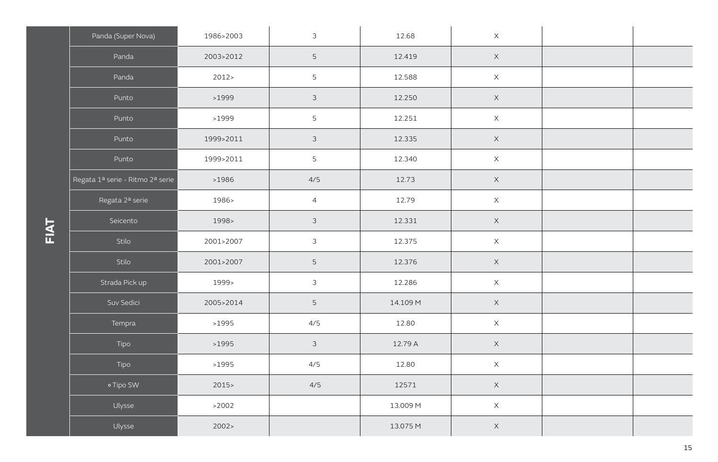| Panda (Super Nova)               | 1986>2003 | $\mathfrak{Z}$ | 12.68    | $\mathsf X$ |  |
|----------------------------------|-----------|----------------|----------|-------------|--|
| Panda                            | 2003>2012 | 5              | 12.419   | $\mathsf X$ |  |
| Panda                            | 2012      | 5              | 12.588   | $\mathsf X$ |  |
| Punto                            | >1999     | $\mathfrak{Z}$ | 12.250   | $\mathsf X$ |  |
| Punto                            | >1999     | 5              | 12.251   | $\mathsf X$ |  |
| Punto                            | 1999>2011 | $\mathfrak{Z}$ | 12.335   | $\mathsf X$ |  |
| Punto                            | 1999>2011 | 5              | 12.340   | $\mathsf X$ |  |
| Regata 1ª serie - Ritmo 2ª serie | >1986     | 4/5            | 12.73    | $\mathsf X$ |  |
| Regata 2ª serie                  | 1986>     | $\overline{4}$ | 12.79    | $\mathsf X$ |  |
| Seicento                         | 1998>     | $\mathfrak{Z}$ | 12.331   | $\mathsf X$ |  |
| Stilo                            | 2001>2007 | $\mathfrak{Z}$ | 12.375   | $\mathsf X$ |  |
| Stilo                            | 2001>2007 | 5              | 12.376   | $\mathsf X$ |  |
| Strada Pick up                   | 1999>     | $\mathfrak{Z}$ | 12.286   | $\mathsf X$ |  |
| Suv Sedici                       | 2005>2014 | 5              | 14.109 M | $\mathsf X$ |  |
| Tempra                           | >1995     | 4/5            | 12.80    | $\mathsf X$ |  |
| Tipo                             | >1995     | $\mathfrak{Z}$ | 12.79 A  | $\mathsf X$ |  |
| Tipo                             | >1995     | 4/5            | 12.80    | $\mathsf X$ |  |
| o Tipo SW                        | 2015      | 4/5            | 12571    | $\mathsf X$ |  |
| Ulysse                           | >2002     |                | 13.009 M | $\mathsf X$ |  |
| Ulysse                           | 2002 >    |                | 13.075 M | $\mathsf X$ |  |

**FIAT**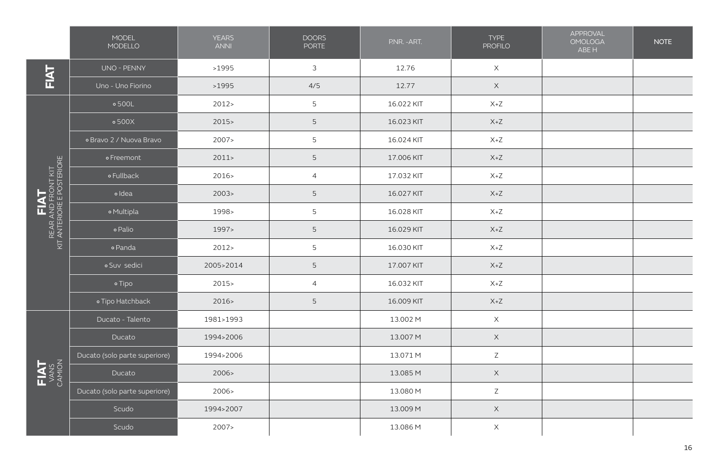|                                                          | <b>MODEL</b><br>MODELLO       | <b>YEARS</b><br><b>ANNI</b> | <b>DOORS</b><br><b>PORTE</b> | P.NR. - ART. | <b>TYPE</b><br><b>PROFILO</b> | APPROVAL<br><b>OMOLOGA</b><br>ABE H | <b>NOTE</b> |
|----------------------------------------------------------|-------------------------------|-----------------------------|------------------------------|--------------|-------------------------------|-------------------------------------|-------------|
| <b>FIAT</b>                                              | UNO - PENNY                   | >1995                       | 3                            | 12.76        | $\mathsf X$                   |                                     |             |
|                                                          | Uno - Uno Fiorino             | >1995                       | 4/5                          | 12.77        | $\mathsf X$                   |                                     |             |
|                                                          | $\circ$ 500L                  | 2012                        | 5                            | 16.022 KIT   | $X+Z$                         |                                     |             |
|                                                          | $\circ$ 500X                  | $2015 -$                    | 5                            | 16.023 KIT   | $X+Z$                         |                                     |             |
|                                                          | o Bravo 2 / Nuova Bravo       | 2007                        | 5                            | 16.024 KIT   | $X+Z$                         |                                     |             |
|                                                          | o Freemont                    | 2011                        | 5                            | 17.006 KIT   | $X+Z$                         |                                     |             |
|                                                          | o Fullback                    | 2016                        | $\overline{4}$               | 17.032 KIT   | $X+Z$                         |                                     |             |
| REAR AND FRONT KIT<br>KIT ANTERIORE E POSTERIORE<br>FIAT | <sup>o</sup> Idea             | 2003                        | 5                            | 16.027 KIT   | $X+Z$                         |                                     |             |
|                                                          | o Multipla                    | 1998>                       | 5                            | 16.028 KIT   | $X+Z$                         |                                     |             |
|                                                          | o Palio                       | 1997>                       | 5                            | 16.029 KIT   | $X+Z$                         |                                     |             |
|                                                          | o Panda                       | 2012                        | 5                            | 16.030 KIT   | $X+Z$                         |                                     |             |
|                                                          | o Suv sedici                  | 2005>2014                   | 5                            | 17.007 KIT   | $X+Z$                         |                                     |             |
|                                                          | o Tipo                        | 2015                        | $\overline{4}$               | 16.032 KIT   | $X+Z$                         |                                     |             |
|                                                          | o Tipo Hatchback              | 2016                        | 5                            | 16.009 KIT   | $X+Z$                         |                                     |             |
|                                                          | Ducato - Talento              | 1981>1993                   |                              | 13.002 M     | $\mathsf X$                   |                                     |             |
|                                                          | Ducato                        | 1994>2006                   |                              | 13.007 M     | $\times$                      |                                     |             |
|                                                          | Ducato (solo parte superiore) | 1994>2006                   |                              | 13.071 M     | $\mathsf Z$                   |                                     |             |
| FIAT<br>VANS<br>CAMION                                   | Ducato                        | 2006>                       |                              | 13.085 M     | $\mathsf X$                   |                                     |             |
|                                                          | Ducato (solo parte superiore) | 2006>                       |                              | 13.080 M     | $\mathsf Z$                   |                                     |             |
|                                                          | Scudo                         | 1994>2007                   |                              | 13.009 M     | $\mathsf X$                   |                                     |             |
|                                                          | Scudo                         | 2007 >                      |                              | 13.086 M     | $\boldsymbol{\times}$         |                                     |             |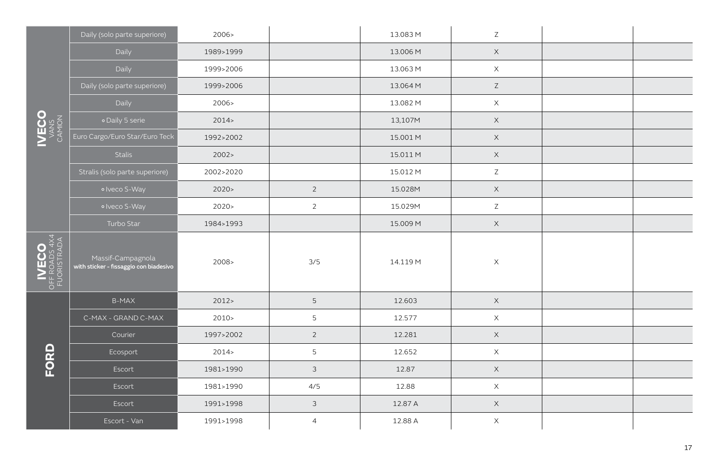|                                                                         | Daily (solo parte superiore)                                | 2006>     |                | 13.083 M | Z                         |  |
|-------------------------------------------------------------------------|-------------------------------------------------------------|-----------|----------------|----------|---------------------------|--|
|                                                                         | Daily                                                       | 1989>1999 |                | 13.006 M | $\times$                  |  |
|                                                                         | Daily                                                       | 1999>2006 |                | 13.063 M | $\times$                  |  |
|                                                                         | Daily (solo parte superiore)                                | 1999>2006 |                | 13.064 M | $\mathsf Z$               |  |
|                                                                         | Daily                                                       | 2006>     |                | 13.082 M | $\boldsymbol{\mathsf{X}}$ |  |
| $\begin{matrix} \text{NECO} \\ \text{VANS} \\ \text{VANS} \end{matrix}$ | · Daily 5 serie                                             | 2014      |                | 13,107M  | $\mathsf X$               |  |
|                                                                         | Euro Cargo/Euro Star/Euro Teck                              | 1992>2002 |                | 15.001 M | $\times$                  |  |
|                                                                         | Stalis                                                      | 2002 >    |                | 15.011 M | $\times$                  |  |
|                                                                         | Stralis (solo parte superiore)                              | 2002>2020 |                | 15.012 M | $\mathsf Z$               |  |
|                                                                         | o Iveco S-Way                                               | 2020      | $\overline{2}$ | 15.028M  | $\mathsf X$               |  |
|                                                                         | o Iveco S-Way                                               | 2020      | $\overline{2}$ | 15.029M  | $\mathsf Z$               |  |
|                                                                         | Turbo Star                                                  | 1984>1993 |                | 15.009 M | $\mathsf X$               |  |
| $\left \underset{\text{FUORISTRADA}}{\text{NE}}\right $                 | Massif-Campagnola<br>with sticker - fissaggio con biadesivo | 2008>     | 3/5            | 14.119 M | $\boldsymbol{\mathsf{X}}$ |  |
|                                                                         | <b>B-MAX</b>                                                | 2012      | $\mathsf S$    | 12.603   | $\times$                  |  |
|                                                                         | C-MAX - GRAND C-MAX                                         | 2010 >    | 5              | 12.577   | $\boldsymbol{\mathsf{X}}$ |  |
|                                                                         | Courier                                                     | 1997>2002 | $\overline{2}$ | 12.281   | $\mathsf X$               |  |
| FORD                                                                    | Ecosport                                                    | 2014      | 5              | 12.652   | $\boldsymbol{\mathsf{X}}$ |  |
|                                                                         | Escort                                                      | 1981>1990 | $\mathfrak{Z}$ | 12.87    | $\mathsf X$               |  |
|                                                                         | Escort                                                      | 1981>1990 | 4/5            | 12.88    | $\times$                  |  |
|                                                                         | Escort                                                      | 1991>1998 | $\mathfrak{Z}$ | 12.87 A  | $\mathsf X$               |  |
|                                                                         | Escort - Van                                                | 1991>1998 | $\overline{4}$ | 12.88 A  | $\boldsymbol{\times}$     |  |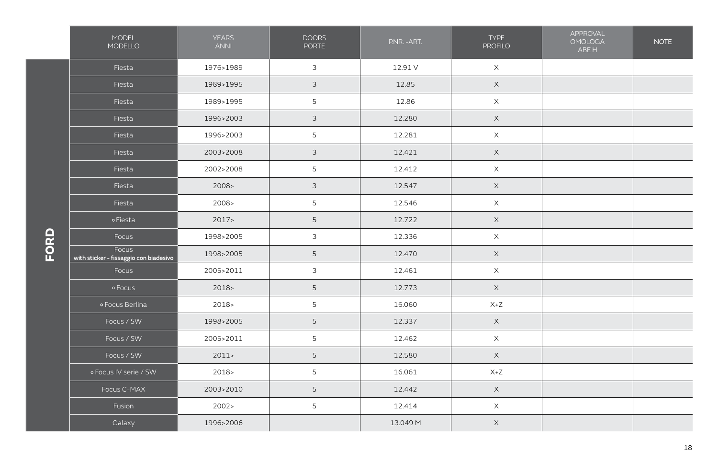|      | MODEL<br>MODELLO                                | <b>YEARS</b><br><b>ANNI</b> | <b>DOORS</b><br>PORTE | P.NR. - ART. | <b>TYPE</b><br><b>PROFILO</b> | APPROVAL<br><b>OMOLOGA</b><br>ABE H | <b>NOTE</b> |
|------|-------------------------------------------------|-----------------------------|-----------------------|--------------|-------------------------------|-------------------------------------|-------------|
|      | Fiesta                                          | 1976>1989                   | $\mathfrak{Z}$        | 12.91 V      | $\mathsf X$                   |                                     |             |
|      | Fiesta                                          | 1989>1995                   | $\mathfrak{Z}$        | 12.85        | $\mathsf X$                   |                                     |             |
|      | Fiesta                                          | 1989>1995                   | $5\phantom{.}$        | 12.86        | $\times$                      |                                     |             |
|      | Fiesta                                          | 1996>2003                   | $\mathfrak{Z}$        | 12.280       | $\mathsf X$                   |                                     |             |
|      | Fiesta                                          | 1996>2003                   | 5                     | 12.281       | $\times$                      |                                     |             |
|      | Fiesta                                          | 2003>2008                   | $\mathfrak{Z}$        | 12.421       | $\mathsf X$                   |                                     |             |
|      | Fiesta                                          | 2002>2008                   | 5                     | 12.412       | $\mathsf X$                   |                                     |             |
|      | Fiesta                                          | 2008>                       | $\mathfrak{Z}$        | 12.547       | $\mathsf X$                   |                                     |             |
|      | Fiesta                                          | 2008>                       | 5                     | 12.546       | $\mathsf X$                   |                                     |             |
|      | <b>oFiesta</b>                                  | 2017                        | 5                     | 12.722       | $\mathsf X$                   |                                     |             |
| FORD | Focus                                           | 1998>2005                   | $\mathfrak{Z}$        | 12.336       | $\boldsymbol{\mathsf{X}}$     |                                     |             |
|      | Focus<br>with sticker - fissaggio con biadesivo | 1998>2005                   | 5                     | 12.470       | $\mathsf X$                   |                                     |             |
|      | Focus                                           | 2005>2011                   | $\mathfrak{Z}$        | 12.461       | $\mathsf X$                   |                                     |             |
|      | o Focus                                         | $2018-$                     | 5                     | 12.773       | $\mathsf X$                   |                                     |             |
|      | o Focus Berlina                                 | 2018>                       | 5                     | 16.060       | $X+Z$                         |                                     |             |
|      | Focus / SW                                      | 1998>2005                   | 5                     | 12.337       | $\mathsf X$                   |                                     |             |
|      | Focus / SW                                      | 2005>2011                   | 5                     | 12.462       | $\times$                      |                                     |             |
|      | Focus / SW                                      | 2011                        | 5                     | 12.580       | $\mathsf X$                   |                                     |             |
|      | o Focus IV serie / SW                           | 2018>                       | 5                     | 16.061       | $X + Z$                       |                                     |             |
|      | Focus C-MAX                                     | 2003>2010                   | 5                     | 12.442       | $\mathsf X$                   |                                     |             |
|      | Fusion                                          | 2002 >                      | 5                     | 12.414       | $\mathsf X$                   |                                     |             |
|      | Galaxy                                          | 1996>2006                   |                       | 13.049 M     | $\mathsf X$                   |                                     |             |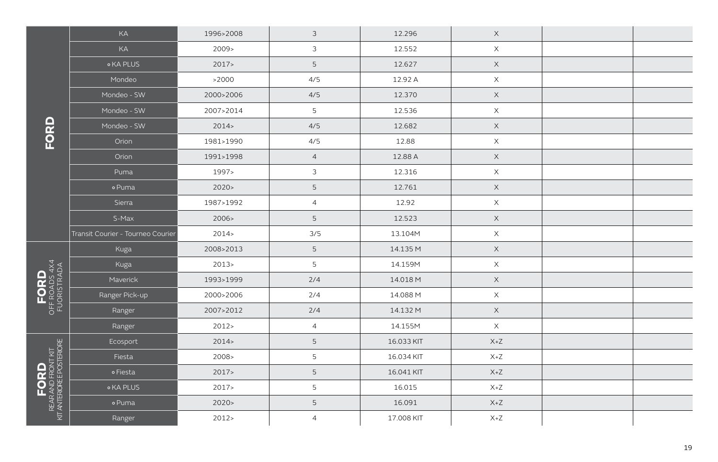| KA                                | 1996>2008 | $\mathfrak{Z}$            | 12.296     | $\mathsf X$ |  |
|-----------------------------------|-----------|---------------------------|------------|-------------|--|
| KA                                | 2009>     | $\mathfrak{Z}$            | 12.552     | $\mathsf X$ |  |
| <b>o KA PLUS</b>                  | 2017      | $\mathsf S$               | 12.627     | $\mathsf X$ |  |
| Mondeo                            | >2000     | 4/5                       | 12.92 A    | $\mathsf X$ |  |
| Mondeo - SW                       | 2000>2006 | 4/5                       | 12.370     | $\mathsf X$ |  |
| Mondeo - SW                       | 2007>2014 | $\overline{5}$            | 12.536     | $\mathsf X$ |  |
| Mondeo - SW                       | 2014      | 4/5                       | 12.682     | $\mathsf X$ |  |
| Orion                             | 1981>1990 | 4/5                       | 12.88      | $\mathsf X$ |  |
| Orion                             | 1991>1998 | $\overline{4}$            | 12.88 A    | $\mathsf X$ |  |
| Puma                              | 1997>     | $\ensuremath{\mathsf{3}}$ | 12.316     | $\mathsf X$ |  |
| o Puma                            | 2020      | $\mathsf S$               | 12.761     | $\mathsf X$ |  |
| Sierra                            | 1987>1992 | $\overline{4}$            | 12.92      | $\mathsf X$ |  |
| S-Max                             | 2006>     | $\mathsf S$               | 12.523     | $\mathsf X$ |  |
| Transit Courier - Tourneo Courier | 2014      | 3/5                       | 13.104M    | $\times$    |  |
| Kuga                              | 2008>2013 | $\mathsf S$               | 14.135 M   | $\mathsf X$ |  |
| Kuga                              | 2013      | 5                         | 14.159M    | $\mathsf X$ |  |
| Maverick                          | 1993>1999 | 2/4                       | 14.018 M   | $\mathsf X$ |  |
| Ranger Pick-up                    | 2000>2006 | 2/4                       | 14.088 M   | $\mathsf X$ |  |
| Ranger                            | 2007>2012 | 2/4                       | 14.132 M   | $\mathsf X$ |  |
| Ranger                            | 2012 >    | $\overline{4}$            | 14.155M    | $\mathsf X$ |  |
| Ecosport                          | 2014      | $\mathsf S$               | 16.033 KIT | $X+Z$       |  |
| Fiesta                            | 2008>     | 5                         | 16.034 KIT | $X+Z$       |  |
| o Fiesta                          | 2017      | $\mathsf S$               | 16.041 KIT | $X+Z$       |  |
| <b>OKA PLUS</b>                   | 2017      | 5                         | 16.015     | $X+Z$       |  |
| o Puma                            | 2020      | 5                         | 16.091     | $X+Z$       |  |
| Ranger                            | 2012 >    | $\overline{4}$            | 17.008 KIT | $X+Z$       |  |
|                                   |           |                           |            |             |  |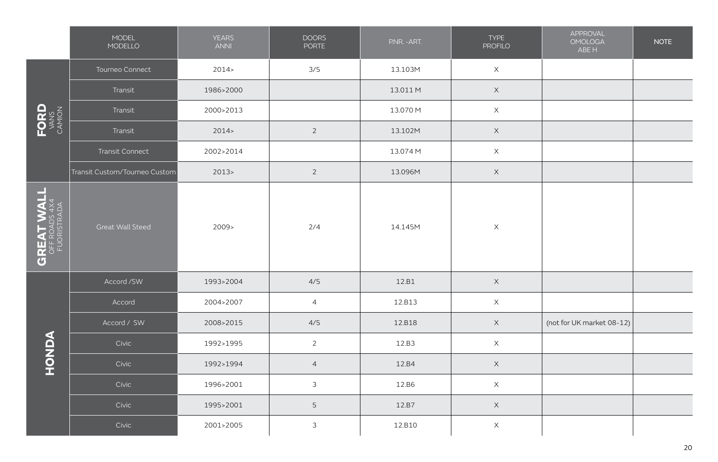|                                                       | MODEL<br>MODELLO              | <b>YEARS</b><br><b>ANNI</b> | <b>DOORS</b><br>PORTE     | P.NR. - ART. | <b>TYPE</b><br><b>PROFILO</b> | APPROVAL<br><b>OMOLOGA</b><br>ABE H | <b>NOTE</b> |
|-------------------------------------------------------|-------------------------------|-----------------------------|---------------------------|--------------|-------------------------------|-------------------------------------|-------------|
|                                                       | Tourneo Connect               | 2014                        | 3/5                       | 13.103M      | $\boldsymbol{\mathsf{X}}$     |                                     |             |
|                                                       | Transit                       | 1986>2000                   |                           | 13.011 M     | $\mathsf X$                   |                                     |             |
| $\text{FORD}_{\text{VANS}}$                           | Transit                       | 2000>2013                   |                           | 13.070 M     | $\mathsf X$                   |                                     |             |
|                                                       | Transit                       | 2014                        | $\overline{2}$            | 13.102M      | $\mathsf X$                   |                                     |             |
|                                                       | Transit Connect               | 2002>2014                   |                           | 13.074 M     | $\times$                      |                                     |             |
|                                                       | Transit Custom/Tourneo Custom | 2013                        | $\overline{2}$            | 13.096M      | $\mathsf X$                   |                                     |             |
| 2<br><b>GREAT WAL</b><br>OFF ROADS 4X4<br>FUORISTRADA | Great Wall Steed              | 2009>                       | 2/4                       | 14.145M      | $\boldsymbol{\mathsf{X}}$     |                                     |             |
|                                                       | Accord /SW                    | 1993>2004                   | 4/5                       | 12.B1        | $\mathsf X$                   |                                     |             |
|                                                       | Accord                        | 2004>2007                   | $\overline{4}$            | 12.B13       | $\times$                      |                                     |             |
|                                                       | Accord / SW                   | 2008>2015                   | 4/5                       | 12.B18       | $\mathsf X$                   | (not for UK market 08-12)           |             |
| HONDA                                                 | Civic                         | 1992>1995                   | $\overline{2}$            | 12.B3        | $\boldsymbol{\mathsf{X}}$     |                                     |             |
|                                                       | Civic                         | 1992>1994                   | $\overline{4}$            | 12.B4        | $\mathsf X$                   |                                     |             |
|                                                       | Civic                         | 1996>2001                   | 3                         | 12.B6        | $\boldsymbol{\mathsf{X}}$     |                                     |             |
|                                                       | Civic                         | 1995>2001                   | $\mathsf S$               | 12.B7        | $\mathsf X$                   |                                     |             |
|                                                       | Civic                         | 2001>2005                   | $\ensuremath{\mathsf{3}}$ | 12.B10       | $\times$                      |                                     |             |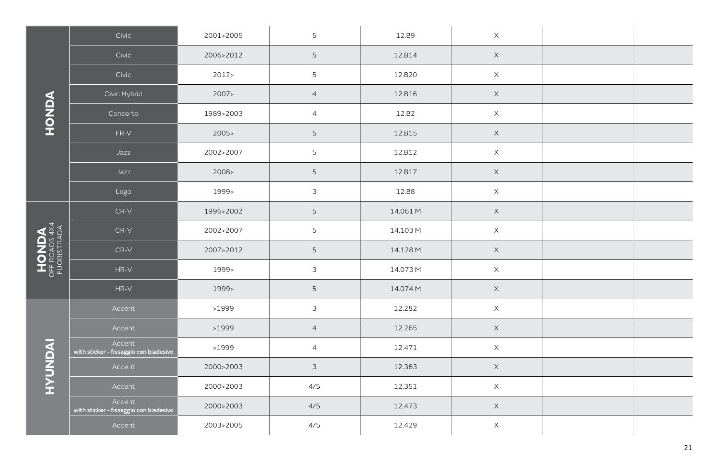|                                       | Civic                                            | 2001>2005 | 5                         | 12.B9    | $\times$                  |  |
|---------------------------------------|--------------------------------------------------|-----------|---------------------------|----------|---------------------------|--|
|                                       | Civic                                            | 2006>2012 | $\mathsf S$               | 12.B14   | $\mathsf X$               |  |
|                                       | Civic                                            | 2012      | 5                         | 12.B20   | $\times$                  |  |
|                                       | Civic Hybrid                                     | 2007      | $\overline{4}$            | 12.B16   | $\boldsymbol{\mathsf{X}}$ |  |
| <b>AQNOH</b>                          | Concerto                                         | 1989>2003 | $\overline{a}$            | 12.B2    | $\mathsf X$               |  |
|                                       | $FR-V$                                           | 2005      | $\mathsf S$               | 12.B15   | $\boldsymbol{\mathsf{X}}$ |  |
|                                       | Jazz                                             | 2002>2007 | 5                         | 12.B12   | $\times$                  |  |
|                                       | Jazz                                             | 2008>     | $\mathsf S$               | 12.B17   | $\mathsf X$               |  |
|                                       | Logo                                             | 1999>     | $\ensuremath{\mathsf{3}}$ | 12.B8    | $\mathsf X$               |  |
|                                       | $CR-V$                                           | 1996>2002 | $\mathsf S$               | 14.061 M | $\times$                  |  |
|                                       | $CR-V$                                           | 2002>2007 | $\mathsf S$               | 14.103 M | $\mathsf X$               |  |
|                                       | $CR-V$                                           | 2007>2012 | $\mathsf S$               | 14.128 M | $\times$                  |  |
| HONDA<br>OFF ROADS 4X4<br>FUORISTRADA | $HR-V$                                           | 1999>     | $\ensuremath{\mathsf{3}}$ | 14.073 M | $\boldsymbol{\times}$     |  |
|                                       | $HR-V$                                           | 1999>     | $\mathsf S$               | 14.074 M | $\boldsymbol{\mathsf{X}}$ |  |
|                                       | Accent                                           | >1999     | $\mathsf 3$               | 12.282   | $\times$                  |  |
|                                       | Accent                                           | >1999     | $\overline{4}$            | 12.265   | $\times$                  |  |
|                                       | Accent<br>with sticker - fissaggio con biadesivo | >1999     | $\overline{4}$            | 12.471   | $\mathsf X$               |  |
| <b>INQNDAH</b>                        | Accent                                           | 2000>2003 | $\mathfrak{Z}$            | 12.363   | $\mathsf X$               |  |
|                                       | Accent                                           | 2000>2003 | 4/5                       | 12.351   | $\times$                  |  |
|                                       | Accent<br>with sticker - fissaggio con biadesivo | 2000>2003 | 4/5                       | 12.473   | $\times$                  |  |
|                                       | Accent                                           | 2003>2005 | 4/5                       | 12.429   | $\times$                  |  |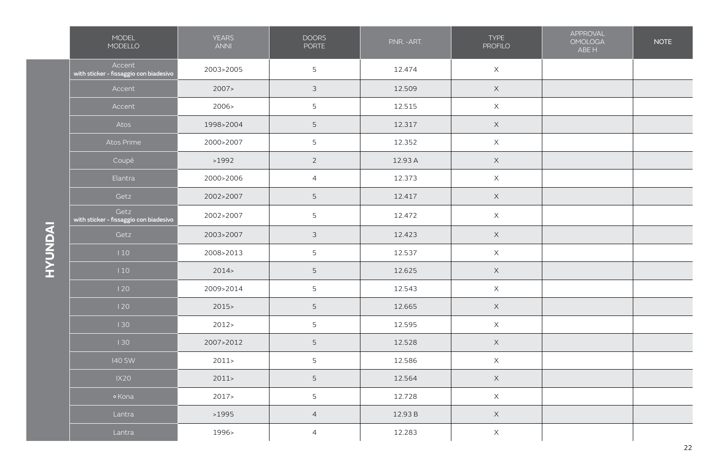| MODEL<br>MODELLO                                 | <b>YEARS</b><br><b>ANNI</b> | <b>DOORS</b><br><b>PORTE</b> | P.NR. - ART. | TYPE<br><b>PROFILO</b> | APPROVAL<br><b>OMOLOGA</b><br>ABE H | <b>NOTE</b> |
|--------------------------------------------------|-----------------------------|------------------------------|--------------|------------------------|-------------------------------------|-------------|
| Accent<br>with sticker - fissaggio con biadesivo | 2003>2005                   | $5\phantom{.}$               | 12.474       | $\mathsf X$            |                                     |             |
| Accent                                           | 2007>                       | $\mathfrak{Z}$               | 12.509       | $\mathsf X$            |                                     |             |
| Accent                                           | 2006>                       | $5\phantom{.}$               | 12.515       | $\mathsf X$            |                                     |             |
| Atos                                             | 1998>2004                   | $\mathsf S$                  | 12.317       | $\mathsf X$            |                                     |             |
| Atos Prime                                       | 2000>2007                   | $5\phantom{.}$               | 12.352       | $\mathsf X$            |                                     |             |
| Coupé                                            | >1992                       | $\overline{2}$               | 12.93 A      | $\mathsf X$            |                                     |             |
| Elantra                                          | 2000>2006                   | $\overline{4}$               | 12.373       | $\mathsf X$            |                                     |             |
| Getz                                             | 2002>2007                   | $5\phantom{.}$               | 12.417       | $\mathsf X$            |                                     |             |
| Getz<br>with sticker - fissaggio con biadesivo   | 2002>2007                   | 5                            | 12.472       | $\mathsf X$            |                                     |             |
| Getz                                             | 2003>2007                   | $\mathfrak{Z}$               | 12.423       | $\mathsf X$            |                                     |             |
| 110                                              | 2008>2013                   | $5\phantom{.}$               | 12.537       | $\mathsf X$            |                                     |             |
| 110                                              | 2014                        | $5\phantom{.}$               | 12.625       | $\mathsf X$            |                                     |             |
| 120                                              | 2009>2014                   | $5\phantom{.0}$              | 12.543       | $\mathsf X$            |                                     |             |
| 120                                              | 2015                        | 5                            | 12.665       | $\mathsf X$            |                                     |             |
| 130                                              | 2012                        | 5                            | 12.595       | $\mathsf X$            |                                     |             |
| 130                                              | 2007>2012                   | 5                            | 12.528       | $\mathsf X$            |                                     |             |
| 140 SW                                           | 2011                        | $5\phantom{.}$               | 12.586       | $\mathsf X$            |                                     |             |
| IX20                                             | 2011                        | $\overline{5}$               | 12.564       | $\mathsf X$            |                                     |             |
| ∘ Kona                                           | 2017>                       | 5                            | 12.728       | $\mathsf X$            |                                     |             |
| Lantra                                           | >1995                       | $\overline{4}$               | 12.93 B      | $\mathsf X$            |                                     |             |
| Lantra                                           | 1996>                       | $\overline{4}$               | 12.283       | $\mathsf X$            |                                     |             |
|                                                  |                             |                              |              |                        |                                     |             |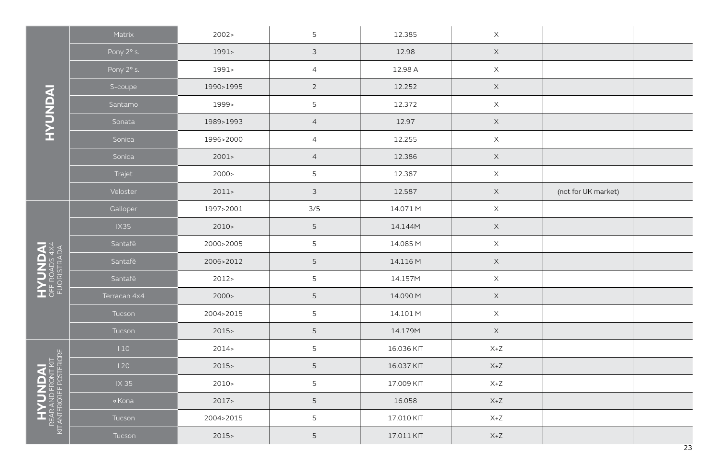|                                                                 | Matrix       | 2002 >    | 5              | 12.385     | $\mathsf X$ |                     |  |
|-----------------------------------------------------------------|--------------|-----------|----------------|------------|-------------|---------------------|--|
|                                                                 | Pony 2° s.   | 1991>     | $\mathfrak{Z}$ | 12.98      | $\mathsf X$ |                     |  |
|                                                                 | Pony 2° s.   | 1991>     | $\overline{4}$ | 12.98 A    | $\mathsf X$ |                     |  |
|                                                                 | S-coupe      | 1990>1995 | $\sqrt{2}$     | 12.252     | $\mathsf X$ |                     |  |
|                                                                 | Santamo      | 1999>     | 5              | 12.372     | $\mathsf X$ |                     |  |
| INONDAI                                                         | Sonata       | 1989>1993 | $\overline{4}$ | 12.97      | $\mathsf X$ |                     |  |
|                                                                 | Sonica       | 1996>2000 | $\overline{4}$ | 12.255     | $\mathsf X$ |                     |  |
|                                                                 | Sonica       | 2001      | $\overline{4}$ | 12.386     | $\mathsf X$ |                     |  |
|                                                                 | Trajet       | 2000 >    | 5              | 12.387     | $\mathsf X$ |                     |  |
|                                                                 | Veloster     | 2011      | $\mathfrak{Z}$ | 12.587     | $\mathsf X$ | (not for UK market) |  |
|                                                                 | Galloper     | 1997>2001 | 3/5            | 14.071 M   | $\mathsf X$ |                     |  |
|                                                                 | <b>IX35</b>  | 2010 >    | $\mathsf S$    | 14.144M    | $\mathsf X$ |                     |  |
|                                                                 | Santafè      | 2000>2005 | $\mathsf S$    | 14.085 M   | $\mathsf X$ |                     |  |
|                                                                 | Santafè      | 2006>2012 | $\mathsf S$    | 14.116 M   | $\mathsf X$ |                     |  |
| HYUNDAI<br>OFF ROADS 4X4<br>FUORISTRADA                         | Santafè      | 2012      | 5              | 14.157M    | $\mathsf X$ |                     |  |
|                                                                 | Terracan 4x4 | 2000 >    | $\mathsf S$    | 14.090 M   | $\mathsf X$ |                     |  |
|                                                                 | Tucson       | 2004>2015 | 5              | 14.101 M   | $\mathsf X$ |                     |  |
|                                                                 | Tucson       | 2015      | $\mathsf S$    | 14.179M    | $\mathsf X$ |                     |  |
|                                                                 | 110          | 2014      | 5              | 16.036 KIT | $X+Z$       |                     |  |
|                                                                 | 120          | 2015      | 5              | 16.037 KIT | $X+Z$       |                     |  |
|                                                                 | IX 35        | 2010 >    | 5              | 17.009 KIT | $X+Z$       |                     |  |
| <b>HYUNDAI</b><br>REAR AND FRONT KIT<br>IT ANTERIORE POSTERIORE | ∘ Kona       | 2017      | $\mathsf S$    | 16.058     | $X+Z$       |                     |  |
|                                                                 | Tucson       | 2004>2015 | $\mathsf S$    | 17.010 KIT | $X+Z$       |                     |  |
| 호                                                               | Tucson       | 2015      | 5              | 17.011 KIT | $X+Z$       |                     |  |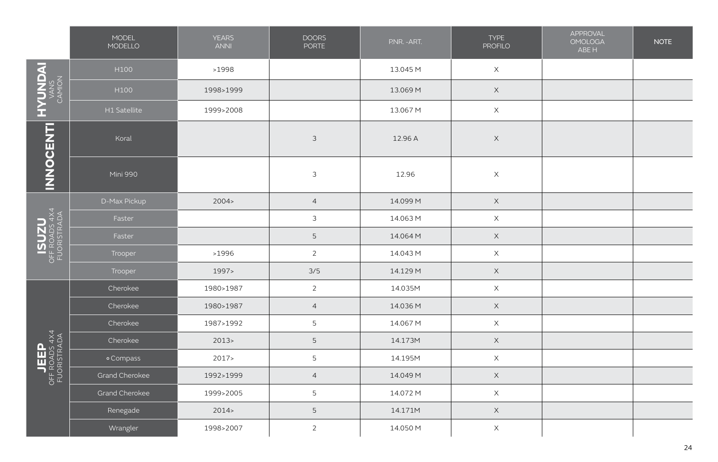|                                                                                        | MODEL<br>MODELLO | <b>YEARS</b><br><b>ANNI</b> | <b>DOORS</b><br>PORTE | P.NR. - ART. | <b>TYPE</b><br><b>PROFILO</b> | APPROVAL<br><b>OMOLOGA</b><br>ABE H | <b>NOTE</b> |
|----------------------------------------------------------------------------------------|------------------|-----------------------------|-----------------------|--------------|-------------------------------|-------------------------------------|-------------|
| HYUNDAI                                                                                | H100             | >1998                       |                       | 13.045 M     | $\mathsf X$                   |                                     |             |
|                                                                                        | H100             | 1998>1999                   |                       | 13.069 M     | $\mathsf X$                   |                                     |             |
|                                                                                        | H1 Satellite     | 1999>2008                   |                       | 13.067 M     | $\mathsf X$                   |                                     |             |
| <b>INNOCENTI</b>                                                                       | Koral            |                             | $\mathfrak{Z}$        | 12.96 A      | $\mathsf X$                   |                                     |             |
|                                                                                        | Mini 990         |                             | $\mathfrak{Z}$        | 12.96        | $\times$                      |                                     |             |
|                                                                                        | D-Max Pickup     | 2004 >                      | $\overline{4}$        | 14.099 M     | $\mathsf X$                   |                                     |             |
|                                                                                        | Faster           |                             | 3                     | 14.063 M     | $\boldsymbol{\mathsf{X}}$     |                                     |             |
| ISUZU<br>OFF ROADS 4X4<br>FUORISTRADA                                                  | Faster           |                             | 5                     | 14.064 M     | $\mathsf X$                   |                                     |             |
|                                                                                        | Trooper          | >1996                       | $\overline{2}$        | 14.043 M     | $\mathsf X$                   |                                     |             |
|                                                                                        | Trooper          | 1997>                       | 3/5                   | 14.129 M     | $\times$                      |                                     |             |
|                                                                                        | Cherokee         | 1980>1987                   | $\overline{c}$        | 14.035M      | $\mathsf X$                   |                                     |             |
|                                                                                        | Cherokee         | 1980>1987                   | $\overline{4}$        | 14.036 M     | $\times$                      |                                     |             |
|                                                                                        | Cherokee         | 1987>1992                   | $\mathsf S$           | 14.067 M     | $\mathsf X$                   |                                     |             |
|                                                                                        | Cherokee         | 2013                        | 5                     | 14.173M      | $\mathsf X$                   |                                     |             |
|                                                                                        | o Compass        | 2017                        | $\overline{5}$        | 14.195M      | $\mathsf X$                   |                                     |             |
| $\begin{array}{c}\n\text{JEEP} \\ \text{OF ROOT 4} \\ \text{FUORISTRADA}\n\end{array}$ | Grand Cherokee   | 1992>1999                   | $\overline{4}$        | 14.049 M     | $\mathsf X$                   |                                     |             |
|                                                                                        | Grand Cherokee   | 1999>2005                   | 5                     | 14.072 M     | $\mathsf X$                   |                                     |             |
|                                                                                        | Renegade         | 2014                        | 5                     | 14.171M      | $\mathsf X$                   |                                     |             |
|                                                                                        | Wrangler         | 1998>2007                   | $\overline{2}$        | 14.050 M     | $\times$                      |                                     |             |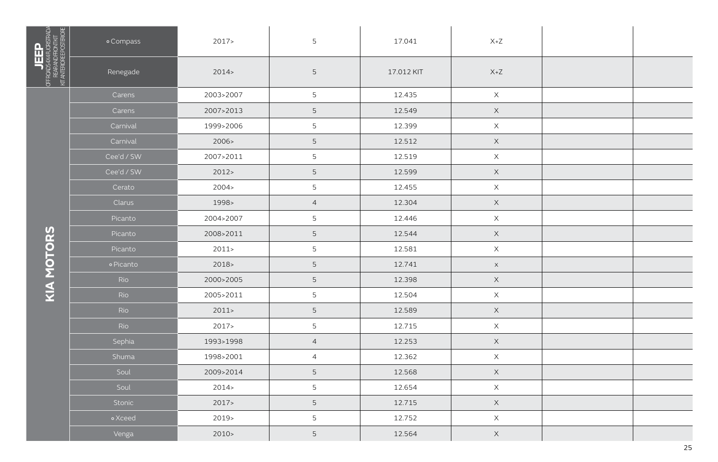|                                                                              | o Compass  | 2017      | 5               | 17.041     | $X+Z$                     |  |
|------------------------------------------------------------------------------|------------|-----------|-----------------|------------|---------------------------|--|
| <b>JEEP</b><br>OFROUS4XARORSTRUA<br>REARANDROTROTRI<br>KITANTEROREEPOSTERORE | Renegade   | 2014      | 5               | 17.012 KIT | $X+Z$                     |  |
|                                                                              | Carens     | 2003>2007 | 5               | 12.435     | $\mathsf X$               |  |
|                                                                              | Carens     | 2007>2013 | 5               | 12.549     | $\mathsf X$               |  |
|                                                                              | Carnival   | 1999>2006 | 5               | 12.399     | $\mathsf X$               |  |
|                                                                              | Carnival   | 2006>     | 5               | 12.512     | $\mathsf X$               |  |
|                                                                              | Cee'd / SW | 2007>2011 | 5               | 12.519     | $\mathsf X$               |  |
|                                                                              | Cee'd / SW | 2012      | $5\phantom{.0}$ | 12.599     | $\mathsf X$               |  |
|                                                                              | Cerato     | 2004 >    | 5               | 12.455     | $\mathsf X$               |  |
|                                                                              | Clarus     | 1998>     | $\overline{4}$  | 12.304     | $\mathsf X$               |  |
|                                                                              | Picanto    | 2004>2007 | 5               | 12.446     | $\mathsf X$               |  |
|                                                                              | Picanto    | 2008>2011 | 5               | 12.544     | $\mathsf X$               |  |
|                                                                              | Picanto    | 2011      | 5               | 12.581     | $\mathsf X$               |  |
|                                                                              | · Picanto  | 2018>     | 5               | 12.741     | $\mathsf X$               |  |
| KIA MOTORS                                                                   | Rio        | 2000>2005 | 5               | 12.398     | $\mathsf X$               |  |
|                                                                              | Rio        | 2005>2011 | 5               | 12.504     | $\mathsf X$               |  |
|                                                                              | Rio        | 2011      | 5               | 12.589     | $\mathsf X$               |  |
|                                                                              | Rio        | 2017      | 5               | 12.715     | $\mathsf X$               |  |
|                                                                              | Sephia     | 1993>1998 | $\overline{4}$  | 12.253     | $\mathsf X$               |  |
|                                                                              | Shuma      | 1998>2001 | $\overline{4}$  | 12.362     | $\mathsf X$               |  |
|                                                                              | Soul       | 2009>2014 | 5               | 12.568     | $\mathsf X$               |  |
|                                                                              | Soul       | 2014      | 5               | 12.654     | $\mathsf X$               |  |
|                                                                              | Stonic     | 2017      | 5               | 12.715     | $\mathsf X$               |  |
|                                                                              | • Xceed    | 2019>     | 5               | 12.752     | $\boldsymbol{\mathsf{X}}$ |  |
|                                                                              | Venga      | $2010-$   | 5               | 12.564     | $\mathsf X$               |  |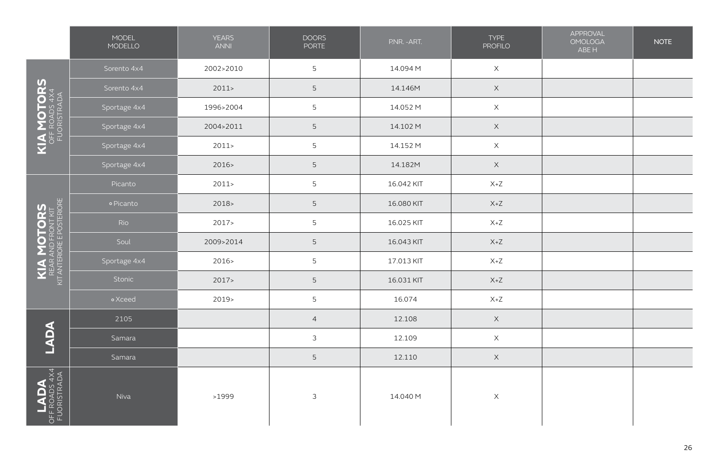|                                                              | MODEL<br>MODELLO | <b>YEARS</b><br><b>ANNI</b> | <b>DOORS</b><br><b>PORTE</b> | P.NR. - ART. | <b>TYPE</b><br><b>PROFILO</b> | APPROVAL<br><b>OMOLOGA</b><br>ABE H | <b>NOTE</b> |
|--------------------------------------------------------------|------------------|-----------------------------|------------------------------|--------------|-------------------------------|-------------------------------------|-------------|
|                                                              | Sorento 4x4      | 2002>2010                   | 5                            | 14.094 M     | $\mathsf X$                   |                                     |             |
|                                                              | Sorento 4x4      | 2011                        | $\mathsf S$                  | 14.146M      | $\mathsf X$                   |                                     |             |
|                                                              | Sportage 4x4     | 1996>2004                   | 5                            | 14.052 M     | $\mathsf X$                   |                                     |             |
|                                                              | Sportage 4x4     | 2004>2011                   | 5                            | 14.102 M     | $\mathsf X$                   |                                     |             |
| <b>KIA MOTORS<br/>OFFROADS 4X4<br/>FUORISTRADA</b>           | Sportage 4x4     | 2011                        | 5                            | 14.152 M     | $\mathsf X$                   |                                     |             |
|                                                              | Sportage 4x4     | 2016                        | 5                            | 14.182M      | $\mathsf X$                   |                                     |             |
|                                                              | Picanto          | 2011                        | 5                            | 16.042 KIT   | $X+Z$                         |                                     |             |
|                                                              | o Picanto        | 2018                        | 5                            | 16.080 KIT   | $X+Z$                         |                                     |             |
| KIA MOTORS<br>REAR AND FRONT KIT<br>KIT ANTERIORE POSTERIORE | Rio              | 2017                        | 5                            | 16.025 KIT   | $X+Z$                         |                                     |             |
|                                                              | Soul             | 2009>2014                   | 5                            | 16.043 KIT   | $X+Z$                         |                                     |             |
|                                                              | Sportage 4x4     | 2016>                       | 5                            | 17.013 KIT   | $X+Z$                         |                                     |             |
|                                                              | Stonic           | 2017                        | 5                            | 16.031 KIT   | $X+Z$                         |                                     |             |
|                                                              | • Xceed          | $2019-$                     | 5                            | 16.074       | $X+Z$                         |                                     |             |
|                                                              | 2105             |                             | $\overline{4}$               | 12.108       | $\mathsf X$                   |                                     |             |
| LADA                                                         | Samara           |                             | $\mathfrak{Z}$               | 12.109       | $\mathsf X$                   |                                     |             |
|                                                              | Samara           |                             | 5                            | 12.110       | $\mathsf X$                   |                                     |             |
| OFF<br>FUC                                                   | Niva             | >1999                       | $\ensuremath{\mathsf{3}}$    | 14.040 M     | $\mathsf X$                   |                                     |             |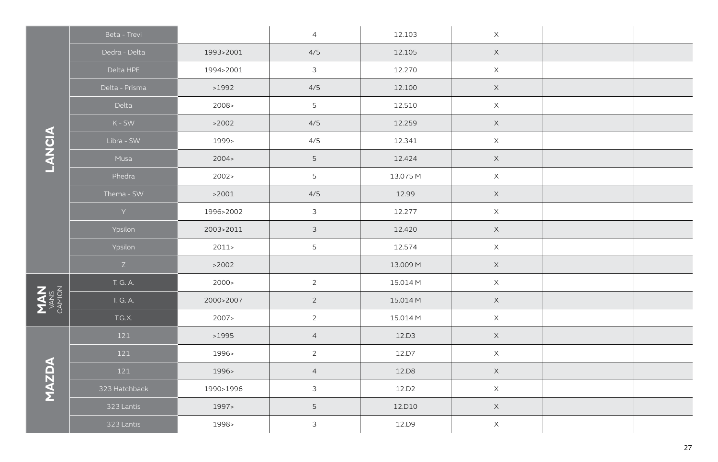|                        | Beta - Trevi                 |           | $\overline{4}$ | 12.103   | $\mathsf X$ |  |
|------------------------|------------------------------|-----------|----------------|----------|-------------|--|
|                        | Dedra - Delta                | 1993>2001 | 4/5            | 12.105   | $\mathsf X$ |  |
|                        | Delta HPE                    | 1994>2001 | $\mathfrak{Z}$ | 12.270   | $\times$    |  |
|                        | Delta - Prisma               | >1992     | 4/5            | 12.100   | $\mathsf X$ |  |
|                        | Delta                        | 2008>     | 5              | 12.510   | $\mathsf X$ |  |
|                        | $K - SW$                     | >2002     | 4/5            | 12.259   | $\mathsf X$ |  |
|                        | Libra - SW                   | 1999>     | 4/5            | 12.341   | $\times$    |  |
| LANCIA                 | Musa                         | 2004 >    | 5              | 12.424   | $\mathsf X$ |  |
|                        | Phedra                       | 2002 >    | 5              | 13.075 M | $\mathsf X$ |  |
|                        | Thema - SW                   | >2001     | 4/5            | 12.99    | $\mathsf X$ |  |
|                        | $\langle \mathsf{Y} \rangle$ | 1996>2002 | $\mathfrak{Z}$ | 12.277   | $\mathsf X$ |  |
|                        | Ypsilon                      | 2003>2011 | $\mathfrak{Z}$ | 12.420   | $\mathsf X$ |  |
|                        | Ypsilon                      | 2011      | $\overline{5}$ | 12.574   | $\mathsf X$ |  |
|                        | Z                            | >2002     |                | 13.009 M | $\mathsf X$ |  |
|                        | T. G. A.                     | 2000 >    | $\overline{2}$ | 15.014 M | $\mathsf X$ |  |
| LANS<br>VANS<br>CAMION | T. G. A.                     | 2000>2007 | $\overline{2}$ | 15.014 M | $\mathsf X$ |  |
|                        | T.G.X.                       | 2007>     | $\overline{2}$ | 15.014 M | $\mathsf X$ |  |
|                        | 121                          | >1995     | $\overline{4}$ | 12.D3    | $\times$    |  |
|                        | 121                          | 1996>     | $\overline{2}$ | 12.D7    | $\mathsf X$ |  |
|                        | 121                          | 1996>     | $\overline{4}$ | 12.D8    | $\mathsf X$ |  |
| MAZDA                  | 323 Hatchback                | 1990>1996 | $\mathfrak{Z}$ | 12.D2    | $\mathsf X$ |  |
|                        | 323 Lantis                   | 1997>     | $\overline{5}$ | 12.D10   | $\times$    |  |
|                        | 323 Lantis                   | 1998>     | $\mathfrak{Z}$ | 12.D9    | $\mathsf X$ |  |

**MAN**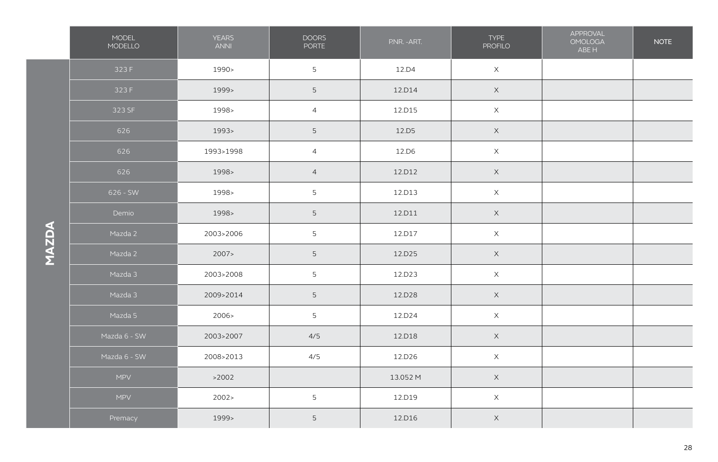|              | MODEL<br>MODELLO | <b>YEARS</b><br><b>ANNI</b> | <b>DOORS</b><br>PORTE | P.NR. - ART. | <b>TYPE</b><br><b>PROFILO</b> | APPROVAL<br><b>OMOLOGA</b><br>ABE H | <b>NOTE</b> |
|--------------|------------------|-----------------------------|-----------------------|--------------|-------------------------------|-------------------------------------|-------------|
|              | 323 F            | 1990>                       | 5                     | 12.D4        | $\mathsf X$                   |                                     |             |
|              | 323 F            | 1999>                       | 5                     | 12.D14       | $\mathsf X$                   |                                     |             |
|              | 323 SF           | 1998>                       | $\overline{4}$        | 12.D15       | $\mathsf X$                   |                                     |             |
|              | 626              | 1993>                       | 5                     | 12.D5        | $\mathsf X$                   |                                     |             |
|              | 626              | 1993>1998                   | $\overline{4}$        | 12.D6        | $\mathsf X$                   |                                     |             |
|              | 626              | 1998>                       | $\overline{4}$        | 12.D12       | $\mathsf X$                   |                                     |             |
|              | 626 - SW         | 1998>                       | 5                     | 12.D13       | $\mathsf X$                   |                                     |             |
|              | Demio            | 1998>                       | 5                     | 12.D11       | $\mathsf X$                   |                                     |             |
| <b>MAZDA</b> | Mazda 2          | 2003>2006                   | 5                     | 12.D17       | $\mathsf X$                   |                                     |             |
|              | Mazda 2          | 2007                        | 5 <sub>1</sub>        | 12.D25       | $\mathsf X$                   |                                     |             |
|              | Mazda 3          | 2003>2008                   | 5                     | 12.D23       | $\mathsf X$                   |                                     |             |
|              | Mazda 3          | 2009>2014                   | 5                     | 12.D28       | $\mathsf X$                   |                                     |             |
|              | Mazda 5          | 2006>                       | 5                     | 12.D24       | $\mathsf X$                   |                                     |             |
|              | Mazda 6 - SW     | 2003>2007                   | 4/5                   | 12.D18       | $\mathsf X$                   |                                     |             |
|              | Mazda 6 - SW     | 2008>2013                   | 4/5                   | 12.D26       | $\mathsf X$                   |                                     |             |
|              | MPV              | >2002                       |                       | 13.052 M     | $\boldsymbol{\mathsf{X}}$     |                                     |             |
|              | MPV              | 2002 >                      | 5                     | 12.D19       | $\mathsf X$                   |                                     |             |
|              | Premacy          | 1999>                       | 5                     | 12.D16       | $\mathsf X$                   |                                     |             |

P.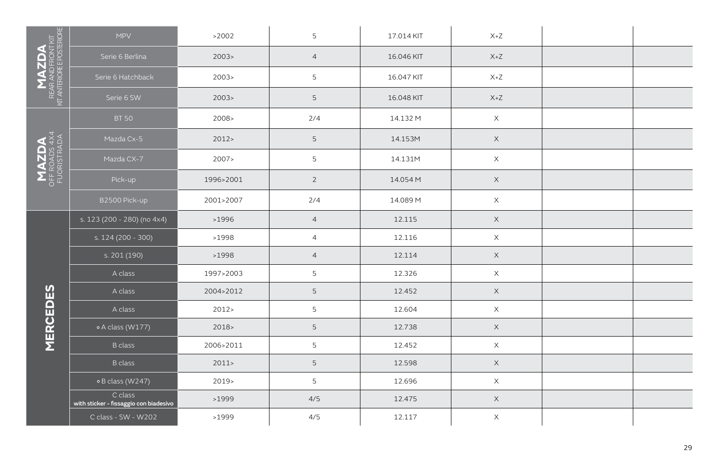| $M_{\rm ALR}^{\rm NMDFDM}$ nt antendree posteriore | <b>MPV</b>                                        | >2002     | 5               | 17.014 KIT | $X+Z$       |  |
|----------------------------------------------------|---------------------------------------------------|-----------|-----------------|------------|-------------|--|
|                                                    | Serie 6 Berlina                                   | 2003      | $\overline{4}$  | 16.046 KIT | $X+Z$       |  |
|                                                    | Serie 6 Hatchback                                 | 2003      | 5               | 16.047 KIT | $X+Z$       |  |
|                                                    | Serie 6 SW                                        | 2003>     | 5               | 16.048 KIT | $X+Z$       |  |
|                                                    | <b>BT 50</b>                                      | 2008 >    | 2/4             | 14.132 M   | $\mathsf X$ |  |
|                                                    | Mazda Cx-5                                        | 2012      | 5               | 14.153M    | $\mathsf X$ |  |
| <b>MAZDA</b><br>OFF ROADS 4X4<br>FUORISTRADA       | Mazda CX-7                                        | 2007>     | $5\phantom{.0}$ | 14.131M    | $\mathsf X$ |  |
|                                                    | Pick-up                                           | 1996>2001 | $\overline{2}$  | 14.054 M   | $\mathsf X$ |  |
|                                                    | B2500 Pick-up                                     | 2001>2007 | 2/4             | 14.089 M   | $\mathsf X$ |  |
|                                                    | s. 123 (200 - 280) (no 4x4)                       | >1996     | $\overline{4}$  | 12.115     | $\mathsf X$ |  |
|                                                    | s. 124 (200 - 300)                                | >1998     | $\overline{4}$  | 12.116     | $\mathsf X$ |  |
|                                                    | s. 201 (190)                                      | >1998     | $\overline{4}$  | 12.114     | $\mathsf X$ |  |
|                                                    | A class                                           | 1997>2003 | 5               | 12.326     | $\mathsf X$ |  |
|                                                    | A class                                           | 2004>2012 | $5\phantom{.}$  | 12.452     | $\mathsf X$ |  |
| <b>MERCEDES</b>                                    | A class                                           | 2012      | 5               | 12.604     | $\mathsf X$ |  |
|                                                    | o A class (W177)                                  | $2018 -$  | 5               | 12.738     | $\mathsf X$ |  |
|                                                    | <b>B</b> class                                    | 2006>2011 | $5\phantom{.0}$ | 12.452     | $\times$    |  |
|                                                    | <b>B</b> class                                    | 2011      | 5               | 12.598     | $\mathsf X$ |  |
|                                                    | o B class (W247)                                  | $2019-$   | 5               | 12.696     | $\mathsf X$ |  |
|                                                    | C class<br>with sticker - fissaggio con biadesivo | >1999     | 4/5             | 12.475     | $\mathsf X$ |  |
|                                                    | C class - SW - W202                               | >1999     | 4/5             | 12.117     | $\mathsf X$ |  |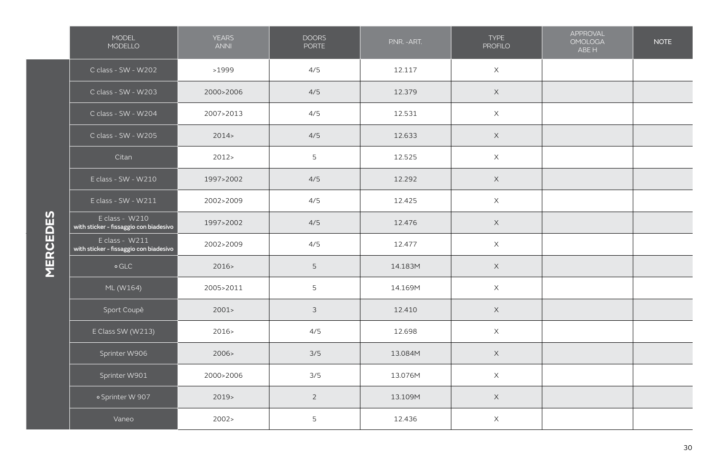|                 | MODEL<br>MODELLO                                         | <b>YEARS</b><br><b>ANNI</b> | <b>DOORS</b><br><b>PORTE</b> | P.NR. - ART. | <b>TYPE</b><br><b>PROFILO</b> | APPROVAL<br><b>OMOLOGA</b><br>ABE H | <b>NOTE</b> |
|-----------------|----------------------------------------------------------|-----------------------------|------------------------------|--------------|-------------------------------|-------------------------------------|-------------|
|                 | C class - SW - W202                                      | >1999                       | 4/5                          | 12.117       | $\mathsf X$                   |                                     |             |
|                 | C class - SW - W203                                      | 2000>2006                   | 4/5                          | 12.379       | $\mathsf X$                   |                                     |             |
|                 | C class - SW - W204                                      | 2007>2013                   | 4/5                          | 12.531       | $\mathsf X$                   |                                     |             |
|                 | C class - SW - W205                                      | 2014                        | 4/5                          | 12.633       | $\mathsf X$                   |                                     |             |
|                 | Citan                                                    | 2012                        | 5                            | 12.525       | $\mathsf X$                   |                                     |             |
|                 | E class - SW - W210                                      | 1997>2002                   | 4/5                          | 12.292       | $\mathsf X$                   |                                     |             |
|                 | E class - SW - W211                                      | 2002>2009                   | 4/5                          | 12.425       | $\mathsf X$                   |                                     |             |
| <b>MERCEDES</b> | E class - W210<br>with sticker - fissaggio con biadesivo | 1997>2002                   | 4/5                          | 12.476       | $\mathsf X$                   |                                     |             |
|                 | E class - W211<br>with sticker - fissaggio con biadesivo | 2002>2009                   | 4/5                          | 12.477       | $\mathsf X$                   |                                     |             |
|                 | $\circ$ GLC                                              | 2016                        | 5                            | 14.183M      | $\mathsf X$                   |                                     |             |
|                 | ML (W164)                                                | 2005>2011                   | 5                            | 14.169M      | $\mathsf X$                   |                                     |             |
|                 | Sport Coupè                                              | 2001                        | $\mathfrak{Z}$               | 12.410       | $\mathsf X$                   |                                     |             |
|                 | E Class SW (W213)                                        | 2016                        | 4/5                          | 12.698       | $\mathsf X$                   |                                     |             |
|                 | Sprinter W906                                            | 2006 >                      | 3/5                          | 13.084M      | $\boldsymbol{\mathsf{X}}$     |                                     |             |
|                 | Sprinter W901                                            | 2000>2006                   | 3/5                          | 13.076M      | $\mathsf X$                   |                                     |             |
|                 | o Sprinter W 907                                         | 2019                        | $\overline{2}$               | 13.109M      | $\mathsf X$                   |                                     |             |
|                 | Vaneo                                                    | 2002 >                      | 5                            | 12.436       | $\boldsymbol{\mathsf{X}}$     |                                     |             |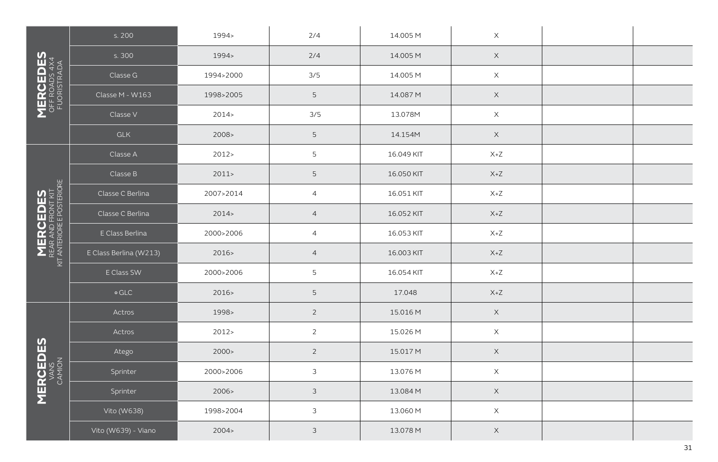|                                                                   | s. 200                 | 1994>     | 2/4             | 14.005 M   | $\mathsf X$               |  |
|-------------------------------------------------------------------|------------------------|-----------|-----------------|------------|---------------------------|--|
|                                                                   | s. 300                 | 1994>     | 2/4             | 14.005 M   | $\mathsf X$               |  |
|                                                                   | Classe G               | 1994>2000 | 3/5             | 14.005 M   | $\mathsf X$               |  |
| <b>MERCEDES</b><br>OFF ROADS 4X4<br>FUORISTRADA                   | Classe M - W163        | 1998>2005 | $5\phantom{.0}$ | 14.087 M   | $\mathsf X$               |  |
|                                                                   | Classe V               | 2014>     | 3/5             | 13.078M    | $\mathsf X$               |  |
|                                                                   | GLK                    | 2008>     | $5\phantom{.0}$ | 14.154M    | $\mathsf X$               |  |
|                                                                   | Classe A               | 2012 >    | 5               | 16.049 KIT | $\mathsf{X}\texttt{+Z}$   |  |
|                                                                   | Classe B               | 2011      | 5               | 16.050 KIT | $X+Z$                     |  |
|                                                                   | Classe C Berlina       | 2007>2014 | $\overline{4}$  | 16.051 KIT | $X+Z$                     |  |
| <b>MERCEDES</b><br>REAR AND FRONT KIT<br>KIT ANTERIORE FOSTERIORE | Classe C Berlina       | 2014      | $\overline{4}$  | 16.052 KIT | $X+Z$                     |  |
|                                                                   | E Class Berlina        | 2000>2006 | $\overline{4}$  | 16.053 KIT | $X+Z$                     |  |
|                                                                   | E Class Berlina (W213) | 2016>     | $\overline{4}$  | 16.003 KIT | $X+Z$                     |  |
|                                                                   | E Class SW             | 2000>2006 | 5               | 16.054 KIT | $X+Z$                     |  |
|                                                                   | $\circ$ GLC            | 2016>     | $\mathsf S$     | 17.048     | $X+Z$                     |  |
|                                                                   | Actros                 | 1998>     | $\overline{2}$  | 15.016 M   | $\mathsf X$               |  |
|                                                                   | Actros                 | 2012 >    | $\overline{2}$  | 15.026 M   | $\mathsf X$               |  |
|                                                                   | Atego                  | 2000 >    | $\overline{2}$  | 15.017 M   | $\mathsf X$               |  |
|                                                                   | Sprinter               | 2000>2006 | $\mathfrak{Z}$  | 13.076 M   | $\mathsf X$               |  |
| <b>MERCEDES</b><br>VANS<br>CAMION                                 | Sprinter               | 2006>     | $\mathfrak{Z}$  | 13.084 M   | $\mathsf X$               |  |
|                                                                   | Vito (W638)            | 1998>2004 | $\mathfrak{Z}$  | 13.060 M   | $\mathsf X$               |  |
|                                                                   | Vito (W639) - Viano    | 2004 >    | 3               | 13.078 M   | $\boldsymbol{\mathsf{X}}$ |  |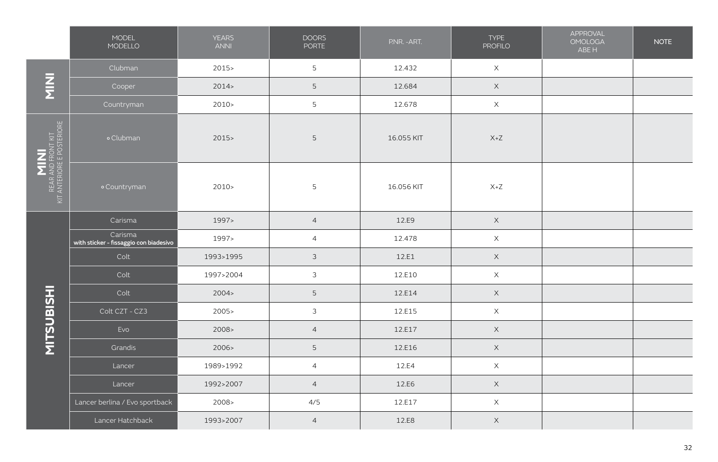|                                                          | MODEL<br>MODELLO                                  | <b>YEARS</b><br><b>ANNI</b> | <b>DOORS</b><br><b>PORTE</b> | P.NR. - ART. | <b>TYPE</b><br><b>PROFILO</b> | APPROVAL<br><b>OMOLOGA</b><br>ABE H | <b>NOTE</b> |
|----------------------------------------------------------|---------------------------------------------------|-----------------------------|------------------------------|--------------|-------------------------------|-------------------------------------|-------------|
|                                                          | Clubman                                           | $2015 -$                    | 5                            | 12.432       | $\mathsf X$                   |                                     |             |
| $\frac{z}{\overline{z}}$                                 | Cooper                                            | 2014                        | 5                            | 12.684       | $\mathsf X$                   |                                     |             |
|                                                          | Countryman                                        | 2010 >                      | 5                            | 12.678       | $\mathsf X$                   |                                     |             |
| MINI<br>Rear and front kit<br>Kit Anteriore e posteriore | o Clubman                                         | 2015                        | $\mathsf S$                  | 16.055 KIT   | $X+Z$                         |                                     |             |
|                                                          | o Countryman                                      | $2010-$                     | $\mathsf S$                  | 16.056 KIT   | $X+Z$                         |                                     |             |
|                                                          | Carisma                                           | 1997>                       | $\overline{4}$               | 12.E9        | $\mathsf X$                   |                                     |             |
|                                                          | Carisma<br>with sticker - fissaggio con biadesivo | 1997>                       | $\overline{4}$               | 12.478       | $\mathsf X$                   |                                     |             |
|                                                          | Colt                                              | 1993>1995                   | $\mathfrak{Z}$               | 12.E1        | $\mathsf X$                   |                                     |             |
|                                                          | Colt                                              | 1997>2004                   | $\mathfrak{Z}$               | 12.E10       | $\mathsf X$                   |                                     |             |
|                                                          | Colt                                              | 2004 >                      | 5                            | 12.E14       | $\mathsf X$                   |                                     |             |
| <b>MITSUBISHI</b>                                        | Colt CZT - CZ3                                    | 2005                        | $\mathfrak{Z}$               | 12.E15       | $\mathsf X$                   |                                     |             |
|                                                          | Evo                                               | 2008 >                      | $\overline{4}$               | 12.E17       | $\mathsf X$                   |                                     |             |
|                                                          | Grandis                                           | 2006>                       | 5                            | 12.E16       | $\mathsf X$                   |                                     |             |
|                                                          | Lancer                                            | 1989>1992                   | $\overline{4}$               | 12.E4        | $\mathsf X$                   |                                     |             |
|                                                          | Lancer                                            | 1992>2007                   | $\overline{4}$               | 12.E6        | $\mathsf X$                   |                                     |             |
|                                                          | Lancer berlina / Evo sportback                    | 2008>                       | 4/5                          | 12.E17       | $\mathsf X$                   |                                     |             |
|                                                          | Lancer Hatchback                                  | 1993>2007                   | $\overline{4}$               | 12.E8        | $\boldsymbol{\mathsf{X}}$     |                                     |             |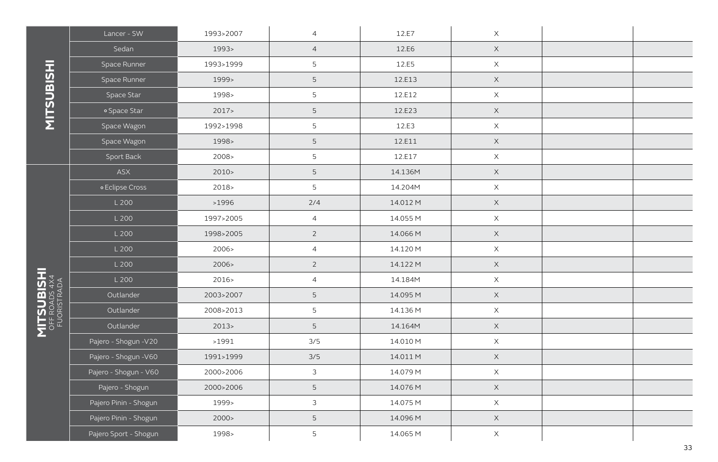|                              | Lancer - SW           | 1993>2007 | $\overline{4}$ | 12.E7    | $\mathsf X$               |  |
|------------------------------|-----------------------|-----------|----------------|----------|---------------------------|--|
|                              | Sedan                 | 1993>     | $\overline{4}$ | 12.E6    | $\mathsf X$               |  |
|                              | Space Runner          | 1993>1999 | 5              | 12.E5    | $\mathsf X$               |  |
|                              | Space Runner          | 1999>     | $\mathsf S$    | 12.E13   | $\mathsf X$               |  |
|                              | Space Star            | 1998>     | 5              | 12.E12   | $\mathsf X$               |  |
|                              | o Space Star          | 2017      | $\mathsf S$    | 12.E23   | $\mathsf X$               |  |
|                              | Space Wagon           | 1992>1998 | 5              | 12.E3    | $\boldsymbol{\mathsf{X}}$ |  |
|                              | Space Wagon           | 1998>     | $\mathsf S$    | 12.E11   | $\mathsf X$               |  |
|                              | Sport Back            | 2008>     | 5              | 12.E17   | $\boldsymbol{\mathsf{X}}$ |  |
|                              | ASX                   | $2010-$   | $\mathsf S$    | 14.136M  | $\mathsf X$               |  |
|                              | o Eclipse Cross       | 2018>     | 5              | 14.204M  | $\boldsymbol{\mathsf{X}}$ |  |
|                              | L 200                 | >1996     | 2/4            | 14.012 M | $\mathsf X$               |  |
|                              | L 200                 | 1997>2005 | $\overline{4}$ | 14.055 M | $\mathsf X$               |  |
|                              | L 200                 | 1998>2005 | $\overline{2}$ | 14.066 M | $\mathsf X$               |  |
|                              | L 200                 | 2006>     | $\overline{4}$ | 14.120 M | $\mathsf X$               |  |
|                              | L 200                 | 2006>     | $\overline{2}$ | 14.122 M | $\mathsf X$               |  |
|                              | L 200                 | 2016>     | $\overline{4}$ | 14.184M  | $\mathsf X$               |  |
| OFF ROADS 4X4<br>FUORISTRADA | Outlander             | 2003>2007 | 5              | 14.095 M | $\mathsf X$               |  |
|                              | Outlander             | 2008>2013 | 5              | 14.136 M | $\mathsf X$               |  |
|                              | Outlander             | 2013      | 5              | 14.164M  | $\times$                  |  |
|                              | Pajero - Shogun - V20 | >1991     | 3/5            | 14.010 M | $\mathsf X$               |  |
|                              | Pajero - Shogun - V60 | 1991>1999 | 3/5            | 14.011 M | $\mathsf X$               |  |
|                              | Pajero - Shogun - V60 | 2000>2006 | 3              | 14.079 M | $\mathsf X$               |  |
|                              | Pajero - Shogun       | 2000>2006 | 5              | 14.076 M | $\times$                  |  |
|                              | Pajero Pinin - Shogun | 1999>     | 3              | 14.075 M | $\mathsf X$               |  |
|                              | Pajero Pinin - Shogun | 2000 >    | $\mathsf S$    | 14.096 M | $\mathsf X$               |  |
|                              | Pajero Sport - Shogun | 1998>     | 5              | 14.065 M | $\boldsymbol{\mathsf{X}}$ |  |

**MITSUBISHI** n

**MITSUBISHI MITSUBISHI**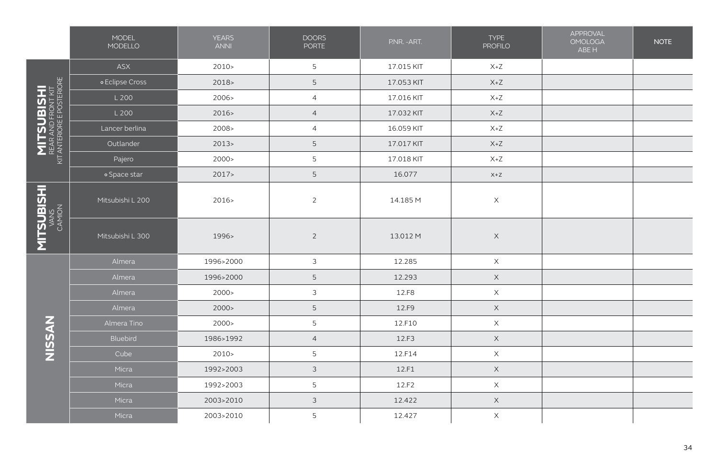|                                                                     | MODEL<br>MODELLO | <b>YEARS</b><br><b>ANNI</b> | <b>DOORS</b><br><b>PORTE</b> | P.NR. - ART. | <b>TYPE</b><br><b>PROFILO</b> | APPROVAL<br><b>OMOLOGA</b><br>ABE H | <b>NOTE</b> |
|---------------------------------------------------------------------|------------------|-----------------------------|------------------------------|--------------|-------------------------------|-------------------------------------|-------------|
|                                                                     | ASX              | $2010-$                     | 5                            | 17.015 KIT   | $X+Z$                         |                                     |             |
|                                                                     | • Eclipse Cross  | 2018>                       | 5                            | 17.053 KIT   | $X+Z$                         |                                     |             |
|                                                                     | L 200            | 2006>                       | $\overline{4}$               | 17.016 KIT   | $X+Z$                         |                                     |             |
| <b>MITSUBISHI</b><br>REAR AND FRONT KIT<br>KIT ANTERIORE POSTERIORE | L 200            | 2016>                       | $\overline{4}$               | 17.032 KIT   | $X+Z$                         |                                     |             |
|                                                                     | Lancer berlina   | 2008 >                      | $\overline{4}$               | 16.059 KIT   | $X+Z$                         |                                     |             |
|                                                                     | Outlander        | 2013                        | 5                            | 17.017 KIT   | $X+Z$                         |                                     |             |
|                                                                     | Pajero           | 2000 >                      | 5                            | 17.018 KIT   | $X+Z$                         |                                     |             |
|                                                                     | o Space star     | 2017                        | 5                            | 16.077       | $X+Z$                         |                                     |             |
| <b>MITSUBISHI</b><br>VANS<br>CAMION                                 | Mitsubishi L 200 | 2016>                       | $\overline{2}$               | 14.185 M     | $\boldsymbol{\mathsf{X}}$     |                                     |             |
|                                                                     | Mitsubishi L 300 | 1996>                       | $\overline{2}$               | 13.012 M     | $\mathsf X$                   |                                     |             |
|                                                                     | Almera           | 1996>2000                   | 3                            | 12.285       | $\mathsf X$                   |                                     |             |
|                                                                     | Almera           | 1996>2000                   | 5                            | 12.293       | $\mathsf X$                   |                                     |             |
|                                                                     | Almera           | 2000 >                      | $\mathfrak{Z}$               | 12.F8        | $\times$                      |                                     |             |
|                                                                     | Almera           | 2000 >                      | $\mathsf S$                  | 12.F9        | $\mathsf X$                   |                                     |             |
|                                                                     | Almera Tino      | 2000 >                      | 5                            | 12.F10       | $\mathsf X$                   |                                     |             |
| NISSAN                                                              | Bluebird         | 1986>1992                   | $\overline{4}$               | 12.F3        | $\mathsf X$                   |                                     |             |
|                                                                     | Cube             | $2010-$                     | 5                            | 12.F14       | $\boldsymbol{\mathsf{X}}$     |                                     |             |
|                                                                     | Micra            | 1992>2003                   | 3                            | 12.F1        | $\mathsf X$                   |                                     |             |
|                                                                     | Micra            | 1992>2003                   | 5                            | 12.F2        | X                             |                                     |             |
|                                                                     | Micra            | 2003>2010                   | $\mathfrak I$                | 12.422       | $\mathsf X$                   |                                     |             |
|                                                                     | Micra            | 2003>2010                   | 5                            | 12.427       | $\boldsymbol{\mathsf{X}}$     |                                     |             |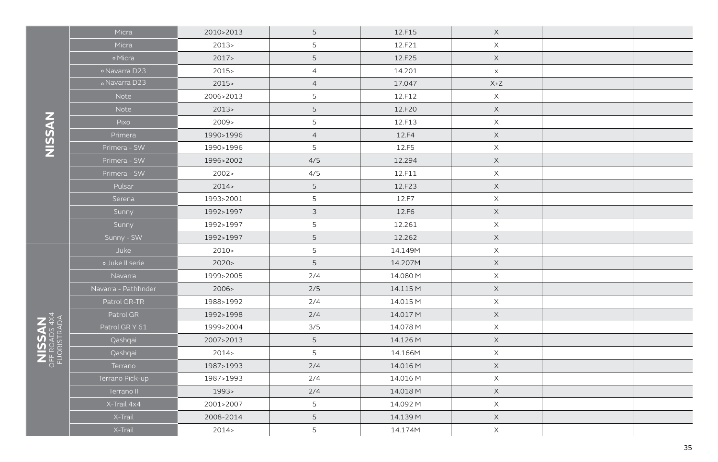|             | Micra                | 2010>2013 | 5              | 12.F15   | $\times$              |  |
|-------------|----------------------|-----------|----------------|----------|-----------------------|--|
|             | Micra                | 2013      | 5              | 12.F21   | $\times$              |  |
|             | o Micra              | 2017      | $\mathsf S$    | 12.F25   | $\mathsf X$           |  |
|             | o Navarra D23        | 2015      | $\overline{4}$ | 14.201   | $\boldsymbol{\times}$ |  |
|             | o Navarra D23        | 2015      | $\overline{4}$ | 17.047   | $X+Z$                 |  |
|             | Note                 | 2006>2013 | 5              | 12.F12   | $\mathsf X$           |  |
|             | Note                 | 2013      | $\mathsf S$    | 12.F20   | $\mathsf X$           |  |
|             | Pixo                 | 2009>     | 5              | 12.F13   | $\mathsf X$           |  |
|             | Primera              | 1990>1996 | $\overline{4}$ | 12.F4    | $\mathsf X$           |  |
|             | Primera - SW         | 1990>1996 | 5              | 12.F5    | $\times$              |  |
|             | Primera - SW         | 1996>2002 | 4/5            | 12.294   | $\mathsf X$           |  |
|             | Primera - SW         | 2002 >    | 4/5            | 12.F11   | $\mathsf X$           |  |
|             | Pulsar               | 2014      | $\overline{5}$ | 12.F23   | $\mathsf X$           |  |
|             | Serena               | 1993>2001 | 5              | 12.F7    | $\mathsf X$           |  |
|             | Sunny                | 1992>1997 | $\mathfrak{Z}$ | 12.F6    | $\mathsf X$           |  |
|             | Sunny                | 1992>1997 | 5              | 12.261   | $\mathsf X$           |  |
|             | Sunny - SW           | 1992>1997 | $\mathsf S$    | 12.262   | $\mathsf X$           |  |
|             | Juke                 | $2010-$   | 5              | 14.149M  | $\mathsf X$           |  |
|             | o Juke II serie      | 2020      | $\mathsf S$    | 14.207M  | $\mathsf X$           |  |
|             | Navarra              | 1999>2005 | 2/4            | 14.080 M | $\mathsf X$           |  |
|             | Navarra - Pathfinder | 2006>     | 2/5            | 14.115 M | $\mathsf X$           |  |
|             | Patrol GR-TR         | 1988>1992 | 2/4            | 14.015 M | $\mathsf X$           |  |
|             | Patrol GR            | 1992>1998 | 2/4            | 14.017 M | $\mathsf X$           |  |
| FUORISTRADA | Patrol GR Y 61       | 1999>2004 | 3/5            | 14.078 M | $\mathsf X$           |  |
|             | Qashqai              | 2007>2013 | 5              | 14.126 M | $\mathsf X$           |  |
|             | Qashqai              | 2014      | 5              | 14.166M  | $\mathsf X$           |  |
|             | Terrano              | 1987>1993 | 2/4            | 14.016 M | $\mathsf X$           |  |
|             | Terrano Pick-up      | 1987>1993 | 2/4            | 14.016 M | $\mathsf X$           |  |
|             | Terrano II           | 1993>     | 2/4            | 14.018 M | $\mathsf X$           |  |
|             | X-Trail 4x4          | 2001>2007 | 5              | 14.092 M | $\mathsf X$           |  |
|             | X-Trail              | 2008-2014 | $\mathsf S$    | 14.139 M | $\mathsf X$           |  |
|             | X-Trail              | 2014      | 5              | 14.174M  | $\mathsf X$           |  |

**NISSAN**

**NISSAN** Off Roads 4x4

35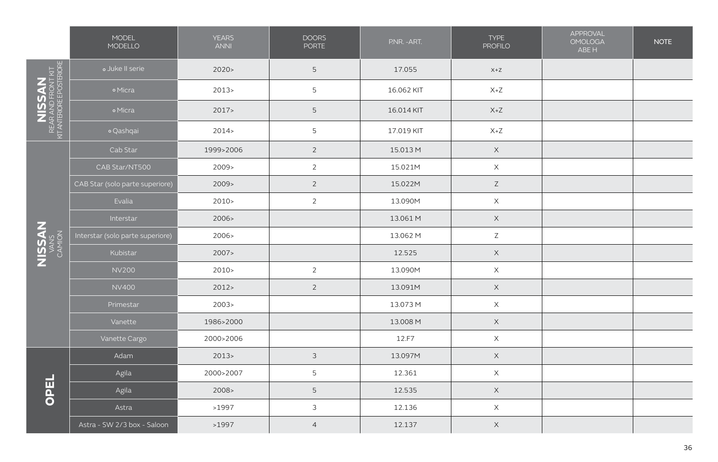|                                                        | MODEL<br>MODELLO                 | <b>YEARS</b><br><b>ANNI</b> | <b>DOORS</b><br><b>PORTE</b> | P.NR. - ART. | <b>TYPE</b><br><b>PROFILO</b>      | APPROVAL<br><b>OMOLOGA</b><br>ABE H | <b>NOTE</b> |
|--------------------------------------------------------|----------------------------------|-----------------------------|------------------------------|--------------|------------------------------------|-------------------------------------|-------------|
| NISSAN<br>REAR AND FRONT KIT<br>KIT ANTENORE POSTERORE | o Juke II serie                  | 2020                        | 5                            | 17.055       | $X+Z$                              |                                     |             |
|                                                        | o Micra                          | $2013-$                     | 5                            | 16.062 KIT   | $\mathsf{X} \texttt{+} \mathsf{Z}$ |                                     |             |
|                                                        | · Micra                          | 2017                        | 5                            | 16.014 KIT   | $X+Z$                              |                                     |             |
|                                                        | · Qashqai                        | 2014                        | 5                            | 17.019 KIT   | $X+Z$                              |                                     |             |
|                                                        | Cab Star                         | 1999>2006                   | $\overline{2}$               | 15.013 M     | $\mathsf X$                        |                                     |             |
|                                                        | CAB Star/NT500                   | $2009 -$                    | $\overline{2}$               | 15.021M      | $\mathsf X$                        |                                     |             |
|                                                        | CAB Star (solo parte superiore)  | 2009                        | $\overline{2}$               | 15.022M      | $\mathsf Z$                        |                                     |             |
|                                                        | Evalia                           | $2010-$                     | $\overline{2}$               | 13.090M      | $\mathsf X$                        |                                     |             |
|                                                        | Interstar                        | 2006>                       |                              | 13.061 M     | $\mathsf X$                        |                                     |             |
| NISSAN                                                 | Interstar (solo parte superiore) | 2006>                       |                              | 13.062 M     | $\mathsf Z$                        |                                     |             |
|                                                        | Kubistar                         | 2007                        |                              | 12.525       | $\times$                           |                                     |             |
|                                                        | <b>NV200</b>                     | $2010-$                     | $\overline{2}$               | 13.090M      | $\boldsymbol{\mathsf{X}}$          |                                     |             |
|                                                        | <b>NV400</b>                     | 2012                        | $\overline{2}$               | 13.091M      | $\mathsf X$                        |                                     |             |
|                                                        | Primestar                        | 2003                        |                              | 13.073 M     | $\mathsf X$                        |                                     |             |
|                                                        | Vanette                          | 1986>2000                   |                              | 13.008 M     | $\mathsf X$                        |                                     |             |
|                                                        | Vanette Cargo                    | 2000>2006                   |                              | 12.F7        | $\mathsf X$                        |                                     |             |
|                                                        | Adam                             | 2013                        | $\mathfrak{Z}$               | 13.097M      | $\mathsf X$                        |                                     |             |
|                                                        | Agila                            | 2000>2007                   | 5                            | 12.361       | $\times$                           |                                     |             |
| OPEL                                                   | Agila                            | 2008 >                      | 5                            | 12.535       | $\mathsf X$                        |                                     |             |
|                                                        | Astra                            | >1997                       | 3                            | 12.136       | $\mathsf X$                        |                                     |             |
|                                                        | Astra - SW 2/3 box - Saloon      | >1997                       | $\overline{4}$               | 12.137       | $\boldsymbol{\mathsf{X}}$          |                                     |             |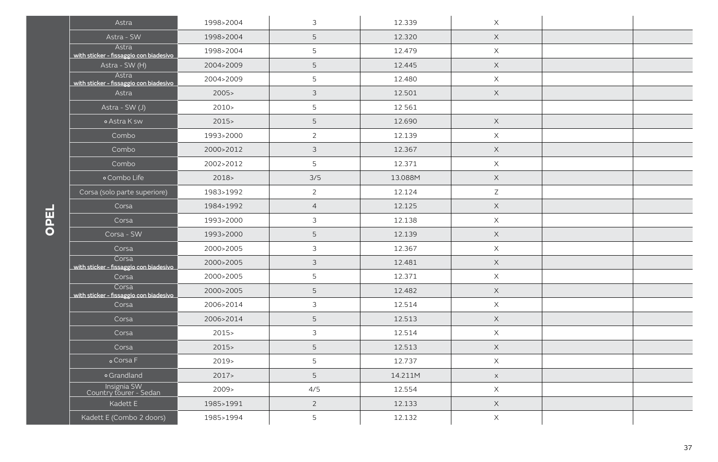| Astra                                           | 1998>2004     | 3              | 12.339  | $\times$    |  |
|-------------------------------------------------|---------------|----------------|---------|-------------|--|
| Astra - SW                                      | 1998>2004     | 5              | 12.320  | $\mathsf X$ |  |
| Astra<br>with sticker - fissaggio con biadesivo | 1998>2004     | 5              | 12.479  | $\times$    |  |
| Astra - SW (H)                                  | 2004>2009     | 5              | 12.445  | $\mathsf X$ |  |
| Astra<br>with sticker - fissaggio con biadesivo | 2004>2009     | 5              | 12.480  | $\times$    |  |
| Astra                                           | 2005          | $\mathfrak{Z}$ | 12.501  | $\mathsf X$ |  |
| Astra - SW (J)                                  | $2010 \times$ | 5              | 12561   |             |  |
| o Astra K sw                                    | $2015 -$      | 5              | 12.690  | $\mathsf X$ |  |
| Combo                                           | 1993>2000     | $\overline{2}$ | 12.139  | $\times$    |  |
| Combo                                           | 2000>2012     | 3              | 12.367  | $\times$    |  |
| Combo                                           | 2002>2012     | 5              | 12.371  | $\times$    |  |
| o Combo Life                                    | 2018          | 3/5            | 13.088M | $\times$    |  |
| Corsa (solo parte superiore)                    | 1983>1992     | $\overline{2}$ | 12.124  | $\mathsf Z$ |  |
| Corsa                                           | 1984>1992     | $\overline{4}$ | 12.125  | $\mathsf X$ |  |
| Corsa                                           | 1993>2000     | 3              | 12.138  | $\times$    |  |
| Corsa - SW                                      | 1993>2000     | 5              | 12.139  | $\mathsf X$ |  |
| Corsa                                           | 2000>2005     | 3              | 12.367  | $\mathsf X$ |  |
| Corsa<br>with sticker - fissaggio con biadesivo | 2000>2005     | 3              | 12.481  | $\mathsf X$ |  |
| Corsa                                           | 2000>2005     | 5              | 12.371  | $\times$    |  |
| Corsa<br>with sticker - fissaggio con biadesivo | 2000>2005     | 5              | 12.482  | $\mathsf X$ |  |
| Corsa                                           | 2006>2014     | 3              | 12.514  | $\times$    |  |
| Corsa                                           | 2006>2014     | 5              | 12.513  | $\times$    |  |
| Corsa                                           | $2015-$       | $\mathfrak{Z}$ | 12.514  | $\times$    |  |
| Corsa                                           | 2015          | 5              | 12.513  | $\mathsf X$ |  |
| o Corsa F                                       | $2019-$       | 5              | 12.737  | $\times$    |  |
| o Grandland                                     | 2017          | 5              | 14.211M | $\times$    |  |
| Insignia SW<br>Country tourer - Sedan           | 2009          | 4/5            | 12.554  | $\times$    |  |
| Kadett E                                        | 1985>1991     | $\overline{2}$ | 12.133  | $\times$    |  |
| Kadett E (Combo 2 doors)                        | 1985>1994     | 5              | 12.132  | $\times$    |  |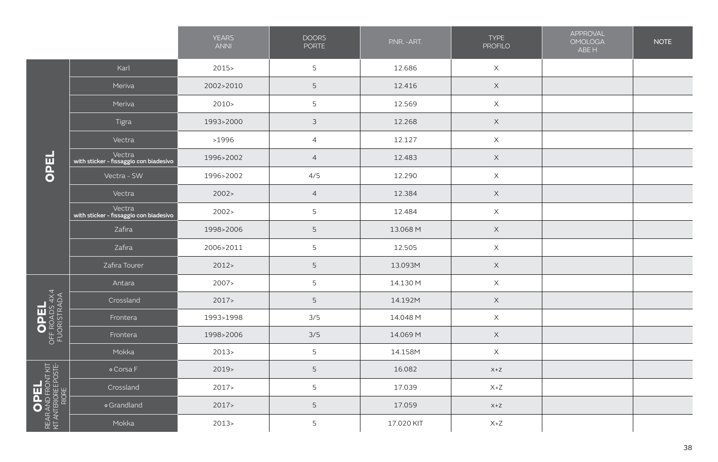|                                                                                                                                             |                                                  | <b>YEARS</b><br><b>ANNI</b> | <b>DOORS</b><br>PORTE | P.NR. - ART. | <b>TYPE</b><br><b>PROFILO</b> | APPROVAL<br><b>OMOLOGA</b><br>ABE H | <b>NOTE</b> |
|---------------------------------------------------------------------------------------------------------------------------------------------|--------------------------------------------------|-----------------------------|-----------------------|--------------|-------------------------------|-------------------------------------|-------------|
|                                                                                                                                             | Karl                                             | 2015                        | 5                     | 12.686       | $\times$                      |                                     |             |
|                                                                                                                                             | Meriva                                           | 2002>2010                   | 5                     | 12.416       | $\times$                      |                                     |             |
|                                                                                                                                             | Meriva                                           | 2010 >                      | 5                     | 12.569       | $\mathsf X$                   |                                     |             |
|                                                                                                                                             | Tigra                                            | 1993>2000                   | $\mathfrak{Z}$        | 12.268       | $\boldsymbol{\times}$         |                                     |             |
|                                                                                                                                             | Vectra                                           | >1996                       | $\overline{4}$        | 12.127       | $\mathsf X$                   |                                     |             |
| OPEL                                                                                                                                        | Vectra<br>with sticker - fissaggio con biadesivo | 1996>2002                   | $\overline{4}$        | 12.483       | $\times$                      |                                     |             |
|                                                                                                                                             | Vectra - SW                                      | 1996>2002                   | 4/5                   | 12.290       | $\mathsf X$                   |                                     |             |
|                                                                                                                                             | Vectra                                           | 2002 >                      | $\overline{4}$        | 12.384       | $\mathsf X$                   |                                     |             |
|                                                                                                                                             | Vectra<br>with sticker - fissaggio con biadesivo | 2002 >                      | 5                     | 12.484       | $\mathsf X$                   |                                     |             |
|                                                                                                                                             | Zafira                                           | 1998>2006                   | 5                     | 13.068 M     | $\mathsf X$                   |                                     |             |
|                                                                                                                                             | Zafira                                           | 2006>2011                   | 5                     | 12.505       | $\mathsf X$                   |                                     |             |
|                                                                                                                                             | Zafira Tourer                                    | 2012                        | 5                     | 13.093M      | $\mathsf X$                   |                                     |             |
|                                                                                                                                             | Antara                                           | 2007>                       | 5                     | 14.130 M     | $\mathsf X$                   |                                     |             |
| $\begin{array}{c}\n\bigcirc \mathsf{PEL}\n\\ \n\circ \mathsf{FF\ ROMDS} \n\downarrow \n\downarrow \n\\ \n\mathsf{FUORISTRADA}\n\end{array}$ | Crossland                                        | 2017                        | 5                     | 14.192M      | $\times$                      |                                     |             |
|                                                                                                                                             | Frontera                                         | 1993>1998                   | 3/5                   | 14.048 M     | $\mathsf X$                   |                                     |             |
|                                                                                                                                             | Frontera                                         | 1998>2006                   | 3/5                   | 14.069 M     | $\times$                      |                                     |             |
|                                                                                                                                             | Mokka                                            | 2013                        | 5                     | 14.158M      | $\mathsf X$                   |                                     |             |
|                                                                                                                                             | o Corsa F                                        | 2019                        | 5                     | 16.082       | $X+Z$                         |                                     |             |
|                                                                                                                                             | Crossland                                        | 2017                        | 5                     | 17.039       | $X+Z$                         |                                     |             |
| NEAR AND FRONT KIT                                                                                                                          | o Grandland                                      | 2017>                       | 5                     | 17.059       | $X+Z$                         |                                     |             |
|                                                                                                                                             | Mokka                                            | 2013                        | 5                     | 17.020 KIT   | $X+Z$                         |                                     |             |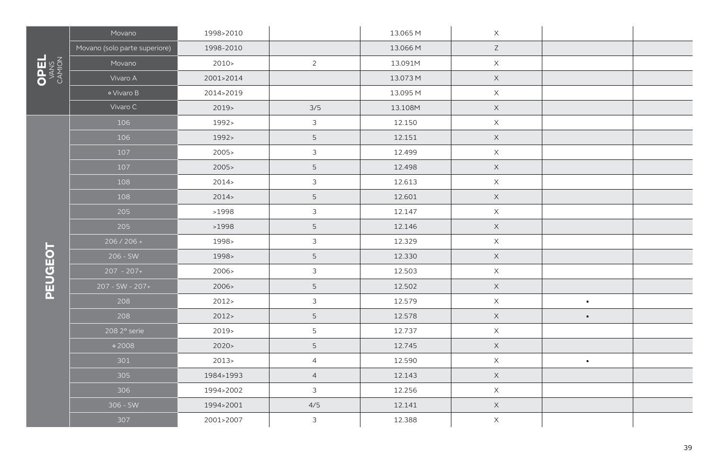|              | Movano                        | 1998>2010 |                | 13.065 M | $\mathsf X$               |                |  |
|--------------|-------------------------------|-----------|----------------|----------|---------------------------|----------------|--|
|              | Movano (solo parte superiore) | 1998-2010 |                | 13.066 M | $\mathsf Z$               |                |  |
|              | Movano                        | 2010      | $\overline{2}$ | 13.091M  | $\mathsf X$               |                |  |
| OPEL<br>VANS | Vivaro A                      | 2001>2014 |                | 13.073 M | $\mathsf X$               |                |  |
|              | o Vivaro B                    | 2014>2019 |                | 13.095 M | $\mathsf X$               |                |  |
|              | Vivaro C                      | $2019-$   | 3/5            | 13.108M  | $\mathsf X$               |                |  |
|              | 106                           | 1992>     | $\mathfrak{Z}$ | 12.150   | $\mathsf X$               |                |  |
|              | 106                           | 1992>     | 5              | 12.151   | $\times$                  |                |  |
|              | 107                           | 2005      | $\mathfrak{Z}$ | 12.499   | $\mathsf X$               |                |  |
|              | 107                           | 2005      | 5              | 12.498   | $\mathsf X$               |                |  |
|              | 108                           | 2014      | $\mathfrak{Z}$ | 12.613   | $\mathsf X$               |                |  |
|              | 108                           | 2014      | 5              | 12.601   | $\mathsf X$               |                |  |
|              | 205                           | >1998     | $\mathfrak{Z}$ | 12.147   | $\mathsf X$               |                |  |
|              | 205                           | >1998     | 5              | 12.146   | $\mathsf X$               |                |  |
|              | $206 / 206 +$                 | 1998>     | $\mathfrak{Z}$ | 12.329   | $\mathsf X$               |                |  |
|              | $206 - SW$                    | 1998>     | 5              | 12.330   | $\mathsf X$               |                |  |
|              | $207 - 207 +$                 | 2006>     | $\mathfrak{Z}$ | 12.503   | $\mathsf X$               |                |  |
| PEUGEOT      | $207 - SW - 207 +$            | 2006>     | 5              | 12.502   | $\mathsf X$               |                |  |
|              | 208                           | 2012 >    | $\mathfrak{Z}$ | 12.579   | $\mathsf X$               | $\blacksquare$ |  |
|              | 208                           | 2012      | 5              | 12.578   | $\mathsf X$               | $\blacksquare$ |  |
|              | 208 2° serie                  | 2019>     | 5              | 12.737   | $\mathsf X$               |                |  |
|              | $\circ$ 2008                  | 2020      | 5              | 12.745   | $\mathsf X$               |                |  |
|              | 301                           | 2013      | $\overline{4}$ | 12.590   | $\mathsf X$               | $\blacksquare$ |  |
|              | 305                           | 1984>1993 | $\overline{4}$ | 12.143   | $\mathsf X$               |                |  |
|              | 306                           | 1994>2002 | $\mathfrak{Z}$ | 12.256   | $\mathsf X$               |                |  |
|              | $306 - SW$                    | 1994>2001 | 4/5            | 12.141   | $\mathsf X$               |                |  |
|              | 307                           | 2001>2007 | $\mathfrak{Z}$ | 12.388   | $\boldsymbol{\mathsf{X}}$ |                |  |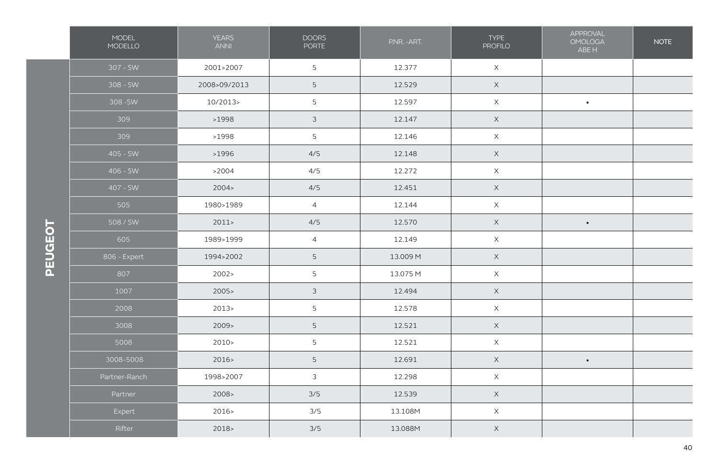|         | MODEL<br>MODELLO | <b>YEARS</b><br><b>ANNI</b> | <b>DOORS</b><br><b>PORTE</b> | P.NR. - ART. | TYPE<br><b>PROFILO</b> | APPROVAL<br><b>OMOLOGA</b><br>ABE H | <b>NOTE</b> |
|---------|------------------|-----------------------------|------------------------------|--------------|------------------------|-------------------------------------|-------------|
|         | 307 - SW         | 2001>2007                   | $5\phantom{.}$               | 12.377       | $\mathsf X$            |                                     |             |
|         | $308 - SW$       | 2008>09/2013                | $\overline{5}$               | 12.529       | $\mathsf X$            |                                     |             |
|         | 308 - SW         | 10/2013>                    | $\overline{5}$               | 12.597       | $\mathsf X$            | $\blacksquare$                      |             |
|         | 309              | >1998                       | $\mathfrak{Z}$               | 12.147       | $\mathsf X$            |                                     |             |
|         | 309              | >1998                       | 5                            | 12.146       | $\mathsf X$            |                                     |             |
|         | $405 - SW$       | >1996                       | 4/5                          | 12.148       | $\mathsf X$            |                                     |             |
|         | 406 - SW         | >2004                       | 4/5                          | 12.272       | $\mathsf X$            |                                     |             |
|         | 407 - SW         | 2004 >                      | 4/5                          | 12.451       | $\mathsf X$            |                                     |             |
|         | 505              | 1980>1989                   | $\overline{4}$               | 12.144       | $\mathsf X$            |                                     |             |
|         | 508/SW           | 2011                        | 4/5                          | 12.570       | $\mathsf X$            | $\blacksquare$                      |             |
| PEUGEOT | 605              | 1989>1999                   | $\overline{4}$               | 12.149       | $\mathsf X$            |                                     |             |
|         | 806 - Expert     | 1994>2002                   | $\mathsf S$                  | 13.009 M     | $\mathsf X$            |                                     |             |
|         | 807              | 2002 >                      | 5                            | 13.075 M     | $\mathsf X$            |                                     |             |
|         | 1007             | 2005                        | $\mathfrak{Z}$               | 12.494       | $\mathsf X$            |                                     |             |
|         | 2008             | 2013                        | $\overline{5}$               | 12.578       | $\mathsf X$            |                                     |             |
|         | 3008             | 2009                        | $\mathsf S$                  | 12.521       | $\mathsf X$            |                                     |             |
|         | 5008             | 2010 >                      | 5                            | 12.521       | $\mathsf X$            |                                     |             |
|         | 3008-5008        | 2016                        | $\mathsf S$                  | 12.691       | $\mathsf X$            | $\blacksquare$                      |             |
|         | Partner-Ranch    | 1998>2007                   | $\mathfrak{Z}$               | 12.298       | $\mathsf X$            |                                     |             |
|         | Partner          | 2008 >                      | 3/5                          | 12.539       | $\mathsf X$            |                                     |             |
|         | Expert           | 2016                        | 3/5                          | 13.108M      | $\mathsf X$            |                                     |             |
|         | Rifter           | $2018 -$                    | 3/5                          | 13.088M      | $\mathsf X$            |                                     |             |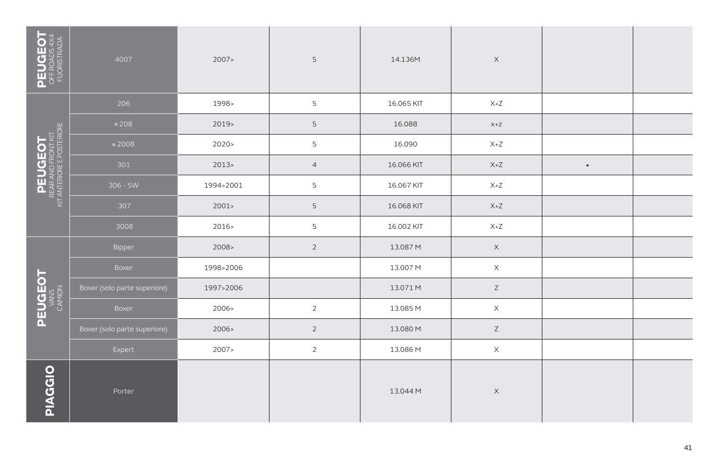| PEUGEOT<br>OFFROADS 4X4<br>FUORISTRADA                    | 4007                         | 2007      | $5\phantom{.0}$ | 14.136M    | $\mathsf X$                        |                |  |
|-----------------------------------------------------------|------------------------------|-----------|-----------------|------------|------------------------------------|----------------|--|
|                                                           | 206                          | 1998>     | 5               | 16.065 KIT | $X+Z$                              |                |  |
|                                                           | $\circ$ 208                  | $2019-$   | 5               | 16.088     | $X+Z$                              |                |  |
| PEUGEOT<br>REAR AND FRONT KIT<br>KIT ANTERIORE POSTERIORE | $\circ$ 2008                 | 2020      | 5               | 16.090     | $X+Z$                              |                |  |
|                                                           | 301                          | 2013      | $\overline{4}$  | 16.066 KIT | $X+Z$                              | $\blacksquare$ |  |
|                                                           | $306 - SW$                   | 1994>2001 | 5               | 16.067 KIT | $\mathsf{X} \texttt{+} \mathsf{Z}$ |                |  |
|                                                           | 307                          | 2001      | 5               | 16.068 KIT | $X+Z$                              |                |  |
|                                                           | 3008                         | 2016>     | 5               | 16.002 KIT | $X+Z$                              |                |  |
|                                                           | Bipper                       | 2008 >    | $\overline{2}$  | 13.087 M   | $\mathsf X$                        |                |  |
|                                                           | Boxer                        | 1998>2006 |                 | 13.007 M   | $\mathsf X$                        |                |  |
| PEUGEOT                                                   | Boxer (solo parte superiore) | 1997>2006 |                 | 13.071 M   | $\mathsf Z$                        |                |  |
|                                                           | Boxer                        | 2006>     | $\overline{2}$  | 13.085 M   | $\mathsf X$                        |                |  |
|                                                           | Boxer (solo parte superiore) | 2006>     | $\overline{2}$  | 13.080 M   | $\mathsf Z$                        |                |  |
|                                                           | Expert                       | 2007>     | $\overline{2}$  | 13.086 M   | $\mathsf X$                        |                |  |
| <b>PIAGGIO</b>                                            | Porter                       |           |                 | 13.044 M   | $\mathsf X$                        |                |  |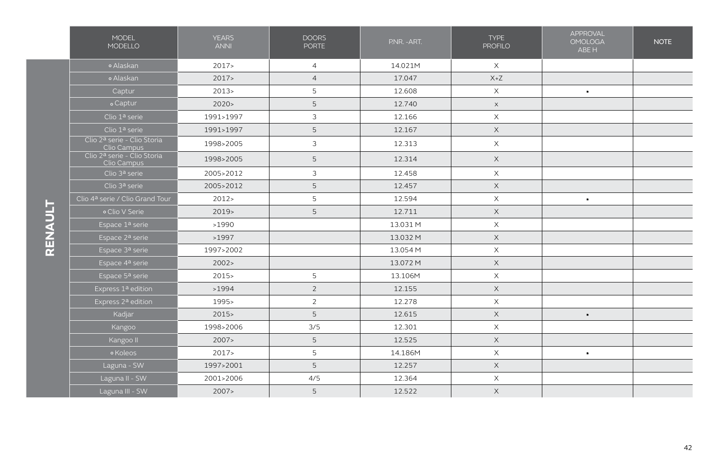|         | <b>MODEL</b><br><b>MODELLO</b>             | <b>YEARS</b><br><b>ANNI</b> | <b>DOORS</b><br><b>PORTE</b> | P.NR. - ART. | <b>TYPE</b><br><b>PROFILO</b> | APPROVAL<br><b>OMOLOGA</b><br>ABE H | <b>NOTE</b> |
|---------|--------------------------------------------|-----------------------------|------------------------------|--------------|-------------------------------|-------------------------------------|-------------|
|         | o Alaskan                                  | 2017                        | $\overline{4}$               | 14.021M      | $\times$                      |                                     |             |
|         | o Alaskan                                  | 2017                        | $\overline{4}$               | 17.047       | $X+Z$                         |                                     |             |
|         | Captur                                     | 2013                        | 5                            | 12.608       | $\times$                      | $\blacksquare$                      |             |
|         | o Captur                                   | 2020                        | 5                            | 12.740       | $\times$                      |                                     |             |
|         | Clio 1ª serie                              | 1991>1997                   | $\mathfrak{Z}$               | 12.166       | $\times$                      |                                     |             |
|         | Clio 1ª serie                              | 1991>1997                   | 5                            | 12.167       | $\mathsf X$                   |                                     |             |
|         | Clio 2ª serie - Clio Storia<br>Clio Campus | 1998>2005                   | $\mathfrak{Z}$               | 12.313       | $\mathsf X$                   |                                     |             |
|         | Clio 2ª serie - Clio Storia<br>Clio Campus | 1998>2005                   | 5                            | 12.314       | $\times$                      |                                     |             |
|         | Clio 3ª serie                              | 2005>2012                   | $\mathfrak{Z}$               | 12.458       | $\times$                      |                                     |             |
|         | Clio 3ª serie                              | 2005>2012                   | 5                            | 12.457       | $\mathsf X$                   |                                     |             |
|         | Clio 4ª serie / Clio Grand Tour            | 2012 >                      | 5                            | 12.594       | $\times$                      | $\blacksquare$                      |             |
| RENAULT | o Clio V Serie                             | $2019-$                     | 5                            | 12.711       | $\mathsf X$                   |                                     |             |
|         | Espace 1ª serie                            | >1990                       |                              | 13.031 M     | $\mathsf X$                   |                                     |             |
|         | Espace 2ª serie                            | >1997                       |                              | 13.032 M     | $\mathsf X$                   |                                     |             |
|         | Espace 3ª serie                            | 1997>2002                   |                              | 13.054 M     | $\times$                      |                                     |             |
|         | Espace 4ª serie                            | 2002 >                      |                              | 13.072 M     | $\mathsf X$                   |                                     |             |
|         | Espace 5ª serie                            | $2015 -$                    | 5                            | 13.106M      | $\mathsf X$                   |                                     |             |
|         | Express 1ª edition                         | >1994                       | $\overline{2}$               | 12.155       | $\mathsf X$                   |                                     |             |
|         | Express 2ª edition                         | 1995>                       | $\overline{2}$               | 12.278       | $\times$                      |                                     |             |
|         | Kadjar                                     | 2015                        | 5                            | 12.615       | $\times$                      | $\blacksquare$                      |             |
|         | Kangoo                                     | 1998>2006                   | 3/5                          | 12.301       | $\times$                      |                                     |             |
|         | Kangoo II                                  | 2007                        | 5                            | 12.525       | $\mathsf X$                   |                                     |             |
|         | <sup>o</sup> Koleos                        | 2017                        | 5                            | 14.186M      | $\times$                      | $\blacksquare$                      |             |
|         | Laguna - SW                                | 1997>2001                   | 5                            | 12.257       | $\times$                      |                                     |             |
|         | Laguna II - SW                             | 2001>2006                   | 4/5                          | 12.364       | $\mathsf X$                   |                                     |             |
|         | Laguna III - SW                            | 2007                        | 5                            | 12.522       | $\times$                      |                                     |             |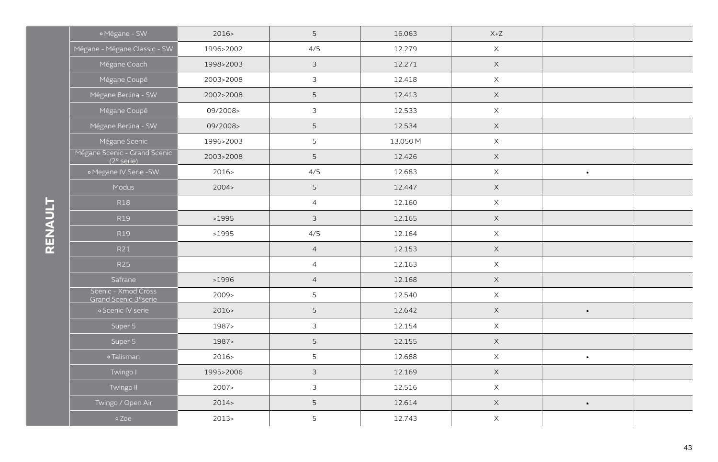| o Mégane - SW                                | 2016      | 5              | 16.063   | $X+Z$       |                |  |
|----------------------------------------------|-----------|----------------|----------|-------------|----------------|--|
| Mégane - Mégane Classic - SW                 | 1996>2002 | 4/5            | 12.279   | $\mathsf X$ |                |  |
| Mégane Coach                                 | 1998>2003 | $\mathfrak{Z}$ | 12.271   | $\mathsf X$ |                |  |
| Mégane Coupé                                 | 2003>2008 | $\mathfrak{Z}$ | 12.418   | $\mathsf X$ |                |  |
| Mégane Berlina - SW                          | 2002>2008 | 5              | 12.413   | $\mathsf X$ |                |  |
| Mégane Coupé                                 | 09/2008>  | $\mathfrak{Z}$ | 12.533   | $\mathsf X$ |                |  |
| Mégane Berlina - SW                          | 09/2008>  | 5              | 12.534   | $\mathsf X$ |                |  |
| Mégane Scenic                                | 1996>2003 | 5              | 13.050 M | $\mathsf X$ |                |  |
| Mégane Scenic - Grand Scenic<br>$(2°$ serie) | 2003>2008 | 5              | 12.426   | $\mathsf X$ |                |  |
| o Megane IV Serie -SW                        | 2016      | 4/5            | 12.683   | $\mathsf X$ | $\blacksquare$ |  |
| Modus                                        | 2004 >    | 5              | 12.447   | $\mathsf X$ |                |  |
| <b>R18</b>                                   |           | $\overline{4}$ | 12.160   | $\mathsf X$ |                |  |
| R19                                          | >1995     | $\mathfrak{Z}$ | 12.165   | $\mathsf X$ |                |  |
| R19                                          | >1995     | 4/5            | 12.164   | $\mathsf X$ |                |  |
| R21                                          |           | $\overline{4}$ | 12.153   | $\mathsf X$ |                |  |
| <b>R25</b>                                   |           | $\overline{4}$ | 12.163   | $\mathsf X$ |                |  |
| Safrane                                      | >1996     | $\overline{4}$ | 12.168   | $\mathsf X$ |                |  |
| Scenic - Xmod Cross<br>Grand Scenic 3°serie  | 2009      | 5              | 12.540   | $\mathsf X$ |                |  |
| o Scenic IV serie                            | 2016      | 5              | 12.642   | $\mathsf X$ | $\blacksquare$ |  |
| Super 5                                      | 1987>     | $\mathfrak{Z}$ | 12.154   | $\mathsf X$ |                |  |
| Super 5                                      | 1987>     | 5              | 12.155   | $\mathsf X$ |                |  |
| o Talisman                                   | 2016>     | 5              | 12.688   | $\mathsf X$ | $\blacksquare$ |  |
| Twingo I                                     | 1995>2006 | $\mathfrak{Z}$ | 12.169   | $\times$    |                |  |
| Twingo II                                    | 2007>     | $\mathfrak{Z}$ | 12.516   | $\mathsf X$ |                |  |
| Twingo / Open Air                            | 2014      | 5              | 12.614   | $\mathsf X$ | $\blacksquare$ |  |
| °Zoe                                         | $2013-$   | 5              | 12.743   | $\mathsf X$ |                |  |
|                                              |           |                |          |             |                |  |

RENAULT **RENAULT**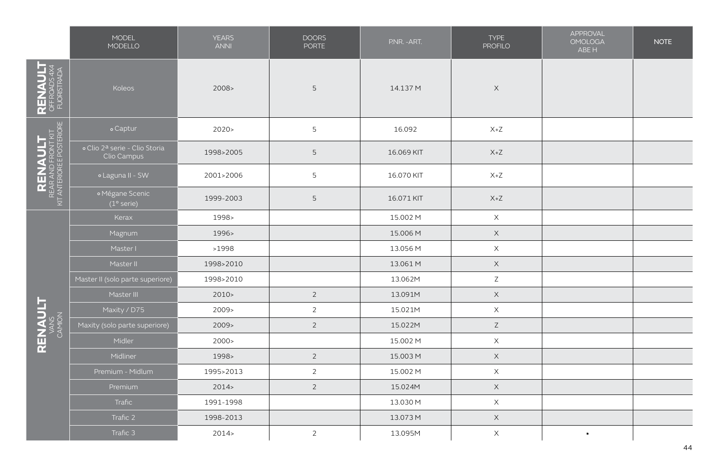|                                                                                                                | MODEL<br>MODELLO                             | <b>YEARS</b><br><b>ANNI</b> | <b>DOORS</b><br><b>PORTE</b> | P.NR. - ART. | <b>TYPE</b><br><b>PROFILO</b> | APPROVAL<br><b>OMOLOGA</b><br>ABE H | <b>NOTE</b> |
|----------------------------------------------------------------------------------------------------------------|----------------------------------------------|-----------------------------|------------------------------|--------------|-------------------------------|-------------------------------------|-------------|
| RENAULT<br>OFFROADS4X4<br>FUORISTRADA                                                                          | Koleos                                       | 2008>                       | 5                            | 14.137 M     | $\mathsf X$                   |                                     |             |
|                                                                                                                | o Captur                                     | 2020                        | 5                            | 16.092       | $X+Z$                         |                                     |             |
|                                                                                                                | o Clio 2ª serie - Clio Storia<br>Clio Campus | 1998>2005                   | 5                            | 16.069 KIT   | $X+Z$                         |                                     |             |
|                                                                                                                | o Laguna II - SW                             | 2001>2006                   | 5                            | 16.070 KIT   | $X+Z$                         |                                     |             |
| $\begin{array}{c}\n\text{RENAME} \\ \text{RERA AND FROM THAT}\n\\ \n\text{AT ANTEROSE POSTERORE}\n\end{array}$ | <sup>o</sup> Mégane Scenic<br>$(1°$ serie)   | 1999-2003                   | 5                            | 16.071 KIT   | $X+Z$                         |                                     |             |
|                                                                                                                | Kerax                                        | 1998>                       |                              | 15.002 M     | $\mathsf X$                   |                                     |             |
|                                                                                                                | Magnum                                       | 1996>                       |                              | 15.006 M     | $\mathsf X$                   |                                     |             |
|                                                                                                                | Master I                                     | >1998                       |                              | 13.056 M     | $\mathsf X$                   |                                     |             |
|                                                                                                                | Master II                                    | 1998>2010                   |                              | 13.061 M     | $\mathsf X$                   |                                     |             |
|                                                                                                                | Master II (solo parte superiore)             | 1998>2010                   |                              | 13.062M      | $\mathsf Z$                   |                                     |             |
|                                                                                                                | Master III                                   | 2010 >                      | $\overline{2}$               | 13.091M      | $\times$                      |                                     |             |
|                                                                                                                | Maxity / D75                                 | 2009>                       | $\overline{2}$               | 15.021M      | $\times$                      |                                     |             |
| RENAULT                                                                                                        | Maxity (solo parte superiore)                | 2009                        | $\overline{2}$               | 15.022M      | $\mathsf Z$                   |                                     |             |
|                                                                                                                | Midler                                       | 2000 >                      |                              | 15.002 M     | $\mathsf X$                   |                                     |             |
|                                                                                                                | Midliner                                     | 1998>                       | $\overline{2}$               | 15.003 M     | $\mathsf X$                   |                                     |             |
|                                                                                                                | Premium - Midlum                             | 1995>2013                   | $\overline{2}$               | 15.002 M     | $\mathsf X$                   |                                     |             |
|                                                                                                                | Premium                                      | 2014                        | $\overline{2}$               | 15.024M      | $\mathsf X$                   |                                     |             |
|                                                                                                                | Trafic                                       | 1991-1998                   |                              | 13.030 M     | $\times$                      |                                     |             |
|                                                                                                                | Trafic 2                                     | 1998-2013                   |                              | 13.073 M     | $\mathsf X$                   |                                     |             |
|                                                                                                                | Trafic 3                                     | 2014                        | $\overline{2}$               | 13.095M      | X                             | $\blacksquare$                      |             |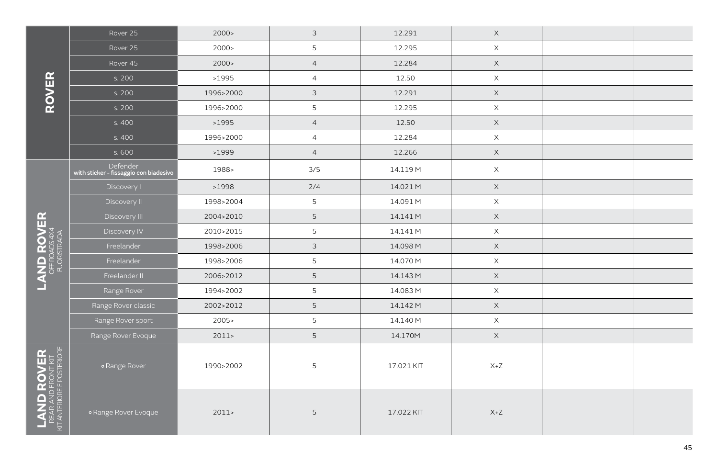|                                                                                                                  | Rover 25                                           | 2000 >    | $\mathfrak{Z}$ | 12.291     | $\mathsf X$ |  |
|------------------------------------------------------------------------------------------------------------------|----------------------------------------------------|-----------|----------------|------------|-------------|--|
|                                                                                                                  | Rover 25                                           | 2000 >    | 5              | 12.295     | $\mathsf X$ |  |
|                                                                                                                  | Rover 45                                           | 2000 >    | $\overline{4}$ | 12.284     | $\mathsf X$ |  |
|                                                                                                                  | s. 200                                             | >1995     | $\overline{4}$ | 12.50      | $\mathsf X$ |  |
| <b>ROVER</b>                                                                                                     | s. 200                                             | 1996>2000 | $\mathfrak{Z}$ | 12.291     | $\times$    |  |
|                                                                                                                  | s. 200                                             | 1996>2000 | 5              | 12.295     | $\mathsf X$ |  |
|                                                                                                                  | s. 400                                             | >1995     | $\overline{4}$ | 12.50      | $\mathsf X$ |  |
|                                                                                                                  | s. 400                                             | 1996>2000 | $\overline{4}$ | 12.284     | $\mathsf X$ |  |
|                                                                                                                  | s. 600                                             | >1999     | $\overline{4}$ | 12.266     | $\mathsf X$ |  |
|                                                                                                                  | Defender<br>with sticker - fissaggio con biadesivo | 1988>     | 3/5            | 14.119 M   | $\times$    |  |
|                                                                                                                  | Discovery I                                        | >1998     | 2/4            | 14.021 M   | $\mathsf X$ |  |
|                                                                                                                  | Discovery II                                       | 1998>2004 | 5              | 14.091 M   | $\mathsf X$ |  |
| $\begin{array}{rl} \textbf{LAND ROVER} \\ \textbf{D} \\ \textbf{OFFROAS 4} \\ \textbf{FLORETRA} \end{array}$     | Discovery III                                      | 2004>2010 | 5              | 14.141 M   | $\mathsf X$ |  |
|                                                                                                                  | Discovery IV                                       | 2010>2015 | 5              | 14.141 M   | $\mathsf X$ |  |
|                                                                                                                  | Freelander                                         | 1998>2006 | $\mathfrak{Z}$ | 14.098 M   | $\mathsf X$ |  |
|                                                                                                                  | Freelander                                         | 1998>2006 | 5              | 14.070 M   | $\mathsf X$ |  |
|                                                                                                                  | Freelander II                                      | 2006>2012 | 5              | 14.143 M   | $\mathsf X$ |  |
|                                                                                                                  | Range Rover                                        | 1994>2002 | 5              | 14.083 M   | $\times$    |  |
|                                                                                                                  | Range Rover classic                                | 2002>2012 | 5              | 14.142 M   | $\mathsf X$ |  |
|                                                                                                                  | Range Rover sport                                  | 2005      | 5              | 14.140 M   | $\mathsf X$ |  |
|                                                                                                                  | Range Rover Evoque                                 | 2011      | 5              | 14.170M    | $\mathsf X$ |  |
| $\begin{array}{c} \text{LAND ROVER} \\ \text{REAR AND FRONIT KIT} \\ \text{KIT ANTERORE POSTERIORE} \end{array}$ | <sup>o</sup> Range Rover                           | 1990>2002 | 5              | 17.021 KIT | $X+Z$       |  |
|                                                                                                                  | <sup>o</sup> Range Rover Evoque                    | 2011      | 5              | 17.022 KIT | $X+Z$       |  |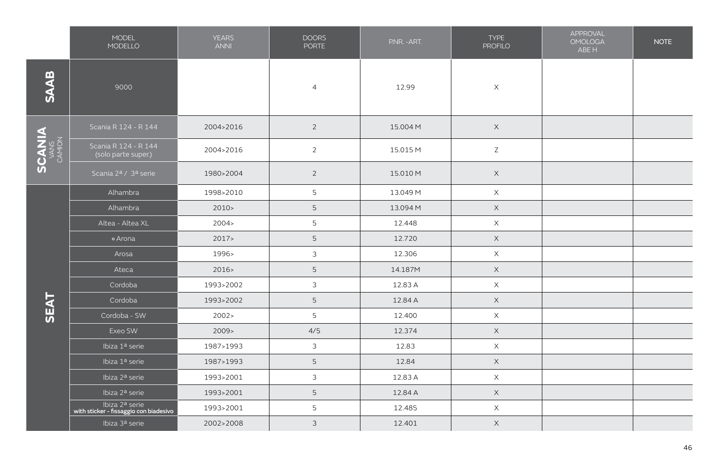|               | <b>MODEL</b><br>MODELLO                                  | <b>YEARS</b><br><b>ANNI</b> | <b>DOORS</b><br><b>PORTE</b> | P.NR. - ART. | <b>TYPE</b><br><b>PROFILO</b> | APPROVAL<br><b>OMOLOGA</b><br>ABE H | <b>NOTE</b> |
|---------------|----------------------------------------------------------|-----------------------------|------------------------------|--------------|-------------------------------|-------------------------------------|-------------|
| <b>SAAB</b>   | 9000                                                     |                             | $\overline{4}$               | 12.99        | $\mathsf X$                   |                                     |             |
|               | Scania R 124 - R 144                                     | 2004>2016                   | $\overline{2}$               | 15.004 M     | $\mathsf X$                   |                                     |             |
| <b>SCANIA</b> | Scania R 124 - R 144<br>(solo parte super.)              | 2004>2016                   | $\overline{2}$               | 15.015 M     | $\mathsf Z$                   |                                     |             |
|               | Scania 2ª / 3ª serie                                     | 1980>2004                   | $\overline{2}$               | 15.010 M     | $\times$                      |                                     |             |
|               | Alhambra                                                 | 1998>2010                   | $\overline{5}$               | 13.049 M     | $\mathsf X$                   |                                     |             |
|               | Alhambra                                                 | 2010 >                      | $\mathsf S$                  | 13.094 M     | $\mathsf X$                   |                                     |             |
|               | Altea - Altea XL                                         | 2004 >                      | 5                            | 12.448       | $\mathsf X$                   |                                     |             |
|               | o Arona                                                  | 2017                        | $\mathsf S$                  | 12.720       | $\mathsf X$                   |                                     |             |
|               | Arosa                                                    | 1996>                       | $\mathfrak{Z}$               | 12.306       | $\mathsf X$                   |                                     |             |
|               | Ateca                                                    | 2016                        | 5                            | 14.187M      | $\times$                      |                                     |             |
|               | Cordoba                                                  | 1993>2002                   | $\mathfrak{Z}$               | 12.83 A      | $\mathsf X$                   |                                     |             |
| <b>SEAT</b>   | Cordoba                                                  | 1993>2002                   | 5                            | 12.84 A      | $\mathsf X$                   |                                     |             |
|               | Cordoba - SW                                             | 2002 >                      | 5                            | 12.400       | $\mathsf X$                   |                                     |             |
|               | Exeo SW                                                  | 2009                        | 4/5                          | 12.374       | $\mathsf X$                   |                                     |             |
|               | Ibiza 1ª serie                                           | 1987>1993                   | $\mathfrak{Z}$               | 12.83        | $\mathsf X$                   |                                     |             |
|               | Ibiza 1ª serie                                           | 1987>1993                   | $\mathsf S$                  | 12.84        | $\mathsf X$                   |                                     |             |
|               | Ibiza 2ª serie                                           | 1993>2001                   | 3                            | 12.83 A      | $\mathsf X$                   |                                     |             |
|               | Ibiza 2ª serie                                           | 1993>2001                   | 5                            | 12.84 A      | $\mathsf X$                   |                                     |             |
|               | lbiza 2ª serie<br>with sticker - fissaggio con biadesivo | 1993>2001                   | 5                            | 12.485       | $\mathsf X$                   |                                     |             |
|               | Ibiza 3ª serie                                           | 2002>2008                   | $\mathfrak{Z}$               | 12.401       | $\mathsf X$                   |                                     |             |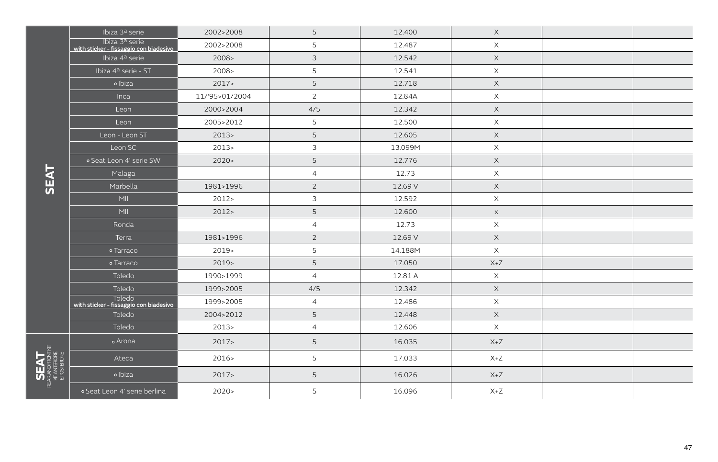|                          | Ibiza 3ª serie                                           | 2002>2008      | 5              | 12.400  | $\times$    |  |
|--------------------------|----------------------------------------------------------|----------------|----------------|---------|-------------|--|
|                          | Ibiza 3ª serie<br>with sticker - fissaggio con biadesivo | 2002>2008      | 5              | 12.487  | $\mathsf X$ |  |
|                          | Ibiza 4ª serie                                           | 2008 >         | 3              | 12.542  | $\times$    |  |
|                          | Ibiza 4ª serie - ST                                      | $2008 -$       | 5              | 12.541  | $\times$    |  |
|                          | o Ibiza                                                  | 2017           | 5              | 12.718  | $\times$    |  |
|                          | Inca                                                     | 11/'95>01/2004 | $\overline{2}$ | 12.84A  | $\times$    |  |
|                          | Leon                                                     | 2000>2004      | 4/5            | 12.342  | X           |  |
|                          | Leon                                                     | 2005>2012      | 5              | 12.500  | $\times$    |  |
|                          | Leon - Leon ST                                           | 2013           | 5              | 12.605  | $\times$    |  |
|                          | Leon SC                                                  | $2013-$        | 3              | 13.099M | $\times$    |  |
|                          | o Seat Leon 4' serie SW                                  | 2020           | 5              | 12.776  | $\times$    |  |
|                          | Malaga                                                   |                | $\overline{4}$ | 12.73   | $\times$    |  |
|                          | Marbella                                                 | 1981>1996      | $\overline{2}$ | 12.69 V | $\times$    |  |
|                          | MII                                                      | 2012           | 3              | 12.592  | $\times$    |  |
|                          | MII                                                      | 2012           | 5              | 12.600  | $\times$    |  |
|                          | Ronda                                                    |                | $\overline{4}$ | 12.73   | $\mathsf X$ |  |
|                          | Terra                                                    | 1981>1996      | $\overline{2}$ | 12.69 V | $\times$    |  |
|                          | o Tarraco                                                | $2019-$        | 5              | 14.188M | $\times$    |  |
|                          | o Tarraco                                                | $2019-$        | 5              | 17.050  | $X+Z$       |  |
|                          | Toledo                                                   | 1990>1999      | $\overline{4}$ | 12.81 A | $\times$    |  |
|                          | Toledo                                                   | 1999>2005      | 4/5            | 12.342  | $\times$    |  |
|                          | <b>Toledo</b><br>with sticker - fissaggio con biadesivo  | 1999>2005      | $\overline{4}$ | 12.486  | $\mathsf X$ |  |
|                          | Toledo                                                   | 2004>2012      | 5              | 12.448  | $\mathsf X$ |  |
|                          | Toledo                                                   | 2013           | $\overline{4}$ | 12.606  | $\times$    |  |
|                          | o Arona                                                  | 2017           | 5              | 16.035  | $X+Z$       |  |
|                          | Ateca                                                    | 2016           | 5              | 17.033  | $X+Z$       |  |
| KTANTEROFE<br>EPOSTEROFE | o Ibiza                                                  | 2017           | 5              | 16.026  | $X+Z$       |  |
|                          | o Seat Leon 4' serie berlina                             | 2020           | 5              | 16.096  | $X+Z$       |  |

**SEAT**

**SEAT** Rearandfront kit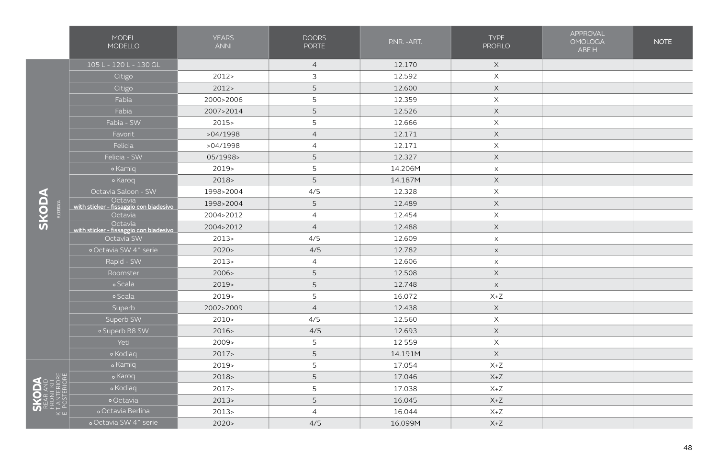|                                            | <b>MODEL</b><br>MODELLO                           | <b>YEARS</b><br><b>ANNI</b> | <b>DOORS</b><br><b>PORTE</b> | PNR. - ART. | <b>TYPE</b><br><b>PROFILO</b> | <b>APPROVAL</b><br><b>OMOLOGA</b><br>ABE H | <b>NOTE</b> |
|--------------------------------------------|---------------------------------------------------|-----------------------------|------------------------------|-------------|-------------------------------|--------------------------------------------|-------------|
|                                            | 105 L - 120 L - 130 GL                            |                             | $\overline{4}$               | 12.170      | $\mathsf X$                   |                                            |             |
|                                            | Citigo                                            | 2012                        | $\mathfrak{Z}$               | 12.592      | X                             |                                            |             |
|                                            | Citigo                                            | 2012                        | $\mathsf S$                  | 12.600      | $\times$                      |                                            |             |
|                                            | Fabia                                             | 2000>2006                   | 5                            | 12.359      | X                             |                                            |             |
|                                            | Fabia                                             | 2007>2014                   | 5                            | 12.526      | $\times$                      |                                            |             |
|                                            | Fabia - SW                                        | 2015                        | 5                            | 12.666      | X                             |                                            |             |
|                                            | Favorit                                           | >04/1998                    | $\overline{4}$               | 12.171      | $\mathsf X$                   |                                            |             |
|                                            | Felicia                                           | >04/1998                    | $\overline{4}$               | 12.171      | X                             |                                            |             |
|                                            | Felicia - SW                                      | 05/1998>                    | 5                            | 12.327      | $\times$                      |                                            |             |
|                                            | • Kamiq                                           | 2019>                       | 5                            | 14.206M     | $\boldsymbol{\mathsf{X}}$     |                                            |             |
|                                            | • Karoq                                           | 2018                        | 5                            | 14.187M     | $\times$                      |                                            |             |
|                                            | Octavia Saloon - SW                               | 1998>2004                   | 4/5                          | 12.328      | $\times$                      |                                            |             |
|                                            | Octavia<br>with sticker - fissaggio con biadesivo | 1998>2004                   | 5                            | 12.489      | $\times$                      |                                            |             |
| <b>FLORIHADA</b>                           | Octavia                                           | 2004>2012                   | $\overline{4}$               | 12.454      | X                             |                                            |             |
|                                            | Octavia<br>with sticker - fissaggio con biadesivo | 2004>2012                   | $\overline{4}$               | 12.488      | $\mathsf X$                   |                                            |             |
|                                            | Octavia SW                                        | 2013 <sub>2</sub>           | 4/5                          | 12.609      | $\mathsf X$                   |                                            |             |
|                                            | · Octavia SW 4^ serie                             | 2020                        | 4/5                          | 12.782      | $\mathsf X$                   |                                            |             |
|                                            | Rapid - SW                                        | 2013                        | $\overline{4}$               | 12.606      | $\boldsymbol{\mathsf{X}}$     |                                            |             |
|                                            | Roomster                                          | 2006>                       | 5                            | 12.508      | $\times$                      |                                            |             |
|                                            | o Scala                                           | $2019-$                     | 5                            | 12.748      | $\mathsf X$                   |                                            |             |
|                                            | o Scala                                           | 2019>                       | 5                            | 16.072      | $X+Z$                         |                                            |             |
|                                            | Superb                                            | 2002>2009                   | $\overline{4}$               | 12.438      | $\mathsf X$                   |                                            |             |
|                                            | Superb SW                                         | 2010 >                      | 4/5                          | 12.560      | X                             |                                            |             |
|                                            | o Superb B8 SW                                    | 2016>                       | 4/5                          | 12.693      | $\mathsf X$                   |                                            |             |
|                                            | Yeti                                              | 2009 <sub>&gt;</sub>        | 5                            | 12 5 5 9    | $\times$                      |                                            |             |
|                                            | o Kodiaq                                          | 2017                        | 5                            | 14.191M     | $\mathsf X$                   |                                            |             |
|                                            | o Kamiq                                           | 2019>                       | 5                            | 17.054      | $X+Z$                         |                                            |             |
|                                            | o Karoq                                           | $2018-$                     | 5                            | 17.046      | $X+Z$                         |                                            |             |
| FRUNT RIT<br>KIT ANTERIORE<br>E POSTERIORE | o Kodiaq                                          | 2017                        | 5                            | 17.038      | $X+Z$                         |                                            |             |
|                                            | o Octavia                                         | 2013                        | 5                            | 16.045      | $X+Z$                         |                                            |             |
|                                            | o Octavia Berlina                                 | 2013                        | $\overline{4}$               | 16.044      | $X+Z$                         |                                            |             |
|                                            | o Octavia SW 4^ serie                             | 2020                        | 4/5                          | 16.099M     | $X+Z$                         |                                            |             |

**SKODA**

**SKODA**<br>Rear and<br>Front kit Front kit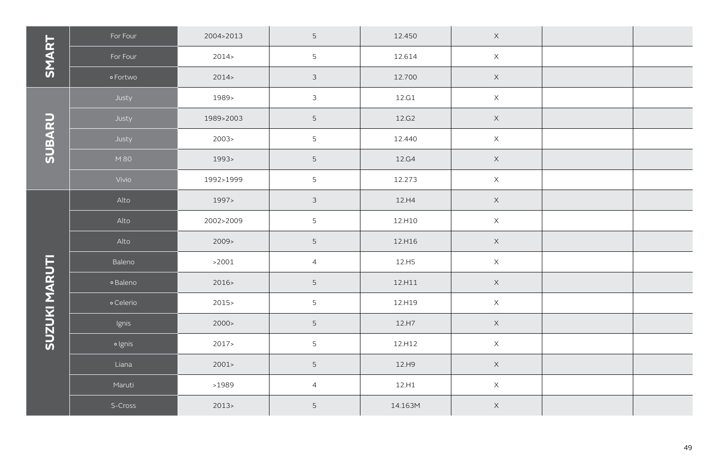|               | For Four  | 2004>2013 | 5               | 12.450    | $\mathsf X$ |  |
|---------------|-----------|-----------|-----------------|-----------|-------------|--|
| SMART         | For Four  | 2014      | 5               | 12.614    | $\mathsf X$ |  |
|               | o Fortwo  | 2014      | $\mathfrak{Z}$  | 12.700    | $\mathsf X$ |  |
|               | Justy     | 1989>     | $\mathfrak{Z}$  | 12.G1     | $\mathsf X$ |  |
|               | Justy     | 1989>2003 | $\mathsf S$     | 12.G2     | $\mathsf X$ |  |
| SUBARU        | Justy     | 2003 >    | 5               | 12.440    | $\mathsf X$ |  |
|               | M 80      | 1993>     | $\mathsf S$     | 12.G4     | $\mathsf X$ |  |
|               | Vivio     | 1992>1999 | $\overline{5}$  | 12.273    | $\mathsf X$ |  |
|               | Alto      | 1997>     | $\mathfrak{Z}$  | 12.H4     | $\mathsf X$ |  |
|               | Alto      | 2002>2009 | $\mathsf S$     | 12.H10    | $\mathsf X$ |  |
|               | Alto      | 2009      | 5               | 12.H16    | $\mathsf X$ |  |
|               | Baleno    | >2001     | $\overline{4}$  | 12.H5     | $\mathsf X$ |  |
| SUZUKI MARUTI | o Baleno  | 2016      | $\mathsf S$     | $12. H11$ | $\mathsf X$ |  |
|               | o Celerio | $2015 -$  | 5               | 12.H19    | $\mathsf X$ |  |
|               | Ignis     | 2000 >    | $\mathsf S$     | $12. H7$  | $\mathsf X$ |  |
|               | o Ignis   | 2017      | 5               | 12.H12    | $\mathsf X$ |  |
|               | Liana     | 2001      | $5\phantom{.0}$ | 12.H9     | $\mathsf X$ |  |
|               | Maruti    | >1989     | $\overline{4}$  | 12.H1     | $\mathsf X$ |  |
|               | S-Cross   | 2013      | $\mathsf S$     | 14.163M   | $\mathsf X$ |  |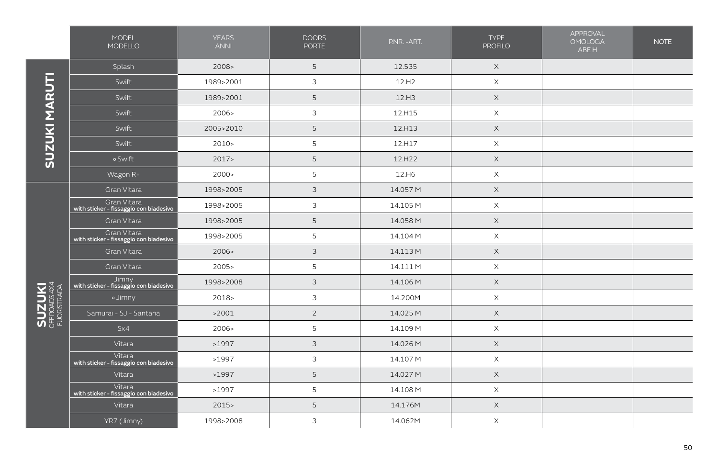|                                             | MODEL<br>MODELLO                                      | <b>YEARS</b><br><b>ANNI</b> | <b>DOORS</b><br><b>PORTE</b> | P.NR. - ART.       | <b>TYPE</b><br><b>PROFILO</b> | APPROVAL<br><b>OMOLOGA</b><br>ABE H | <b>NOTE</b> |
|---------------------------------------------|-------------------------------------------------------|-----------------------------|------------------------------|--------------------|-------------------------------|-------------------------------------|-------------|
| SUZUKI MARUTI                               | Splash                                                | 2008 >                      | 5                            | 12.535             | $\times$                      |                                     |             |
|                                             | Swift                                                 | 1989>2001                   | $\mathfrak{Z}$               | 12.H2              | $\mathsf X$                   |                                     |             |
|                                             | Swift                                                 | 1989>2001                   | 5                            | 12.H3              | $\boldsymbol{\mathsf{X}}$     |                                     |             |
|                                             | Swift                                                 | 2006>                       | $\mathfrak{Z}$               | 12.H15             | $\times$                      |                                     |             |
|                                             | Swift                                                 | 2005>2010                   | 5                            | 12.H13             | $\mathsf X$                   |                                     |             |
|                                             | Swift                                                 | 2010                        | 5                            | 12.H17             | $\mathsf X$                   |                                     |             |
|                                             | o Swift                                               | 2017                        | 5                            | 12.H <sub>22</sub> | $\times$                      |                                     |             |
|                                             | Wagon R+                                              | 2000 >                      | 5                            | 12.H6              | $\mathsf X$                   |                                     |             |
|                                             | Gran Vitara                                           | 1998>2005                   | $\mathfrak{Z}$               | 14.057 M           | $\mathsf X$                   |                                     |             |
|                                             | Gran Vitara<br>with sticker - fissaggio con biadesivo | 1998>2005                   | $\mathfrak{Z}$               | 14.105 M           | $\boldsymbol{\mathsf{X}}$     |                                     |             |
|                                             | Gran Vitara                                           | 1998>2005                   | 5                            | 14.058 M           | $\boldsymbol{\mathsf{X}}$     |                                     |             |
|                                             | Gran Vitara<br>with sticker - fissaggio con biadesivo | 1998>2005                   | 5                            | 14.104 M           | $\mathsf X$                   |                                     |             |
|                                             | Gran Vitara                                           | 2006                        | $\mathfrak{Z}$               | 14.113 M           | $\mathsf X$                   |                                     |             |
|                                             | Gran Vitara                                           | 2005                        | 5                            | 14.111 M           | $\times$                      |                                     |             |
|                                             | Jimny<br>with sticker - fissaggio con biadesivo       | 1998>2008                   | $\mathfrak{Z}$               | 14.106 M           | $\boldsymbol{\mathsf{X}}$     |                                     |             |
|                                             | o Jimny                                               | $2018-$                     | 3                            | 14.200M            | $\times$                      |                                     |             |
| <b>SUZUKI</b><br>OFFROADS 4X4<br>FUORSTRADA | Samurai - SJ - Santana                                | >2001                       | $\overline{2}$               | 14.025 M           | $\times$                      |                                     |             |
|                                             | $S\times4$                                            | 2006>                       | 5                            | 14.109 M           | $\boldsymbol{\mathsf{X}}$     |                                     |             |
|                                             | Vitara                                                | >1997                       | $\mathfrak{Z}$               | 14.026 M           | $\times$                      |                                     |             |
|                                             | Vitara<br>with sticker - fissaggio con biadesivo      | >1997                       | $\mathfrak{Z}$               | 14.107 M           | $\mathsf X$                   |                                     |             |
|                                             | Vitara                                                | >1997                       | $\mathsf S$                  | 14.027 M           | $\boldsymbol{\mathsf{X}}$     |                                     |             |
|                                             | Vitara<br>with sticker - fissaggio con biadesivo      | >1997                       | 5                            | 14.108 M           | $\mathsf X$                   |                                     |             |
|                                             | Vitara                                                | 2015                        | 5                            | 14.176M            | $\mathsf X$                   |                                     |             |
|                                             | YR7 (Jimny)                                           | 1998>2008                   | 3                            | 14.062M            | $\boldsymbol{\mathsf{X}}$     |                                     |             |

50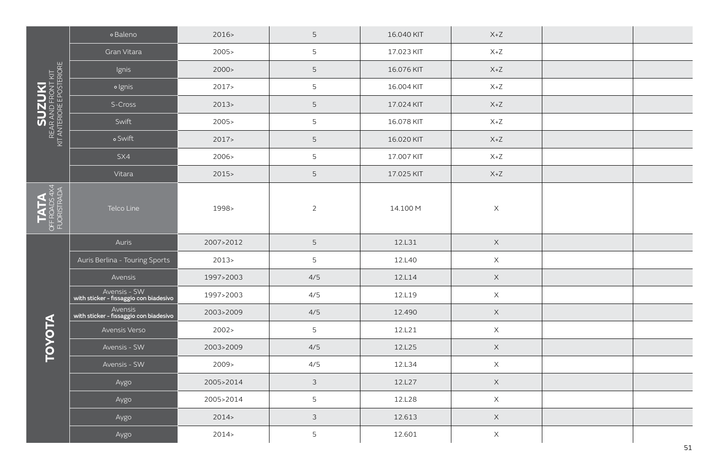|                                                          | o Baleno                                               | 2016      | 5              | 16.040 KIT | $X+Z$       |  |
|----------------------------------------------------------|--------------------------------------------------------|-----------|----------------|------------|-------------|--|
|                                                          | Gran Vitara                                            | 2005      | 5              | 17.023 KIT | $X+Z$       |  |
|                                                          | Ignis                                                  | 2000 >    | 5              | 16.076 KIT | $X+Z$       |  |
|                                                          | · Ignis                                                | 2017      | 5              | 16.004 KIT | $X+Z$       |  |
| SUZUKI<br>REAR AND FRONT KIT<br>KIT ANTERIORE POSTERIORE | S-Cross                                                | 2013      | 5              | 17.024 KIT | $X+Z$       |  |
|                                                          | Swift                                                  | 2005      | 5              | 16.078 KIT | $X+Z$       |  |
|                                                          | o Swift                                                | 2017      | $\mathsf S$    | 16.020 KIT | $X+Z$       |  |
|                                                          | SX4                                                    | 2006>     | 5              | 17.007 KIT | $X+Z$       |  |
|                                                          | Vitara                                                 | 2015      | $5\phantom{.}$ | 17.025 KIT | $X+Z$       |  |
| OFF ROADS 4<br>FUORISTRAD<br>FUORISTRAD<br>TATA          | Telco Line                                             | 1998>     | $\overline{2}$ | 14.100 M   | $\times$    |  |
|                                                          | Auris                                                  | 2007>2012 | $5\phantom{.}$ | 12.L31     | $\mathsf X$ |  |
|                                                          | Auris Berlina - Touring Sports                         | 2013      | 5              | 12.L40     | $\mathsf X$ |  |
|                                                          | Avensis                                                | 1997>2003 | 4/5            | 12.L14     | $\mathsf X$ |  |
|                                                          | Avensis - SW<br>with sticker - fissaggio con biadesivo | 1997>2003 | 4/5            | 12.L19     | $\mathsf X$ |  |
|                                                          | Avensis<br>with sticker - fissaggio con biadesivo      | 2003>2009 | 4/5            | 12.490     | $\mathsf X$ |  |
| TOVOTA                                                   | Avensis Verso                                          | 2002 >    | 5              | 12.L21     | $\mathsf X$ |  |
|                                                          | Avensis - SW                                           | 2003>2009 | 4/5            | 12.L25     | $\mathsf X$ |  |
|                                                          | Avensis - SW                                           | 2009      | 4/5            | 12.L34     | $\mathsf X$ |  |
|                                                          | Aygo                                                   | 2005>2014 | $\mathfrak{Z}$ | 12.L27     | $\mathsf X$ |  |
|                                                          | Aygo                                                   | 2005>2014 | 5              | 12.L28     | $\mathsf X$ |  |
|                                                          | Aygo                                                   | 2014      | $\mathfrak{Z}$ | 12.613     | $\mathsf X$ |  |
|                                                          | Aygo                                                   | 2014      | 5              | 12.601     | $\mathsf X$ |  |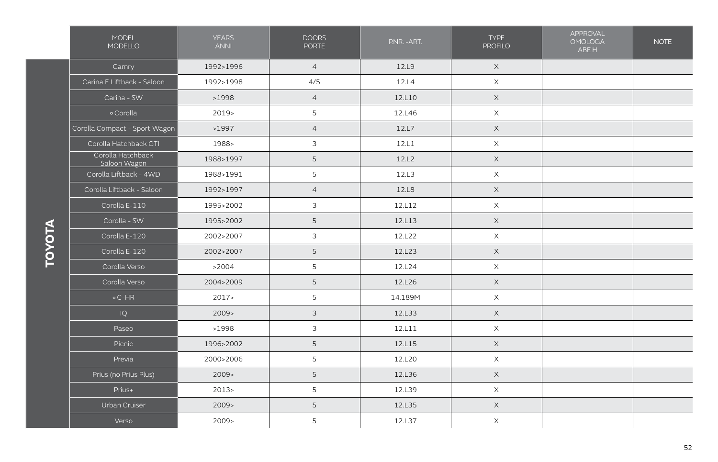|                | <b>MODEL</b><br>MODELLO           | <b>YEARS</b><br><b>ANNI</b> | <b>DOORS</b><br><b>PORTE</b>                                                                                                | P.NR. - ART.                                                                                                                                                                                                                                                                                                                                                                                                                                                                                                                                    | <b>TYPE</b><br><b>PROFILO</b> | APPROVAL<br><b>OMOLOGA</b><br>ABE H | <b>NOTE</b> |
|----------------|-----------------------------------|-----------------------------|-----------------------------------------------------------------------------------------------------------------------------|-------------------------------------------------------------------------------------------------------------------------------------------------------------------------------------------------------------------------------------------------------------------------------------------------------------------------------------------------------------------------------------------------------------------------------------------------------------------------------------------------------------------------------------------------|-------------------------------|-------------------------------------|-------------|
| <b>AICYCIO</b> | Camry                             | 1992>1996                   | $\overline{4}$                                                                                                              | 12.L9                                                                                                                                                                                                                                                                                                                                                                                                                                                                                                                                           | $\mathsf X$                   |                                     |             |
|                | Carina E Liftback - Saloon        | 1992>1998                   | 4/5                                                                                                                         | 12.L4                                                                                                                                                                                                                                                                                                                                                                                                                                                                                                                                           | $\mathsf X$                   |                                     |             |
|                | Carina - SW                       | >1998                       | $\overline{4}$                                                                                                              | $\mathsf X$<br>12.L10<br>$\times$<br>12.L46<br>$\mathsf X$<br>12.L7<br>12.L1<br>$\mathsf X$<br>12.L2<br>$\times$<br>12.L3<br>$\mathsf X$<br>12.L8<br>$\mathsf X$<br>12.L12<br>$\times$<br>$\mathsf X$<br>12.L13<br>$\mathsf X$<br>12.L22<br>12.L23<br>$\times$<br>$\mathsf X$<br>12.L24<br>12.L26<br>$\mathsf X$<br>$\mathsf X$<br>14.189M<br>12.L33<br>$\mathsf X$<br>$\mathsf X$<br>12.L11<br>$\mathsf X$<br>12.L15<br>$\mathsf X$<br>12.L20<br>12.L36<br>$\mathsf X$<br>$\mathsf X$<br>12.L39<br>$\mathsf X$<br>12.L35<br>12.L37<br>$\times$ |                               |                                     |             |
|                | o Corolla                         | $2019-$                     | 5                                                                                                                           |                                                                                                                                                                                                                                                                                                                                                                                                                                                                                                                                                 |                               |                                     |             |
|                | Corolla Compact - Sport Wagon     | >1997                       | $\overline{4}$                                                                                                              |                                                                                                                                                                                                                                                                                                                                                                                                                                                                                                                                                 |                               |                                     |             |
|                | Corolla Hatchback GTI             | 1988>                       | 3<br>5<br>5<br>$\overline{4}$<br>$\mathfrak{Z}$<br>5<br>3<br>5<br>5<br>5<br>5<br>$\mathfrak{Z}$<br>$\mathfrak{Z}$<br>5<br>5 |                                                                                                                                                                                                                                                                                                                                                                                                                                                                                                                                                 |                               |                                     |             |
|                | Corolla Hatchback<br>Saloon Wagon | 1988>1997                   |                                                                                                                             |                                                                                                                                                                                                                                                                                                                                                                                                                                                                                                                                                 |                               |                                     |             |
|                | Corolla Liftback - 4WD            | 1988>1991                   |                                                                                                                             |                                                                                                                                                                                                                                                                                                                                                                                                                                                                                                                                                 |                               |                                     |             |
|                | Corolla Liftback - Saloon         | 1992>1997                   |                                                                                                                             |                                                                                                                                                                                                                                                                                                                                                                                                                                                                                                                                                 |                               |                                     |             |
|                | Corolla E-110                     | 1995>2002                   |                                                                                                                             |                                                                                                                                                                                                                                                                                                                                                                                                                                                                                                                                                 |                               |                                     |             |
|                | Corolla - SW                      | 1995>2002                   |                                                                                                                             |                                                                                                                                                                                                                                                                                                                                                                                                                                                                                                                                                 |                               |                                     |             |
|                | Corolla E-120                     | 2002>2007                   |                                                                                                                             |                                                                                                                                                                                                                                                                                                                                                                                                                                                                                                                                                 |                               |                                     |             |
|                | Corolla E-120                     | 2002>2007                   |                                                                                                                             |                                                                                                                                                                                                                                                                                                                                                                                                                                                                                                                                                 |                               |                                     |             |
|                | Corolla Verso                     | >2004                       |                                                                                                                             |                                                                                                                                                                                                                                                                                                                                                                                                                                                                                                                                                 |                               |                                     |             |
|                | Corolla Verso                     | 2004>2009                   |                                                                                                                             |                                                                                                                                                                                                                                                                                                                                                                                                                                                                                                                                                 |                               |                                     |             |
|                | $\circ$ C-HR                      | 2017                        |                                                                                                                             |                                                                                                                                                                                                                                                                                                                                                                                                                                                                                                                                                 |                               |                                     |             |
|                | IQ                                | 2009                        |                                                                                                                             |                                                                                                                                                                                                                                                                                                                                                                                                                                                                                                                                                 |                               |                                     |             |
|                | Paseo                             | >1998                       |                                                                                                                             |                                                                                                                                                                                                                                                                                                                                                                                                                                                                                                                                                 |                               |                                     |             |
|                | Picnic                            | 1996>2002                   |                                                                                                                             |                                                                                                                                                                                                                                                                                                                                                                                                                                                                                                                                                 |                               |                                     |             |
|                | Previa                            | 2000>2006                   |                                                                                                                             |                                                                                                                                                                                                                                                                                                                                                                                                                                                                                                                                                 |                               |                                     |             |
|                | Prius (no Prius Plus)             | 2009                        | 5                                                                                                                           |                                                                                                                                                                                                                                                                                                                                                                                                                                                                                                                                                 |                               |                                     |             |
|                | Prius+                            | 2013                        | 5                                                                                                                           |                                                                                                                                                                                                                                                                                                                                                                                                                                                                                                                                                 |                               |                                     |             |
|                | Urban Cruiser                     | 2009                        | 5                                                                                                                           |                                                                                                                                                                                                                                                                                                                                                                                                                                                                                                                                                 |                               |                                     |             |
|                | Verso                             | 2009>                       | 5                                                                                                                           |                                                                                                                                                                                                                                                                                                                                                                                                                                                                                                                                                 |                               |                                     |             |

**TOYOTA**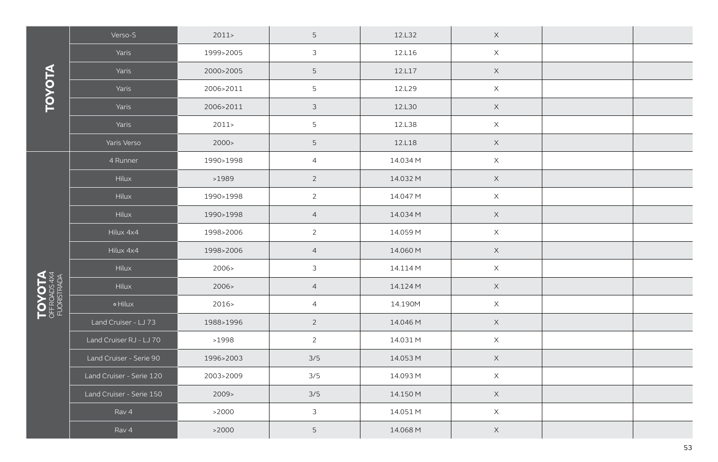|                                             | Verso-S                                                                                                                                                                                                                                                                                                                                                                                                                                                                                                                       | 2011      | 5              | 12.L32      | $\mathsf X$ |                                                                                                                                                                                                                                                                            |  |
|---------------------------------------------|-------------------------------------------------------------------------------------------------------------------------------------------------------------------------------------------------------------------------------------------------------------------------------------------------------------------------------------------------------------------------------------------------------------------------------------------------------------------------------------------------------------------------------|-----------|----------------|-------------|-------------|----------------------------------------------------------------------------------------------------------------------------------------------------------------------------------------------------------------------------------------------------------------------------|--|
| <b>EDNU</b><br>OFF ROADS 4X4<br>FUORISTRADA | Yaris                                                                                                                                                                                                                                                                                                                                                                                                                                                                                                                         | 1999>2005 | $\mathfrak{Z}$ | 12.L16      | $\mathsf X$ |                                                                                                                                                                                                                                                                            |  |
|                                             | Yaris                                                                                                                                                                                                                                                                                                                                                                                                                                                                                                                         | 2000>2005 | 5              | 12.L17      | $\mathsf X$ |                                                                                                                                                                                                                                                                            |  |
|                                             | Yaris<br>2006>2011<br>2006>2011<br>Yaris<br>Yaris<br>2011<br>Yaris Verso<br>2000 ><br>4 Runner<br>1990>1998<br>Hilux<br>>1989<br>Hilux<br>1990>1998<br>Hilux<br>1990>1998<br>Hilux 4x4<br>1998>2006<br>Hilux 4x4<br>1998>2006<br>Hilux<br>2006><br>Hilux<br>2006><br>$\circ$ Hilux<br>2016><br>Land Cruiser - LJ 73<br>1988>1996<br>Land Cruiser RJ - LJ 70<br>>1998<br>Land Cruiser - Serie 90<br>1996>2003<br>Land Cruiser - Serie 120<br>2003>2009<br>Land Cruiser - Serie 150<br>2009<br>Rav 4<br>>2000<br>>2000<br>Rav 4 | 5         | 12.L29         | $\mathsf X$ |             |                                                                                                                                                                                                                                                                            |  |
|                                             |                                                                                                                                                                                                                                                                                                                                                                                                                                                                                                                               |           | $\mathfrak{Z}$ | 12.L30      | $\mathsf X$ | $\mathsf X$<br>$\mathsf X$<br>$\mathsf X$<br>$\mathsf X$<br>$\mathsf X$<br>$\mathsf X$<br>$\mathsf X$<br>$\mathsf X$<br>$\mathsf X$<br>$\mathsf X$<br>$\mathsf X$<br>$\mathsf X$<br>$\mathsf X$<br>$\mathsf X$<br>$\mathsf X$<br>$\mathsf X$<br>$\mathsf X$<br>$\mathsf X$ |  |
|                                             |                                                                                                                                                                                                                                                                                                                                                                                                                                                                                                                               |           | 5              | 12.L38      |             |                                                                                                                                                                                                                                                                            |  |
|                                             |                                                                                                                                                                                                                                                                                                                                                                                                                                                                                                                               |           | 5              | 12.L18      |             |                                                                                                                                                                                                                                                                            |  |
|                                             |                                                                                                                                                                                                                                                                                                                                                                                                                                                                                                                               |           | $\overline{4}$ | 14.034 M    |             |                                                                                                                                                                                                                                                                            |  |
|                                             |                                                                                                                                                                                                                                                                                                                                                                                                                                                                                                                               |           | $\overline{2}$ | 14.032 M    |             |                                                                                                                                                                                                                                                                            |  |
|                                             |                                                                                                                                                                                                                                                                                                                                                                                                                                                                                                                               |           | $\overline{2}$ | 14.047 M    |             |                                                                                                                                                                                                                                                                            |  |
|                                             |                                                                                                                                                                                                                                                                                                                                                                                                                                                                                                                               |           | $\overline{4}$ | 14.034 M    |             |                                                                                                                                                                                                                                                                            |  |
|                                             |                                                                                                                                                                                                                                                                                                                                                                                                                                                                                                                               |           | $\overline{2}$ | 14.059 M    |             |                                                                                                                                                                                                                                                                            |  |
|                                             |                                                                                                                                                                                                                                                                                                                                                                                                                                                                                                                               |           | $\overline{4}$ | 14.060 M    |             |                                                                                                                                                                                                                                                                            |  |
|                                             |                                                                                                                                                                                                                                                                                                                                                                                                                                                                                                                               |           | 3              | 14.114 M    |             |                                                                                                                                                                                                                                                                            |  |
|                                             |                                                                                                                                                                                                                                                                                                                                                                                                                                                                                                                               |           | $\overline{4}$ | 14.124 M    |             |                                                                                                                                                                                                                                                                            |  |
|                                             |                                                                                                                                                                                                                                                                                                                                                                                                                                                                                                                               |           | $\overline{4}$ | 14.190M     |             |                                                                                                                                                                                                                                                                            |  |
|                                             |                                                                                                                                                                                                                                                                                                                                                                                                                                                                                                                               |           | $\overline{2}$ | 14.046 M    |             |                                                                                                                                                                                                                                                                            |  |
|                                             |                                                                                                                                                                                                                                                                                                                                                                                                                                                                                                                               |           | $\overline{2}$ | 14.031 M    |             |                                                                                                                                                                                                                                                                            |  |
|                                             |                                                                                                                                                                                                                                                                                                                                                                                                                                                                                                                               |           | 3/5            | 14.053 M    |             |                                                                                                                                                                                                                                                                            |  |
|                                             |                                                                                                                                                                                                                                                                                                                                                                                                                                                                                                                               |           | 3/5            | 14.093 M    |             |                                                                                                                                                                                                                                                                            |  |
|                                             |                                                                                                                                                                                                                                                                                                                                                                                                                                                                                                                               |           | 3/5            | 14.150 M    |             |                                                                                                                                                                                                                                                                            |  |
|                                             |                                                                                                                                                                                                                                                                                                                                                                                                                                                                                                                               |           | $\mathfrak{Z}$ | 14.051 M    |             |                                                                                                                                                                                                                                                                            |  |
|                                             |                                                                                                                                                                                                                                                                                                                                                                                                                                                                                                                               |           | 5              | 14.068 M    |             |                                                                                                                                                                                                                                                                            |  |

**TOYOTA**

TOYOTA **TOYOTA**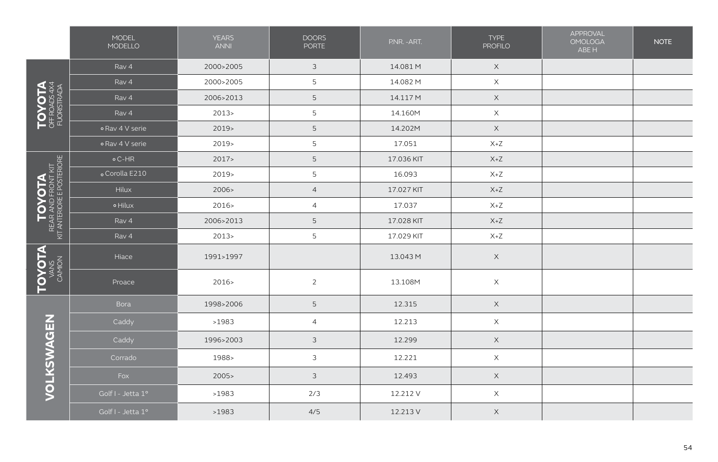|                                                                                                                   | MODEL<br>MODELLO  | <b>YEARS</b><br><b>ANNI</b> | <b>DOORS</b><br><b>PORTE</b> | P.NR. - ART. | <b>TYPE</b><br><b>PROFILO</b>      | <b>APPROVAL</b><br><b>OMOLOGA</b><br>ABE H | <b>NOTE</b> |
|-------------------------------------------------------------------------------------------------------------------|-------------------|-----------------------------|------------------------------|--------------|------------------------------------|--------------------------------------------|-------------|
|                                                                                                                   | Rav 4             | 2000>2005                   | $\mathfrak{Z}$               | 14.081 M     | $\mathsf X$                        |                                            |             |
|                                                                                                                   | Rav 4             | 2000>2005                   | 5                            | 14.082 M     | $\mathsf X$                        |                                            |             |
| TOVOTA<br>OFFROADS4X4<br>FUORISTRADA                                                                              | Rav 4             | 2006>2013                   | 5                            | 14.117 M     | $\mathsf X$                        |                                            |             |
|                                                                                                                   | Rav 4             | 2013                        | 5                            | 14.160M      | $\mathsf X$                        |                                            |             |
|                                                                                                                   | o Rav 4 V serie   | 2019                        | 5                            | 14.202M      | $\mathsf X$                        |                                            |             |
|                                                                                                                   | o Rav 4 V serie   | 2019>                       | 5                            | 17.051       | $X+Z$                              |                                            |             |
| $\left[\begin{array}{c} \text{TOVOTA} \ \text{RFAAND FRONT KIT} \ \text{NIT ENORE FPOSTENORE} \end{array}\right]$ | $\circ$ C-HR      | 2017                        | 5                            | 17.036 KIT   | $X+Z$                              |                                            |             |
|                                                                                                                   | o Corolla E210    | 2019>                       | 5                            | 16.093       | $X+Z$                              |                                            |             |
|                                                                                                                   | Hilux             | 2006 >                      | $\overline{4}$               | 17.027 KIT   | $X+Z$                              |                                            |             |
|                                                                                                                   | o Hilux           | 2016                        | $\overline{4}$               | 17.037       | $X+Z$                              |                                            |             |
|                                                                                                                   | Rav 4             | 2006>2013                   | 5                            | 17.028 KIT   | $X+Z$                              |                                            |             |
|                                                                                                                   | Rav 4             | 2013                        | 5                            | 17.029 KIT   | $\mathsf{X} \texttt{+} \mathsf{Z}$ |                                            |             |
| <b>TOVOTA</b>                                                                                                     | Hiace             | 1991>1997                   |                              | 13.043 M     | $\mathsf X$                        |                                            |             |
|                                                                                                                   | Proace            | 2016>                       | $\overline{2}$               | 13.108M      | $\boldsymbol{\mathsf{X}}$          |                                            |             |
|                                                                                                                   | Bora              | 1998>2006                   | 5                            | 12.315       | $\mathsf X$                        |                                            |             |
|                                                                                                                   | Caddy             | >1983                       | $\overline{4}$               | 12.213       | $\mathsf X$                        |                                            |             |
|                                                                                                                   | Caddy             | 1996>2003                   | 3                            | 12.299       | $\mathsf X$                        |                                            |             |
|                                                                                                                   | Corrado           | 1988>                       | $\mathfrak{Z}$               | 12.221       | $\times$                           |                                            |             |
| VOLKSWAGEN                                                                                                        | Fox               | 2005                        | $\mathfrak{Z}$               | 12.493       | $\mathsf X$                        |                                            |             |
|                                                                                                                   | Golf I - Jetta 1° | >1983                       | 2/3                          | 12.212 V     | $\mathsf X$                        |                                            |             |
|                                                                                                                   | Golf I - Jetta 1° | >1983                       | 4/5                          | 12.213 V     | $\mathsf X$                        |                                            |             |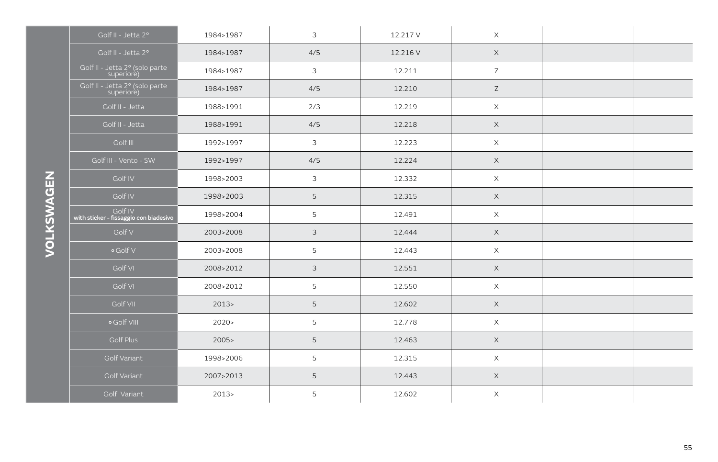| Golf II - Jetta 2°                                | 1984>1987 | $\mathfrak{Z}$ | 12.217 V | $\times$    |  |
|---------------------------------------------------|-----------|----------------|----------|-------------|--|
| Golf II - Jetta 2°                                | 1984>1987 | 4/5            | 12.216 V | $\times$    |  |
| Golf II - Jetta 2º (solo parte<br>superiore)      | 1984>1987 | $\mathfrak{Z}$ | 12.211   | $\mathsf Z$ |  |
| Golf II - Jetta 2º (solo parte<br>superiore)      | 1984>1987 | 4/5            | 12.210   | Z           |  |
| Golf II - Jetta                                   | 1988>1991 | 2/3            | 12.219   | $\mathsf X$ |  |
| Golf II - Jetta                                   | 1988>1991 | 4/5            | 12.218   | $\times$    |  |
| Golf III                                          | 1992>1997 | $\mathfrak{Z}$ | 12.223   | $\times$    |  |
| Golf III - Vento - SW                             | 1992>1997 | 4/5            | 12.224   | $\mathsf X$ |  |
| Golf IV                                           | 1998>2003 | $\mathfrak{Z}$ | 12.332   | X           |  |
| Golf IV                                           | 1998>2003 | $\overline{5}$ | 12.315   | $\times$    |  |
| Golf IV<br>with sticker - fissaggio con biadesivo | 1998>2004 | $\overline{5}$ | 12.491   | $\mathsf X$ |  |
| Golf V                                            | 2003>2008 | $\mathfrak{Z}$ | 12.444   | $\times$    |  |
| o Golf V                                          | 2003>2008 | 5              | 12.443   | $\times$    |  |
| Golf VI                                           | 2008>2012 | $\mathfrak{Z}$ | 12.551   | $\mathsf X$ |  |
| Golf VI                                           | 2008>2012 | 5              | 12.550   | $\mathsf X$ |  |
| Golf VII                                          | 2013      | 5              | 12.602   | $\times$    |  |
| o Golf VIII                                       | 2020      | 5              | 12.778   | $\times$    |  |
| Golf Plus                                         | 2005      | 5              | 12.463   | $\mathsf X$ |  |
| Golf Variant                                      | 1998>2006 | 5              | 12.315   | $\mathsf X$ |  |
| Golf Variant                                      | 2007>2013 | $\overline{5}$ | 12.443   | $\mathsf X$ |  |
| Golf Variant                                      | $2013-$   | 5              | 12.602   | X           |  |

VOLKSWAGEN **VOLKSWAGEN**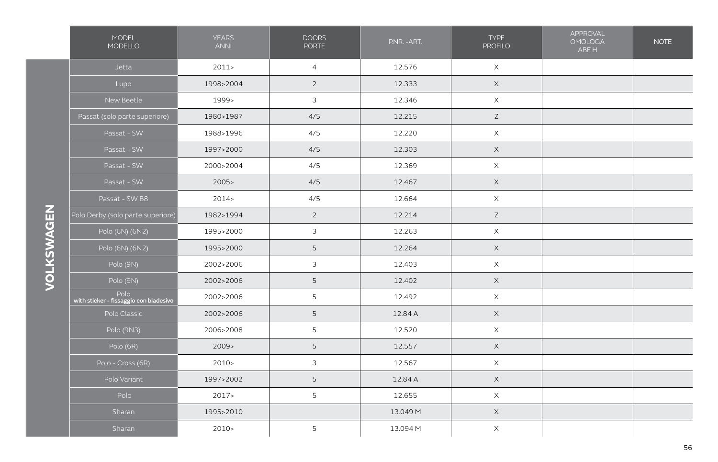|            | MODEL<br>MODELLO                               | <b>YEARS</b><br><b>ANNI</b> | <b>DOORS</b><br><b>PORTE</b> | P.NR. - ART. | <b>TYPE</b><br><b>PROFILO</b> | APPROVAL<br><b>OMOLOGA</b><br>ABE H | <b>NOTE</b> |
|------------|------------------------------------------------|-----------------------------|------------------------------|--------------|-------------------------------|-------------------------------------|-------------|
|            | Jetta                                          | 2011                        | $\overline{4}$               | 12.576       | $\mathsf X$                   |                                     |             |
|            | Lupo                                           | 1998>2004                   | $\overline{2}$               | 12.333       | $\mathsf X$                   |                                     |             |
|            | New Beetle                                     | 1999>                       | $\mathfrak{Z}$               | 12.346       | $\mathsf X$                   |                                     |             |
|            | Passat (solo parte superiore)                  | 1980>1987                   | 4/5                          | 12.215       | Z                             |                                     |             |
|            | Passat - SW                                    | 1988>1996                   | 4/5                          | 12.220       | $\mathsf X$                   |                                     |             |
|            | Passat - SW                                    | 1997>2000                   | 4/5                          | 12.303       | $\mathsf X$                   |                                     |             |
|            | Passat - SW                                    | 2000>2004                   | 4/5                          | 12.369       | $\mathsf X$                   |                                     |             |
|            | Passat - SW                                    | 2005                        | 4/5                          | 12.467       | $\mathsf X$                   |                                     |             |
|            | Passat - SW B8                                 | 2014                        | 4/5                          | 12.664       | $\mathsf X$                   |                                     |             |
| VOLKSWAGEN | Polo Derby (solo parte superiore)              | 1982>1994                   | $\overline{2}$               | 12.214       | $\mathsf Z$                   |                                     |             |
|            | Polo (6N) (6N2)                                | 1995>2000                   | $\mathfrak{Z}$               | 12.263       | $\mathsf X$                   |                                     |             |
|            | Polo (6N) (6N2)                                | 1995>2000                   | 5                            | 12.264       | $\mathsf X$                   |                                     |             |
|            | Polo (9N)                                      | 2002>2006                   | $\mathfrak{Z}$               | 12.403       | $\mathsf X$                   |                                     |             |
|            | Polo (9N)                                      | 2002>2006                   | 5                            | 12.402       | $\times$                      |                                     |             |
|            | Polo<br>with sticker - fissaggio con biadesivo | 2002>2006                   | 5                            | 12.492       | $\mathsf X$                   |                                     |             |
|            | Polo Classic                                   | 2002>2006                   | 5                            | 12.84 A      | $\times$                      |                                     |             |
|            | Polo (9N3)                                     | 2006>2008                   | 5                            | 12.520       | $\mathsf X$                   |                                     |             |
|            | Polo (6R)                                      | 2009                        | 5                            | 12.557       | $\mathsf X$                   |                                     |             |
|            | Polo - Cross (6R)                              | $2010-$                     | $\mathfrak{Z}$               | 12.567       | $\mathsf X$                   |                                     |             |
|            | Polo Variant                                   | 1997>2002                   | 5                            | 12.84 A      | $\mathsf X$                   |                                     |             |
|            | Polo                                           | 2017                        | 5                            | 12.655       | $\mathsf X$                   |                                     |             |
|            | Sharan                                         | 1995>2010                   |                              | 13.049 M     | $\mathsf X$                   |                                     |             |
|            | Sharan                                         | $2010-$                     | 5                            | 13.094 M     | $\mathsf X$                   |                                     |             |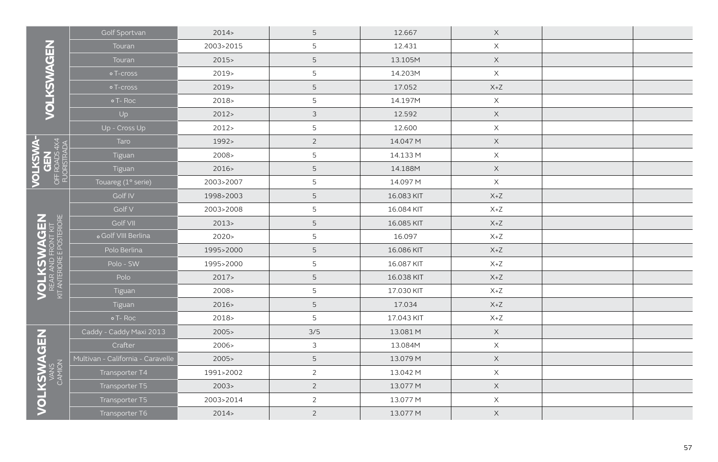|                                                                     | Golf Sportvan                     | 2014      | 5              | 12.667     | $\mathsf X$                        |  |
|---------------------------------------------------------------------|-----------------------------------|-----------|----------------|------------|------------------------------------|--|
|                                                                     | Touran                            | 2003>2015 | 5              | 12.431     | $\mathsf X$                        |  |
|                                                                     | Touran                            | $2015 -$  | 5              | 13.105M    | $\mathsf X$                        |  |
|                                                                     | o T-cross                         | $2019-$   | 5              | 14.203M    | $\mathsf X$                        |  |
|                                                                     | o T-cross                         | $2019-$   | 5              | 17.052     | $\mathsf{X} \texttt{+} \mathsf{Z}$ |  |
| VOLKSWAGEN                                                          | o T-Roc                           | $2018-$   | 5              | 14.197M    | $\mathsf X$                        |  |
|                                                                     | Up                                | 2012      | 3              | 12.592     | $\mathsf X$                        |  |
|                                                                     | Up - Cross Up                     | 2012      | 5              | 12.600     | $\times$                           |  |
| <b>OLKSWA-</b><br>GEN<br>FFROADS 4X4<br>FUORSTRADA                  | Taro                              | 1992>     | $\overline{2}$ | 14.047 M   | $\mathsf X$                        |  |
|                                                                     | Tiguan                            | 2008 >    | 5              | 14.133 M   | $\times$                           |  |
|                                                                     | Tiguan                            | 2016      | 5              | 14.188M    | $\mathsf X$                        |  |
| OFFI<br>FUC                                                         | Touareg (1° serie)                | 2003>2007 | 5              | 14.097 M   | $\times$                           |  |
|                                                                     | Golf IV                           | 1998>2003 | 5              | 16.083 KIT | $\mathsf{X} \texttt{+} \mathsf{Z}$ |  |
|                                                                     | Golf V                            | 2003>2008 | 5              | 16.084 KIT | $X+Z$                              |  |
|                                                                     | Golf VII                          | 2013      | 5              | 16.085 KIT | $X+Z$                              |  |
|                                                                     | o Golf VIII Berlina               | 2020      | 5              | 16.097     | $X+Z$                              |  |
|                                                                     | Polo Berlina                      | 1995>2000 | 5              | 16.086 KIT | $X+Z$                              |  |
| <b>VOLKSWAGEN</b><br>REAR AND FRONT KIT<br>KIT ANTERIORE POSTERIORE | Polo - SW                         | 1995>2000 | 5              | 16.087 KIT | $X+Z$                              |  |
|                                                                     | Polo                              | 2017      | 5              | 16.038 KIT | $X+Z$                              |  |
|                                                                     | Tiguan                            | 2008 >    | 5              | 17.030 KIT | $X+Z$                              |  |
|                                                                     | Tiguan                            | 2016      | 5              | 17.034     | $X+Z$                              |  |
|                                                                     | o T-Roc                           | $2018-$   | 5              | 17.043 KIT | $X+Z$                              |  |
|                                                                     | Caddy - Caddy Maxi 2013           | 2005      | 3/5            | 13.081 M   | $\mathsf X$                        |  |
|                                                                     | Crafter                           | 2006 >    | 3              | 13.084M    | $\mathsf X$                        |  |
|                                                                     | Multivan - California - Caravelle | 2005      | 5              | 13.079 M   | $\mathsf X$                        |  |
|                                                                     | Transporter T4                    | 1991>2002 | $\mathbf{2}$   | 13.042 M   | $\mathsf X$                        |  |
| <b>VOLKSWAGEN</b><br>MANS<br>CAMION                                 | Transporter T5                    | 2003 >    | $\overline{2}$ | 13.077 M   | $\mathsf X$                        |  |
|                                                                     | Transporter T5                    | 2003>2014 | $\overline{2}$ | 13.077 M   | $\times$                           |  |
|                                                                     | Transporter T6                    | 2014      | $\overline{2}$ | 13.077 M   | $\mathsf X$                        |  |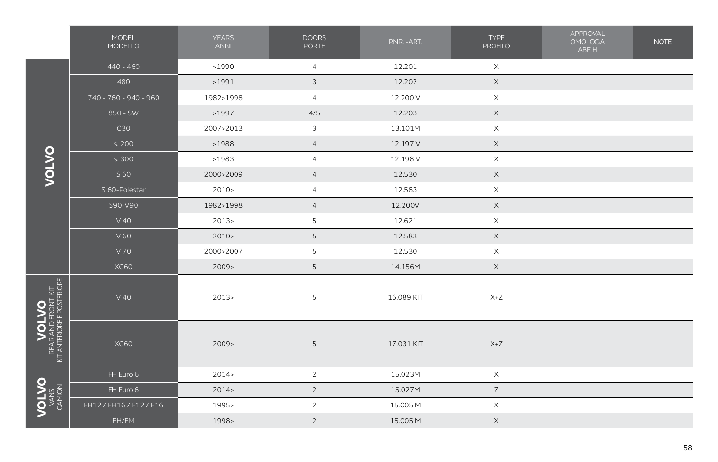|                                                                                                                                                                                                                                                                                                                                                                                                                          | MODEL<br>MODELLO        | <b>YEARS</b><br><b>ANNI</b> | <b>DOORS</b><br><b>PORTE</b> | P.NR. - ART. | <b>TYPE</b><br><b>PROFILO</b> | APPROVAL<br><b>OMOLOGA</b><br>ABE H | <b>NOTE</b> |
|--------------------------------------------------------------------------------------------------------------------------------------------------------------------------------------------------------------------------------------------------------------------------------------------------------------------------------------------------------------------------------------------------------------------------|-------------------------|-----------------------------|------------------------------|--------------|-------------------------------|-------------------------------------|-------------|
|                                                                                                                                                                                                                                                                                                                                                                                                                          | $440 - 460$             | >1990                       | $\overline{4}$               | 12.201       | $\mathsf X$                   |                                     |             |
|                                                                                                                                                                                                                                                                                                                                                                                                                          | 480                     | >1991                       | $\mathfrak{S}$               | 12.202       | $\mathsf X$                   |                                     |             |
|                                                                                                                                                                                                                                                                                                                                                                                                                          | 740 - 760 - 940 - 960   | 1982>1998                   | $\overline{4}$               | 12.200 V     | $\mathsf X$                   |                                     |             |
|                                                                                                                                                                                                                                                                                                                                                                                                                          | 850 - SW                | >1997                       | 4/5                          | 12.203       | $\mathsf X$                   |                                     |             |
|                                                                                                                                                                                                                                                                                                                                                                                                                          | C30                     | 2007>2013                   | $\mathfrak{Z}$               | 13.101M      | $\mathsf X$                   |                                     |             |
|                                                                                                                                                                                                                                                                                                                                                                                                                          | s. 200                  | >1988                       | $\overline{4}$               | 12.197 V     | $\mathsf X$                   |                                     |             |
|                                                                                                                                                                                                                                                                                                                                                                                                                          | s. 300                  | >1983                       | $\overline{4}$               | 12.198 V     | $\mathsf X$                   |                                     |             |
| <b>OLION</b>                                                                                                                                                                                                                                                                                                                                                                                                             | S 60                    | 2000>2009                   | $\overline{4}$               | 12.530       | $\mathsf X$                   |                                     |             |
|                                                                                                                                                                                                                                                                                                                                                                                                                          | S 60-Polestar           | 2010                        | $\overline{4}$               | 12.583       | $\boldsymbol{\mathsf{X}}$     |                                     |             |
|                                                                                                                                                                                                                                                                                                                                                                                                                          | S90-V90                 | 1982>1998                   | $\overline{4}$               | 12.200V      | $\mathsf X$                   |                                     |             |
|                                                                                                                                                                                                                                                                                                                                                                                                                          | $V$ 40                  | 2013                        | 5                            | 12.621       | $\boldsymbol{\mathsf{X}}$     |                                     |             |
|                                                                                                                                                                                                                                                                                                                                                                                                                          | V60                     | 2010                        | 5                            | 12.583       | $\mathsf X$                   |                                     |             |
|                                                                                                                                                                                                                                                                                                                                                                                                                          | V 70                    | 2000>2007                   | 5                            | 12.530       | $\mathsf X$                   |                                     |             |
|                                                                                                                                                                                                                                                                                                                                                                                                                          | <b>XC60</b>             | 2009                        | 5                            | 14.156M      | $\mathsf X$                   |                                     |             |
| $\label{eq:1} \textbf{WOLVO}\xspace^{-1} \textbf{WOL} \textbf{WOL} \textbf{W} \textbf{W} \textbf{W} \textbf{W} \textbf{W} \textbf{W} \textbf{W} \textbf{W} \textbf{W} \textbf{W} \textbf{W} \textbf{W} \textbf{W} \textbf{W} \textbf{W} \textbf{W} \textbf{W} \textbf{W} \textbf{W} \textbf{W} \textbf{W} \textbf{W} \textbf{W} \textbf{W} \textbf{W} \textbf{W} \textbf{W} \textbf{W} \textbf{W} \textbf{W} \textbf{W}$ | $V$ 40                  | 2013                        | 5                            | 16.089 KIT   | $X+Z$                         |                                     |             |
|                                                                                                                                                                                                                                                                                                                                                                                                                          | XC60                    | 2009                        | 5                            | 17.031 KIT   | $X+Z$                         |                                     |             |
|                                                                                                                                                                                                                                                                                                                                                                                                                          | FH Euro 6               | 2014                        | $\overline{2}$               | 15.023M      | $\mathsf X$                   |                                     |             |
|                                                                                                                                                                                                                                                                                                                                                                                                                          | FH Euro 6               | 2014                        | $\overline{2}$               | 15.027M      | $\mathsf Z$                   |                                     |             |
| VOLV5                                                                                                                                                                                                                                                                                                                                                                                                                    | FH12 / FH16 / F12 / F16 | 1995>                       | $\overline{c}$               | 15.005 M     | $\boldsymbol{\mathsf{X}}$     |                                     |             |
|                                                                                                                                                                                                                                                                                                                                                                                                                          | FH/FM                   | 1998>                       | $\overline{2}$               | 15.005 M     | $\mathsf X$                   |                                     |             |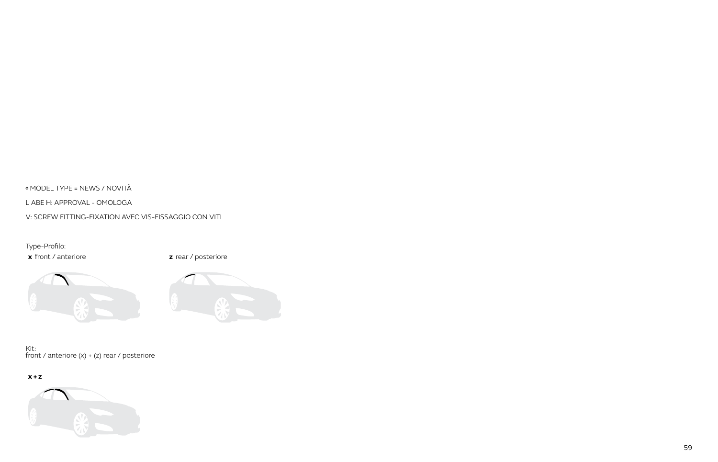MODEL TYPE = NEWS / NOVITÀ

L ABE H: APPROVAL - OMOLOGA

V: SCREW FITTING-FIXATION AVEC VIS-FISSAGGIO CON VITI

Type-Profilo:

**x** front / anteriore **z z** rear / posteriore





Kit: front / anteriore (x) + (z) rear / posteriore

## **x + z**